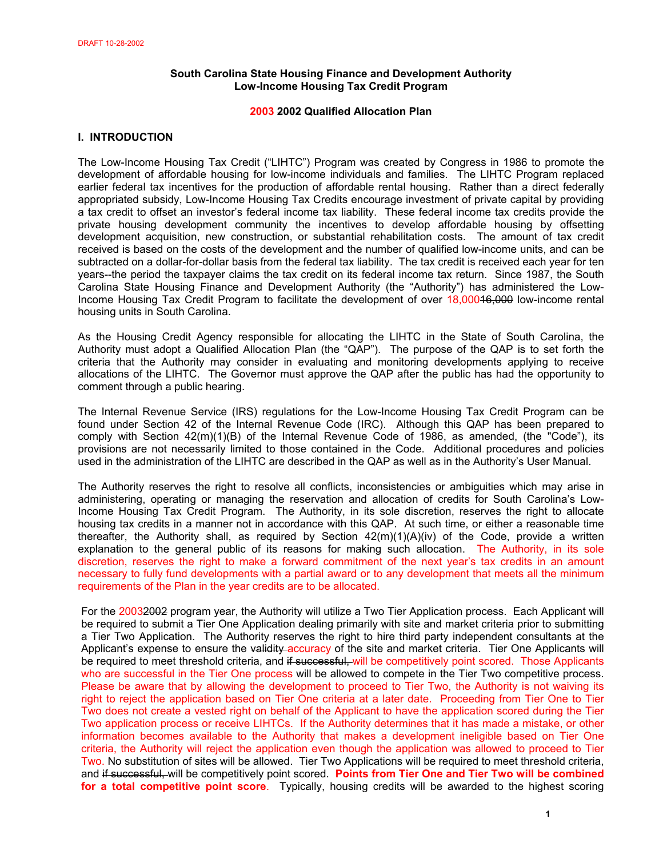# **South Carolina State Housing Finance and Development Authority Low-Income Housing Tax Credit Program**

## **2003 2002 Qualified Allocation Plan**

## **I. INTRODUCTION**

The Low-Income Housing Tax Credit ("LIHTC") Program was created by Congress in 1986 to promote the development of affordable housing for low-income individuals and families. The LIHTC Program replaced earlier federal tax incentives for the production of affordable rental housing. Rather than a direct federally appropriated subsidy, Low-Income Housing Tax Credits encourage investment of private capital by providing a tax credit to offset an investor's federal income tax liability. These federal income tax credits provide the private housing development community the incentives to develop affordable housing by offsetting development acquisition, new construction, or substantial rehabilitation costs. The amount of tax credit received is based on the costs of the development and the number of qualified low-income units, and can be subtracted on a dollar-for-dollar basis from the federal tax liability. The tax credit is received each year for ten years--the period the taxpayer claims the tax credit on its federal income tax return. Since 1987, the South Carolina State Housing Finance and Development Authority (the "Authority") has administered the Low-Income Housing Tax Credit Program to facilitate the development of over 18,00016,000 low-income rental housing units in South Carolina.

As the Housing Credit Agency responsible for allocating the LIHTC in the State of South Carolina, the Authority must adopt a Qualified Allocation Plan (the "QAP"). The purpose of the QAP is to set forth the criteria that the Authority may consider in evaluating and monitoring developments applying to receive allocations of the LIHTC. The Governor must approve the QAP after the public has had the opportunity to comment through a public hearing.

The Internal Revenue Service (IRS) regulations for the Low-Income Housing Tax Credit Program can be found under Section 42 of the Internal Revenue Code (IRC). Although this QAP has been prepared to comply with Section 42(m)(1)(B) of the Internal Revenue Code of 1986, as amended, (the "Code"), its provisions are not necessarily limited to those contained in the Code. Additional procedures and policies used in the administration of the LIHTC are described in the QAP as well as in the Authority's User Manual.

The Authority reserves the right to resolve all conflicts, inconsistencies or ambiguities which may arise in administering, operating or managing the reservation and allocation of credits for South Carolina's Low-Income Housing Tax Credit Program. The Authority, in its sole discretion, reserves the right to allocate housing tax credits in a manner not in accordance with this QAP. At such time, or either a reasonable time thereafter, the Authority shall, as required by Section 42(m)(1)(A)(iv) of the Code, provide a written explanation to the general public of its reasons for making such allocation. The Authority, in its sole discretion, reserves the right to make a forward commitment of the next year's tax credits in an amount necessary to fully fund developments with a partial award or to any development that meets all the minimum requirements of the Plan in the year credits are to be allocated.

For the 20032002 program year, the Authority will utilize a Two Tier Application process. Each Applicant will be required to submit a Tier One Application dealing primarily with site and market criteria prior to submitting a Tier Two Application. The Authority reserves the right to hire third party independent consultants at the Applicant's expense to ensure the validity accuracy of the site and market criteria. Tier One Applicants will be required to meet threshold criteria, and if successful, will be competitively point scored. Those Applicants who are successful in the Tier One process will be allowed to compete in the Tier Two competitive process. Please be aware that by allowing the development to proceed to Tier Two, the Authority is not waiving its right to reject the application based on Tier One criteria at a later date. Proceeding from Tier One to Tier Two does not create a vested right on behalf of the Applicant to have the application scored during the Tier Two application process or receive LIHTCs. If the Authority determines that it has made a mistake, or other information becomes available to the Authority that makes a development ineligible based on Tier One criteria, the Authority will reject the application even though the application was allowed to proceed to Tier Two. No substitution of sites will be allowed. Tier Two Applications will be required to meet threshold criteria, and if successful, will be competitively point scored. **Points from Tier One and Tier Two will be combined for a total competitive point score**. Typically, housing credits will be awarded to the highest scoring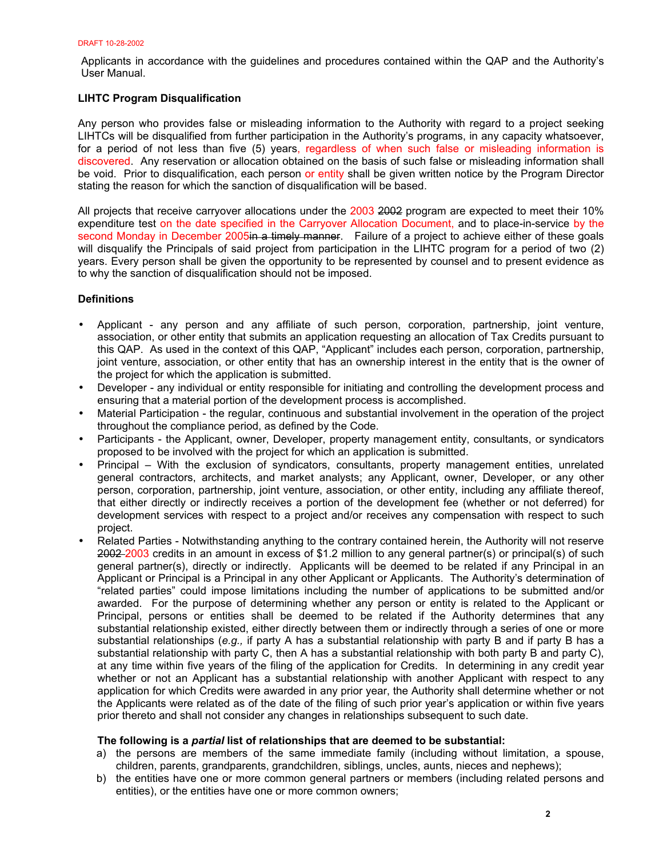Applicants in accordance with the guidelines and procedures contained within the QAP and the Authority's User Manual.

# **LIHTC Program Disqualification**

Any person who provides false or misleading information to the Authority with regard to a project seeking LIHTCs will be disqualified from further participation in the Authority's programs, in any capacity whatsoever, for a period of not less than five (5) years, regardless of when such false or misleading information is discovered. Any reservation or allocation obtained on the basis of such false or misleading information shall be void. Prior to disqualification, each person or entity shall be given written notice by the Program Director stating the reason for which the sanction of disqualification will be based.

All projects that receive carryover allocations under the 2003 2002 program are expected to meet their 10% expenditure test on the date specified in the Carryover Allocation Document, and to place-in-service by the second Monday in December 2005 in a timely manner. Failure of a project to achieve either of these goals will disqualify the Principals of said project from participation in the LIHTC program for a period of two (2) years. Every person shall be given the opportunity to be represented by counsel and to present evidence as to why the sanction of disqualification should not be imposed.

## **Definitions**

- Applicant any person and any affiliate of such person, corporation, partnership, joint venture, association, or other entity that submits an application requesting an allocation of Tax Credits pursuant to this QAP. As used in the context of this QAP, "Applicant" includes each person, corporation, partnership, joint venture, association, or other entity that has an ownership interest in the entity that is the owner of the project for which the application is submitted.
- Developer any individual or entity responsible for initiating and controlling the development process and ensuring that a material portion of the development process is accomplished.
- Material Participation the regular, continuous and substantial involvement in the operation of the project throughout the compliance period, as defined by the Code.
- Participants the Applicant, owner, Developer, property management entity, consultants, or syndicators proposed to be involved with the project for which an application is submitted.
- Principal With the exclusion of syndicators, consultants, property management entities, unrelated general contractors, architects, and market analysts; any Applicant, owner, Developer, or any other person, corporation, partnership, joint venture, association, or other entity, including any affiliate thereof, that either directly or indirectly receives a portion of the development fee (whether or not deferred) for development services with respect to a project and/or receives any compensation with respect to such project.
- Related Parties Notwithstanding anything to the contrary contained herein, the Authority will not reserve 2002-2003 credits in an amount in excess of \$1.2 million to any general partner(s) or principal(s) of such general partner(s), directly or indirectly. Applicants will be deemed to be related if any Principal in an Applicant or Principal is a Principal in any other Applicant or Applicants. The Authority's determination of "related parties" could impose limitations including the number of applications to be submitted and/or awarded. For the purpose of determining whether any person or entity is related to the Applicant or Principal, persons or entities shall be deemed to be related if the Authority determines that any substantial relationship existed, either directly between them or indirectly through a series of one or more substantial relationships (*e.g.,* if party A has a substantial relationship with party B and if party B has a substantial relationship with party C, then A has a substantial relationship with both party B and party C), at any time within five years of the filing of the application for Credits. In determining in any credit year whether or not an Applicant has a substantial relationship with another Applicant with respect to any application for which Credits were awarded in any prior year, the Authority shall determine whether or not the Applicants were related as of the date of the filing of such prior year's application or within five years prior thereto and shall not consider any changes in relationships subsequent to such date.

## **The following is a** *partial* **list of relationships that are deemed to be substantial:**

- a) the persons are members of the same immediate family (including without limitation, a spouse, children, parents, grandparents, grandchildren, siblings, uncles, aunts, nieces and nephews);
- b) the entities have one or more common general partners or members (including related persons and entities), or the entities have one or more common owners;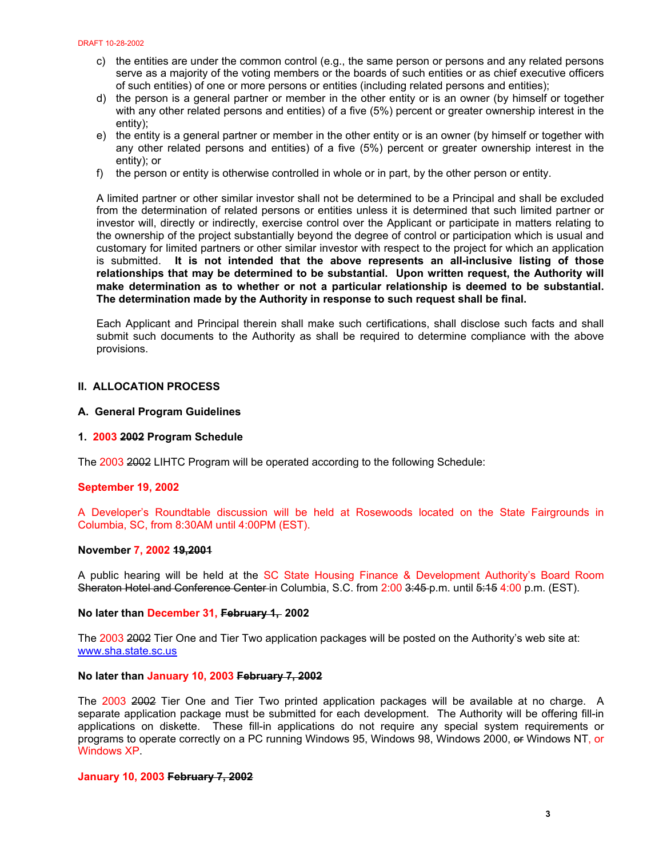- c) the entities are under the common control (e.g., the same person or persons and any related persons serve as a majority of the voting members or the boards of such entities or as chief executive officers of such entities) of one or more persons or entities (including related persons and entities);
- d) the person is a general partner or member in the other entity or is an owner (by himself or together with any other related persons and entities) of a five (5%) percent or greater ownership interest in the entity);
- e) the entity is a general partner or member in the other entity or is an owner (by himself or together with any other related persons and entities) of a five (5%) percent or greater ownership interest in the entity); or
- f) the person or entity is otherwise controlled in whole or in part, by the other person or entity.

A limited partner or other similar investor shall not be determined to be a Principal and shall be excluded from the determination of related persons or entities unless it is determined that such limited partner or investor will, directly or indirectly, exercise control over the Applicant or participate in matters relating to the ownership of the project substantially beyond the degree of control or participation which is usual and customary for limited partners or other similar investor with respect to the project for which an application is submitted. **It is not intended that the above represents an all-inclusive listing of those relationships that may be determined to be substantial. Upon written request, the Authority will make determination as to whether or not a particular relationship is deemed to be substantial. The determination made by the Authority in response to such request shall be final.** 

Each Applicant and Principal therein shall make such certifications, shall disclose such facts and shall submit such documents to the Authority as shall be required to determine compliance with the above provisions.

## **II. ALLOCATION PROCESS**

## **A. General Program Guidelines**

#### **1. 2003 2002 Program Schedule**

The 2003 2002 LIHTC Program will be operated according to the following Schedule:

### **September 19, 2002**

A Developer's Roundtable discussion will be held at Rosewoods located on the State Fairgrounds in Columbia, SC, from 8:30AM until 4:00PM (EST).

#### **November 7, 2002 19,2001**

A public hearing will be held at the SC State Housing Finance & Development Authority's Board Room Sheraton Hotel and Conference Center in Columbia, S.C. from 2:00 3:45 p.m. until 5:15 4:00 p.m. (EST).

#### **No later than December 31, February 1, 2002**

The 2003 2002 Tier One and Tier Two application packages will be posted on the Authority's web site at: www.sha.state.sc.us

## **No later than January 10, 2003 February 7, 2002**

The 2003 2002 Tier One and Tier Two printed application packages will be available at no charge. A separate application package must be submitted for each development. The Authority will be offering fill-in applications on diskette. These fill-in applications do not require any special system requirements or programs to operate correctly on a PC running Windows 95, Windows 98, Windows 2000, or Windows NT, or Windows XP.

#### **January 10, 2003 February 7, 2002**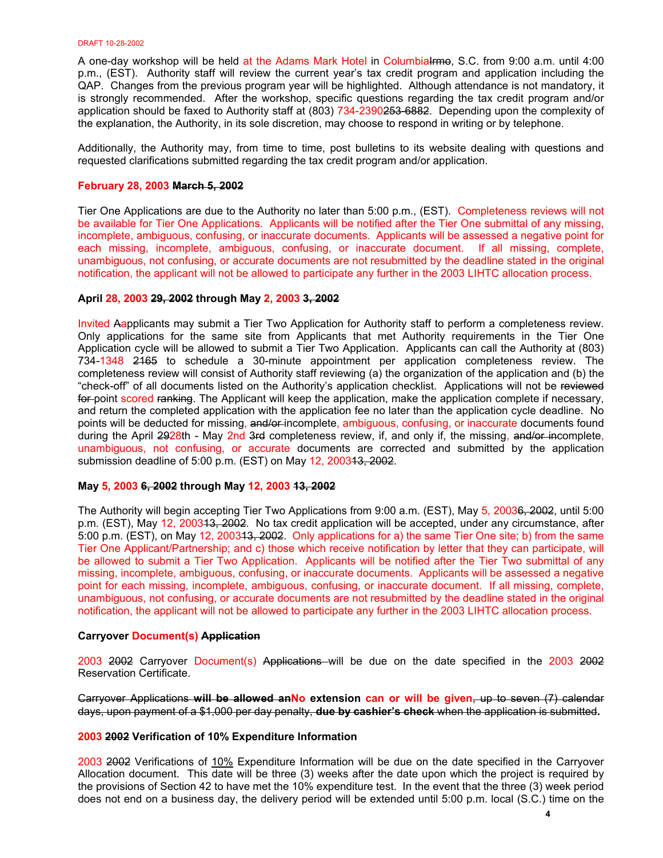A one-day workshop will be held at the Adams Mark Hotel in Columbialrmo, S.C. from 9:00 a.m. until 4:00 p.m., (EST). Authority staff will review the current year's tax credit program and application including the QAP. Changes from the previous program year will be highlighted. Although attendance is not mandatory, it is strongly recommended. After the workshop, specific questions regarding the tax credit program and/or application should be faxed to Authority staff at (803) 734-2390253-6882. Depending upon the complexity of the explanation, the Authority, in its sole discretion, may choose to respond in writing or by telephone.

Additionally, the Authority may, from time to time, post bulletins to its website dealing with questions and requested clarifications submitted regarding the tax credit program and/or application.

## **February 28, 2003 March 5, 2002**

Tier One Applications are due to the Authority no later than 5:00 p.m., (EST). Completeness reviews will not be available for Tier One Applications. Applicants will be notified after the Tier One submittal of any missing, incomplete, ambiguous, confusing, or inaccurate documents. Applicants will be assessed a negative point for each missing, incomplete, ambiguous, confusing, or inaccurate document. If all missing, complete, unambiguous, not confusing, or accurate documents are not resubmitted by the deadline stated in the original notification, the applicant will not be allowed to participate any further in the 2003 LIHTC allocation process.

# **April 28, 2003 29, 2002 through May 2, 2003 3, 2002**

Invited Aapplicants may submit a Tier Two Application for Authority staff to perform a completeness review. Only applications for the same site from Applicants that met Authority requirements in the Tier One Application cycle will be allowed to submit a Tier Two Application. Applicants can call the Authority at (803) 734-1348 2165 to schedule a 30-minute appointment per application completeness review. The completeness review will consist of Authority staff reviewing (a) the organization of the application and (b) the "check-off" of all documents listed on the Authority's application checklist. Applications will not be reviewed for point scored ranking. The Applicant will keep the application, make the application complete if necessary, and return the completed application with the application fee no later than the application cycle deadline. No points will be deducted for missing, and/or-incomplete, ambiguous, confusing, or inaccurate documents found during the April 2928th - May 2nd 3rd completeness review, if, and only if, the missing, and/or incomplete, unambiguous, not confusing, or accurate documents are corrected and submitted by the application submission deadline of 5:00 p.m. (EST) on May 12, 200313, 2002.

## **May 5, 2003 6, 2002 through May 12, 2003 13, 2002**

The Authority will begin accepting Tier Two Applications from 9:00 a.m. (EST), May 5, 20036, 2002, until 5:00 p.m. (EST), May 12, 2003<del>13, 2002</del>. No tax credit application will be accepted, under any circumstance, after 5:00 p.m. (EST), on May 12, 200343, 2002. Only applications for a) the same Tier One site; b) from the same Tier One Applicant/Partnership; and c) those which receive notification by letter that they can participate, will be allowed to submit a Tier Two Application. Applicants will be notified after the Tier Two submittal of any missing, incomplete, ambiguous, confusing, or inaccurate documents. Applicants will be assessed a negative point for each missing, incomplete, ambiguous, confusing, or inaccurate document. If all missing, complete, unambiguous, not confusing, or accurate documents are not resubmitted by the deadline stated in the original notification, the applicant will not be allowed to participate any further in the 2003 LIHTC allocation process.

## **Carryover Document(s) Application**

2003 2002 Carryover Document(s) Applications will be due on the date specified in the 2003 2002 Reservation Certificate.

Carryover Applications **will be allowed anNo extension can or will be given**, up to seven (7) calendar days, upon payment of a \$1,000 per day penalty, **due by cashier's check** when the application is submitted**.**

## **2003 2002 Verification of 10% Expenditure Information**

2003 2002 Verifications of 10% Expenditure Information will be due on the date specified in the Carryover Allocation document. This date will be three (3) weeks after the date upon which the project is required by the provisions of Section 42 to have met the 10% expenditure test. In the event that the three (3) week period does not end on a business day, the delivery period will be extended until 5:00 p.m. local (S.C.) time on the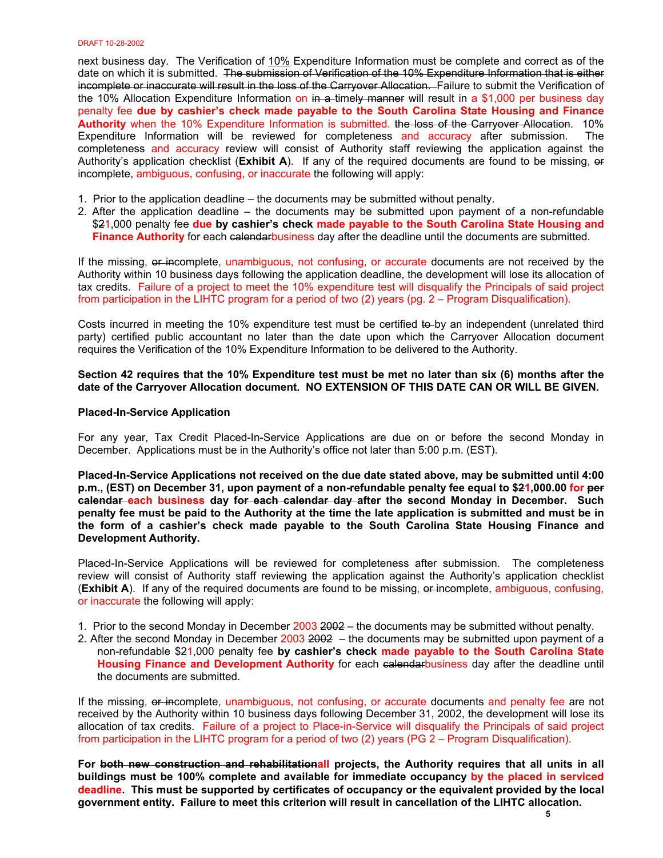next business day. The Verification of 10% Expenditure Information must be complete and correct as of the date on which it is submitted. The submission of Verification of the 10% Expenditure Information that is either incomplete or inaccurate will result in the loss of the Carryover Allocation. Failure to submit the Verification of the 10% Allocation Expenditure Information on  $\overline{m}$  a timely manner will result in a \$1,000 per business day penalty fee **due by cashier's check made payable to the South Carolina State Housing and Finance Authority** when the 10% Expenditure Information is submitted. the loss of the Carryover Allocation.10% Expenditure Information will be reviewed for completeness and accuracy after submission. The completeness and accuracy review will consist of Authority staff reviewing the application against the Authority's application checklist (**Exhibit A**). If any of the required documents are found to be missing, or incomplete, ambiguous, confusing, or inaccurate the following will apply:

- 1. Prior to the application deadline the documents may be submitted without penalty.
- 2. After the application deadline the documents may be submitted upon payment of a non-refundable \$21,000 penalty fee **due by cashier's check made payable to the South Carolina State Housing and Finance Authority** for each calendarbusiness day after the deadline until the documents are submitted.

If the missing, or incomplete, unambiguous, not confusing, or accurate documents are not received by the Authority within 10 business days following the application deadline, the development will lose its allocation of tax credits. Failure of a project to meet the 10% expenditure test will disqualify the Principals of said project from participation in the LIHTC program for a period of two (2) years (pg. 2 – Program Disqualification).

Costs incurred in meeting the 10% expenditure test must be certified to by an independent (unrelated third party) certified public accountant no later than the date upon which the Carryover Allocation document requires the Verification of the 10% Expenditure Information to be delivered to the Authority.

## **Section 42 requires that the 10% Expenditure test must be met no later than six (6) months after the date of the Carryover Allocation document. NO EXTENSION OF THIS DATE CAN OR WILL BE GIVEN.**

#### **Placed-In-Service Application**

For any year, Tax Credit Placed-In-Service Applications are due on or before the second Monday in December. Applications must be in the Authority's office not later than 5:00 p.m. (EST).

**Placed-In-Service Applications not received on the due date stated above, may be submitted until 4:00 p.m., (EST) on December 31, upon payment of a non-refundable penalty fee equal to \$21,000.00 for per calendar each business day for each calendar day after the second Monday in December. Such penalty fee must be paid to the Authority at the time the late application is submitted and must be in the form of a cashier's check made payable to the South Carolina State Housing Finance and Development Authority.** 

Placed-In-Service Applications will be reviewed for completeness after submission. The completeness review will consist of Authority staff reviewing the application against the Authority's application checklist (**Exhibit A**). If any of the required documents are found to be missing, or incomplete, ambiguous, confusing, or inaccurate the following will apply:

- 1. Prior to the second Monday in December 2003 2002 the documents may be submitted without penalty.
- 2. After the second Monday in December 2003 2002 the documents may be submitted upon payment of a non-refundable \$21,000 penalty fee **by cashier's check made payable to the South Carolina State Housing Finance and Development Authority** for each calendarbusiness day after the deadline until the documents are submitted.

If the missing, or incomplete, unambiguous, not confusing, or accurate documents and penalty fee are not received by the Authority within 10 business days following December 31, 2002, the development will lose its allocation of tax credits. Failure of a project to Place-in-Service will disqualify the Principals of said project from participation in the LIHTC program for a period of two (2) years (PG 2 – Program Disqualification).

**For both new construction and rehabilitationall projects, the Authority requires that all units in all buildings must be 100% complete and available for immediate occupancy by the placed in serviced deadline. This must be supported by certificates of occupancy or the equivalent provided by the local government entity. Failure to meet this criterion will result in cancellation of the LIHTC allocation.**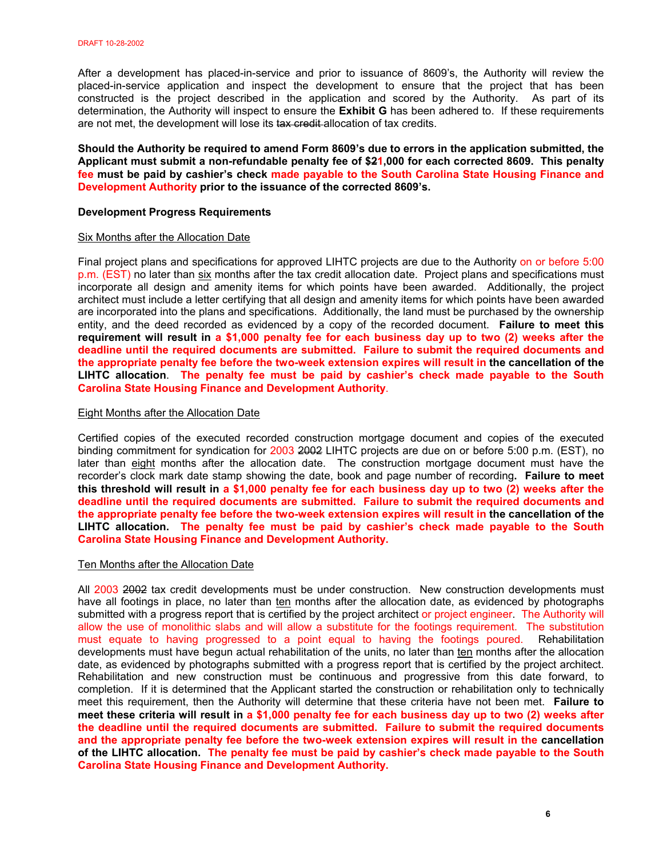After a development has placed-in-service and prior to issuance of 8609's, the Authority will review the placed-in-service application and inspect the development to ensure that the project that has been constructed is the project described in the application and scored by the Authority. As part of its determination, the Authority will inspect to ensure the **Exhibit G** has been adhered to. If these requirements are not met, the development will lose its tax credit allocation of tax credits.

**Should the Authority be required to amend Form 8609's due to errors in the application submitted, the Applicant must submit a non-refundable penalty fee of \$21,000 for each corrected 8609. This penalty fee must be paid by cashier's check made payable to the South Carolina State Housing Finance and Development Authority prior to the issuance of the corrected 8609's.** 

## **Development Progress Requirements**

#### Six Months after the Allocation Date

Final project plans and specifications for approved LIHTC projects are due to the Authority on or before 5:00 p.m. (EST) no later than six months after the tax credit allocation date. Project plans and specifications must incorporate all design and amenity items for which points have been awarded. Additionally, the project architect must include a letter certifying that all design and amenity items for which points have been awarded are incorporated into the plans and specifications. Additionally, the land must be purchased by the ownership entity, and the deed recorded as evidenced by a copy of the recorded document. **Failure to meet this requirement will result in a \$1,000 penalty fee for each business day up to two (2) weeks after the deadline until the required documents are submitted. Failure to submit the required documents and the appropriate penalty fee before the two-week extension expires will result in the cancellation of the LIHTC allocation**. **The penalty fee must be paid by cashier's check made payable to the South Carolina State Housing Finance and Development Authority**.

## Eight Months after the Allocation Date

Certified copies of the executed recorded construction mortgage document and copies of the executed binding commitment for syndication for 2003 2002 LIHTC projects are due on or before 5:00 p.m. (EST), no later than eight months after the allocation date. The construction mortgage document must have the recorder's clock mark date stamp showing the date, book and page number of recording**. Failure to meet this threshold will result in a \$1,000 penalty fee for each business day up to two (2) weeks after the deadline until the required documents are submitted. Failure to submit the required documents and the appropriate penalty fee before the two-week extension expires will result in the cancellation of the LIHTC allocation. The penalty fee must be paid by cashier's check made payable to the South Carolina State Housing Finance and Development Authority.**

## Ten Months after the Allocation Date

All 2003 2002 tax credit developments must be under construction. New construction developments must have all footings in place, no later than ten months after the allocation date, as evidenced by photographs submitted with a progress report that is certified by the project architect or project engineer. The Authority will allow the use of monolithic slabs and will allow a substitute for the footings requirement. The substitution must equate to having progressed to a point equal to having the footings poured. Rehabilitation developments must have begun actual rehabilitation of the units, no later than ten months after the allocation date, as evidenced by photographs submitted with a progress report that is certified by the project architect. Rehabilitation and new construction must be continuous and progressive from this date forward, to completion. If it is determined that the Applicant started the construction or rehabilitation only to technically meet this requirement, then the Authority will determine that these criteria have not been met. **Failure to meet these criteria will result in a \$1,000 penalty fee for each business day up to two (2) weeks after the deadline until the required documents are submitted. Failure to submit the required documents and the appropriate penalty fee before the two-week extension expires will result in the cancellation of the LIHTC allocation. The penalty fee must be paid by cashier's check made payable to the South Carolina State Housing Finance and Development Authority.**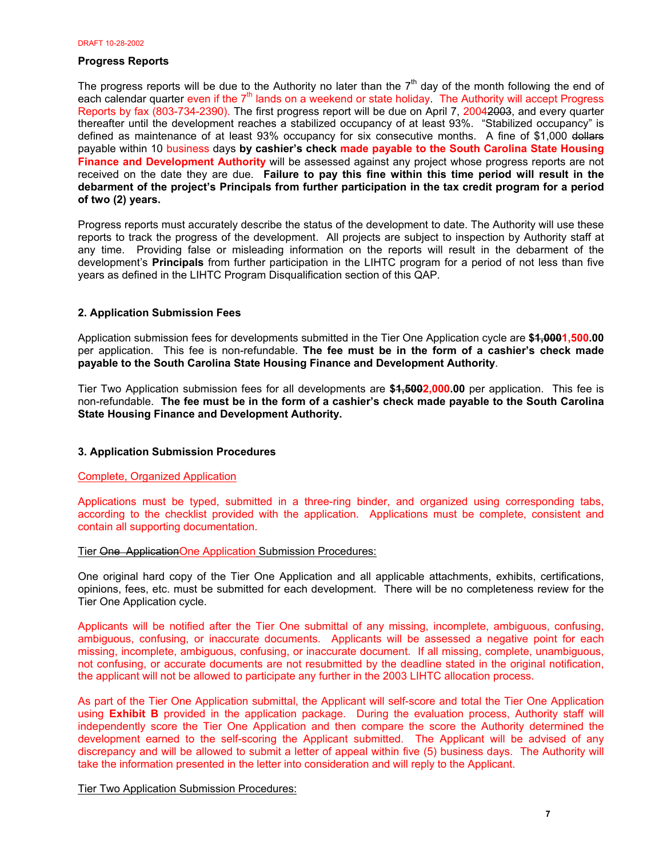## **Progress Reports**

The progress reports will be due to the Authority no later than the  $7<sup>th</sup>$  day of the month following the end of each calendar quarter even if the 7<sup>th</sup> lands on a weekend or state holiday. The Authority will accept Progress Reports by fax (803-734-2390). The first progress report will be due on April 7, 20042003, and every quarter thereafter until the development reaches a stabilized occupancy of at least 93%. "Stabilized occupancy" is defined as maintenance of at least 93% occupancy for six consecutive months. A fine of \$1,000 dollars payable within 10 business days **by cashier's check made payable to the South Carolina State Housing Finance and Development Authority** will be assessed against any project whose progress reports are not received on the date they are due. **Failure to pay this fine within this time period will result in the debarment of the project's Principals from further participation in the tax credit program for a period of two (2) years.**

Progress reports must accurately describe the status of the development to date. The Authority will use these reports to track the progress of the development. All projects are subject to inspection by Authority staff at any time. Providing false or misleading information on the reports will result in the debarment of the development's **Principals** from further participation in the LIHTC program for a period of not less than five years as defined in the LIHTC Program Disqualification section of this QAP.

## **2. Application Submission Fees**

Application submission fees for developments submitted in the Tier One Application cycle are **\$1,0001,500.00** per application. This fee is non-refundable. **The fee must be in the form of a cashier's check made payable to the South Carolina State Housing Finance and Development Authority**.

Tier Two Application submission fees for all developments are **\$1,5002,000.00** per application. This fee is non-refundable. **The fee must be in the form of a cashier's check made payable to the South Carolina State Housing Finance and Development Authority.**

## **3. Application Submission Procedures**

## Complete, Organized Application

Applications must be typed, submitted in a three-ring binder, and organized using corresponding tabs, according to the checklist provided with the application. Applications must be complete, consistent and contain all supporting documentation.

## Tier One ApplicationOne Application Submission Procedures:

One original hard copy of the Tier One Application and all applicable attachments, exhibits, certifications, opinions, fees, etc. must be submitted for each development. There will be no completeness review for the Tier One Application cycle.

Applicants will be notified after the Tier One submittal of any missing, incomplete, ambiguous, confusing, ambiguous, confusing, or inaccurate documents. Applicants will be assessed a negative point for each missing, incomplete, ambiguous, confusing, or inaccurate document. If all missing, complete, unambiguous, not confusing, or accurate documents are not resubmitted by the deadline stated in the original notification, the applicant will not be allowed to participate any further in the 2003 LIHTC allocation process.

As part of the Tier One Application submittal, the Applicant will self-score and total the Tier One Application using **Exhibit B** provided in the application package. During the evaluation process, Authority staff will independently score the Tier One Application and then compare the score the Authority determined the development earned to the self-scoring the Applicant submitted. The Applicant will be advised of any discrepancy and will be allowed to submit a letter of appeal within five (5) business days. The Authority will take the information presented in the letter into consideration and will reply to the Applicant.

Tier Two Application Submission Procedures: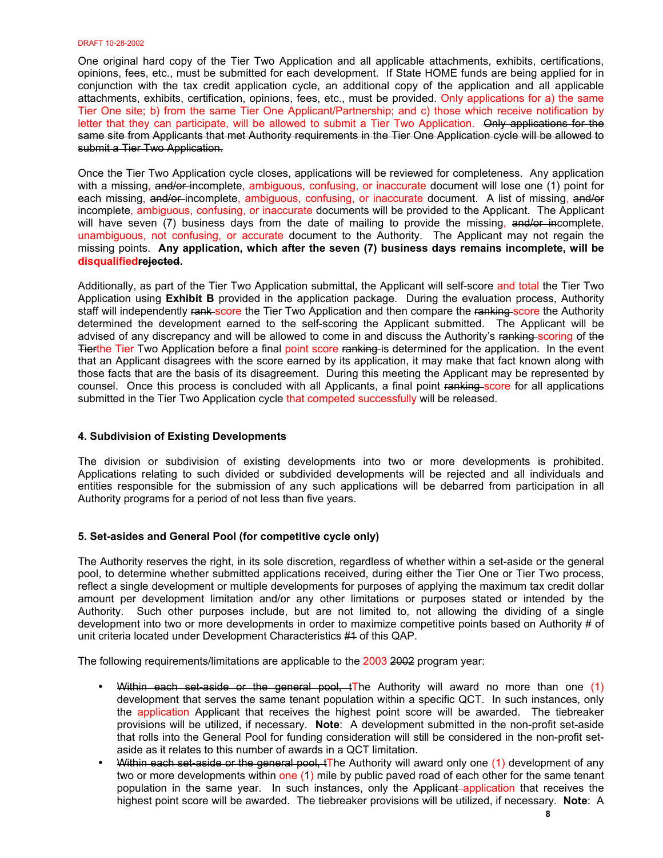One original hard copy of the Tier Two Application and all applicable attachments, exhibits, certifications, opinions, fees, etc., must be submitted for each development. If State HOME funds are being applied for in conjunction with the tax credit application cycle, an additional copy of the application and all applicable attachments, exhibits, certification, opinions, fees, etc., must be provided. Only applications for a) the same Tier One site; b) from the same Tier One Applicant/Partnership; and c) those which receive notification by letter that they can participate, will be allowed to submit a Tier Two Application. Only applications for the same site from Applicants that met Authority requirements in the Tier One Application cycle will be allowed to submit a Tier Two Application.

Once the Tier Two Application cycle closes, applications will be reviewed for completeness. Any application with a missing, and/or-incomplete, ambiguous, confusing, or inaccurate document will lose one (1) point for each missing, and/or-incomplete, ambiguous, confusing, or inaccurate document. A list of missing, and/or incomplete, ambiguous, confusing, or inaccurate documents will be provided to the Applicant. The Applicant will have seven (7) business days from the date of mailing to provide the missing, and/or incomplete, unambiguous, not confusing, or accurate document to the Authority. The Applicant may not regain the missing points. **Any application, which after the seven (7) business days remains incomplete, will be disqualifiedrejected.** 

Additionally, as part of the Tier Two Application submittal, the Applicant will self-score and total the Tier Two Application using **Exhibit B** provided in the application package. During the evaluation process, Authority staff will independently rank score the Tier Two Application and then compare the ranking score the Authority determined the development earned to the self-scoring the Applicant submitted. The Applicant will be advised of any discrepancy and will be allowed to come in and discuss the Authority's ranking scoring of the Tierthe Tier Two Application before a final point score ranking is determined for the application. In the event that an Applicant disagrees with the score earned by its application, it may make that fact known along with those facts that are the basis of its disagreement. During this meeting the Applicant may be represented by counsel. Once this process is concluded with all Applicants, a final point ranking score for all applications submitted in the Tier Two Application cycle that competed successfully will be released.

## **4. Subdivision of Existing Developments**

The division or subdivision of existing developments into two or more developments is prohibited. Applications relating to such divided or subdivided developments will be rejected and all individuals and entities responsible for the submission of any such applications will be debarred from participation in all Authority programs for a period of not less than five years.

## **5. Set-asides and General Pool (for competitive cycle only)**

The Authority reserves the right, in its sole discretion, regardless of whether within a set-aside or the general pool, to determine whether submitted applications received, during either the Tier One or Tier Two process, reflect a single development or multiple developments for purposes of applying the maximum tax credit dollar amount per development limitation and/or any other limitations or purposes stated or intended by the Authority. Such other purposes include, but are not limited to, not allowing the dividing of a single development into two or more developments in order to maximize competitive points based on Authority # of unit criteria located under Development Characteristics #1 of this QAP.

The following requirements/limitations are applicable to the 2003 2002 program year:

- Within each set-aside or the general pool,  $t$ The Authority will award no more than one  $(1)$ development that serves the same tenant population within a specific QCT. In such instances, only the application Applicant that receives the highest point score will be awarded. The tiebreaker provisions will be utilized, if necessary. **Note**: A development submitted in the non-profit set-aside that rolls into the General Pool for funding consideration will still be considered in the non-profit setaside as it relates to this number of awards in a QCT limitation.
- Within each set aside or the general pool, tThe Authority will award only one (1) development of any two or more developments within one (1) mile by public paved road of each other for the same tenant population in the same year. In such instances, only the Applicant application that receives the highest point score will be awarded. The tiebreaker provisions will be utilized, if necessary. **Note**: A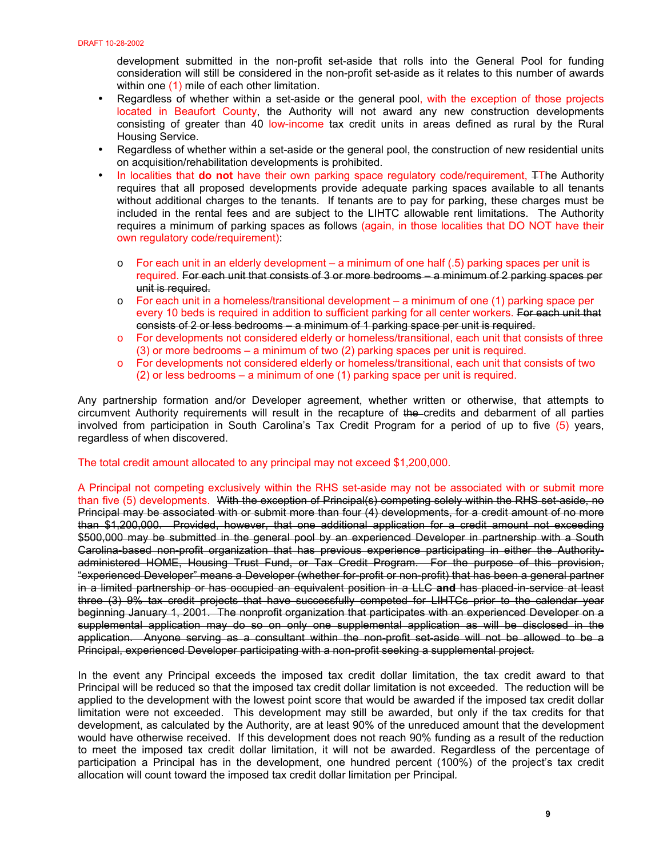development submitted in the non-profit set-aside that rolls into the General Pool for funding consideration will still be considered in the non-profit set-aside as it relates to this number of awards within one (1) mile of each other limitation.

- Regardless of whether within a set-aside or the general pool, with the exception of those projects located in Beaufort County, the Authority will not award any new construction developments consisting of greater than 40 low-income tax credit units in areas defined as rural by the Rural Housing Service.
- Regardless of whether within a set-aside or the general pool, the construction of new residential units on acquisition/rehabilitation developments is prohibited.
- In localities that **do not** have their own parking space regulatory code/requirement, TThe Authority requires that all proposed developments provide adequate parking spaces available to all tenants without additional charges to the tenants. If tenants are to pay for parking, these charges must be included in the rental fees and are subject to the LIHTC allowable rent limitations. The Authority requires a minimum of parking spaces as follows (again, in those localities that DO NOT have their own regulatory code/requirement):
	- o For each unit in an elderly development a minimum of one half (.5) parking spaces per unit is required. For each unit that consists of 3 or more bedrooms – a minimum of 2 parking spaces per unit is required.
	- $\circ$  For each unit in a homeless/transitional development a minimum of one (1) parking space per every 10 beds is required in addition to sufficient parking for all center workers. For each unit that consists of 2 or less bedrooms – a minimum of 1 parking space per unit is required.
	- o For developments not considered elderly or homeless/transitional, each unit that consists of three (3) or more bedrooms – a minimum of two (2) parking spaces per unit is required.
	- o For developments not considered elderly or homeless/transitional, each unit that consists of two (2) or less bedrooms – a minimum of one (1) parking space per unit is required.

Any partnership formation and/or Developer agreement, whether written or otherwise, that attempts to circumvent Authority requirements will result in the recapture of the credits and debarment of all parties involved from participation in South Carolina's Tax Credit Program for a period of up to five (5) years, regardless of when discovered.

## The total credit amount allocated to any principal may not exceed \$1,200,000.

A Principal not competing exclusively within the RHS set-aside may not be associated with or submit more than five (5) developments. With the exception of Principal(s) competing solely within the RHS set-aside, no Principal may be associated with or submit more than four (4) developments, for a credit amount of no more than \$1,200,000. Provided, however, that one additional application for a credit amount not exceeding \$500,000 may be submitted in the general pool by an experienced Developer in partnership with a South Carolina-based non-profit organization that has previous experience participating in either the Authorityadministered HOME, Housing Trust Fund, or Tax Credit Program. For the purpose of this provision, "experienced Developer" means a Developer (whether for-profit or non-profit) that has been a general partner in a limited partnership or has occupied an equivalent position in a LLC **and** has placed-in-service at least three (3) 9% tax credit projects that have successfully competed for LIHTCs prior to the calendar year beginning January 1, 2001. The nonprofit organization that participates with an experienced Developer on a supplemental application may do so on only one supplemental application as will be disclosed in the application. Anyone serving as a consultant within the non-profit set-aside will not be allowed to be a Principal, experienced Developer participating with a non-profit seeking a supplemental project.

In the event any Principal exceeds the imposed tax credit dollar limitation, the tax credit award to that Principal will be reduced so that the imposed tax credit dollar limitation is not exceeded. The reduction will be applied to the development with the lowest point score that would be awarded if the imposed tax credit dollar limitation were not exceeded. This development may still be awarded, but only if the tax credits for that development, as calculated by the Authority, are at least 90% of the unreduced amount that the development would have otherwise received. If this development does not reach 90% funding as a result of the reduction to meet the imposed tax credit dollar limitation, it will not be awarded. Regardless of the percentage of participation a Principal has in the development, one hundred percent (100%) of the project's tax credit allocation will count toward the imposed tax credit dollar limitation per Principal*.*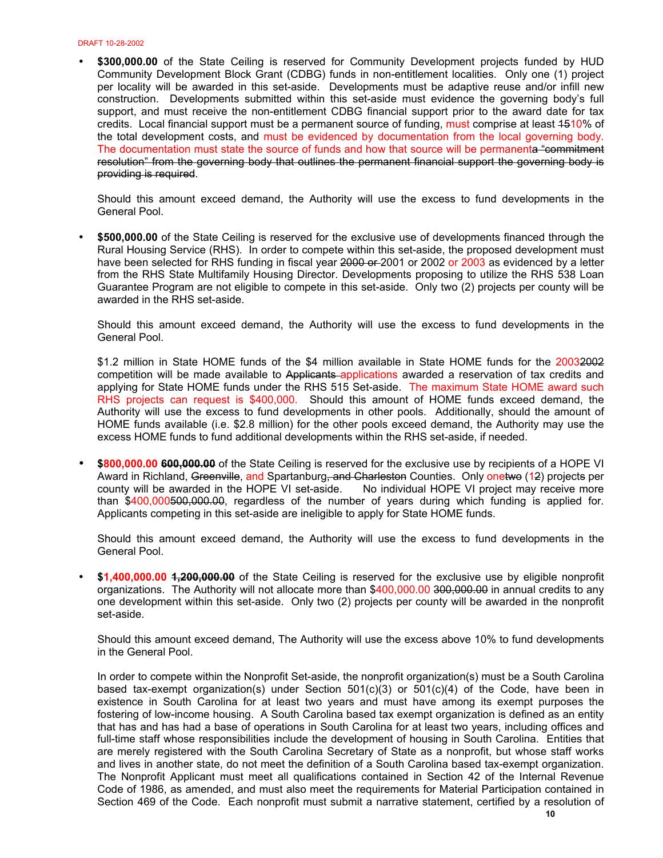• **\$300,000.00** of the State Ceiling is reserved for Community Development projects funded by HUD Community Development Block Grant (CDBG) funds in non-entitlement localities. Only one (1) project per locality will be awarded in this set-aside. Developments must be adaptive reuse and/or infill new construction. Developments submitted within this set-aside must evidence the governing body's full support, and must receive the non-entitlement CDBG financial support prior to the award date for tax credits. Local financial support must be a permanent source of funding, must comprise at least 4510% of the total development costs, and must be evidenced by documentation from the local governing body. The documentation must state the source of funds and how that source will be permanenta "commitment resolution" from the governing body that outlines the permanent financial support the governing body is providing is required.

Should this amount exceed demand, the Authority will use the excess to fund developments in the General Pool.

• **\$500,000.00** of the State Ceiling is reserved for the exclusive use of developments financed through the Rural Housing Service (RHS). In order to compete within this set-aside, the proposed development must have been selected for RHS funding in fiscal year 2000 or 2001 or 2002 or 2003 as evidenced by a letter from the RHS State Multifamily Housing Director. Developments proposing to utilize the RHS 538 Loan Guarantee Program are not eligible to compete in this set-aside. Only two (2) projects per county will be awarded in the RHS set-aside.

Should this amount exceed demand, the Authority will use the excess to fund developments in the General Pool.

\$1.2 million in State HOME funds of the \$4 million available in State HOME funds for the 20032002 competition will be made available to Applicants applications awarded a reservation of tax credits and applying for State HOME funds under the RHS 515 Set-aside. The maximum State HOME award such RHS projects can request is \$400,000. Should this amount of HOME funds exceed demand, the Authority will use the excess to fund developments in other pools. Additionally, should the amount of HOME funds available (i.e. \$2.8 million) for the other pools exceed demand, the Authority may use the excess HOME funds to fund additional developments within the RHS set-aside, if needed.

• **\$800,000.00 600,000.00** of the State Ceiling is reserved for the exclusive use by recipients of a HOPE VI Award in Richland, Greenville, and Spartanburg, and Charleston Counties. Only onetwo (12) projects per county will be awarded in the HOPE VI set-aside. No individual HOPE VI project may receive more than \$400,000500,000.00, regardless of the number of years during which funding is applied for. Applicants competing in this set-aside are ineligible to apply for State HOME funds.

Should this amount exceed demand, the Authority will use the excess to fund developments in the General Pool.

• **\$1,400,000.00 1,200,000.00** of the State Ceiling is reserved for the exclusive use by eligible nonprofit organizations. The Authority will not allocate more than \$400,000.00 300,000.00 in annual credits to any one development within this set-aside. Only two (2) projects per county will be awarded in the nonprofit set-aside.

Should this amount exceed demand, The Authority will use the excess above 10% to fund developments in the General Pool.

In order to compete within the Nonprofit Set-aside, the nonprofit organization(s) must be a South Carolina based tax-exempt organization(s) under Section 501(c)(3) or 501(c)(4) of the Code, have been in existence in South Carolina for at least two years and must have among its exempt purposes the fostering of low-income housing. A South Carolina based tax exempt organization is defined as an entity that has and has had a base of operations in South Carolina for at least two years, including offices and full-time staff whose responsibilities include the development of housing in South Carolina. Entities that are merely registered with the South Carolina Secretary of State as a nonprofit, but whose staff works and lives in another state, do not meet the definition of a South Carolina based tax-exempt organization. The Nonprofit Applicant must meet all qualifications contained in Section 42 of the Internal Revenue Code of 1986, as amended, and must also meet the requirements for Material Participation contained in Section 469 of the Code. Each nonprofit must submit a narrative statement, certified by a resolution of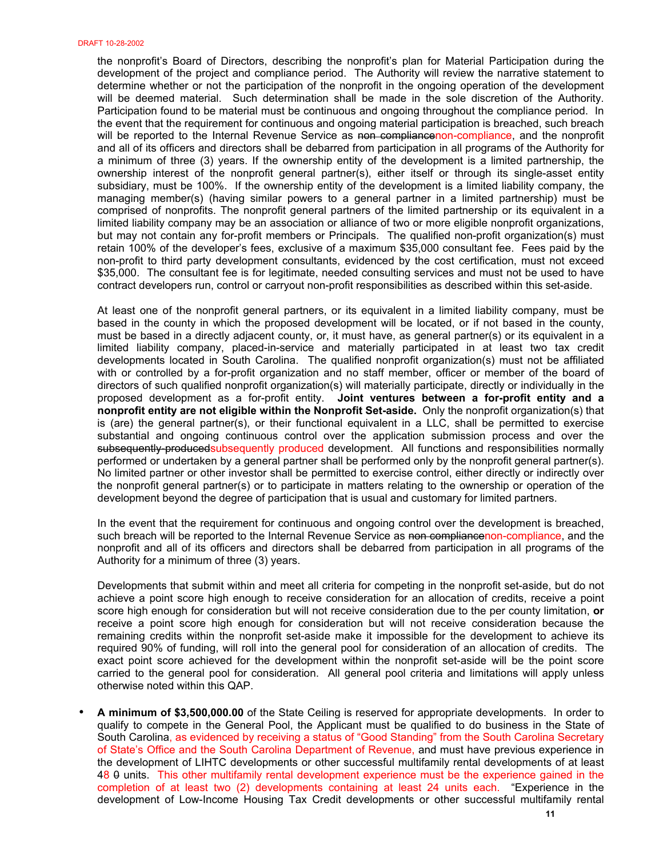the nonprofit's Board of Directors, describing the nonprofit's plan for Material Participation during the development of the project and compliance period. The Authority will review the narrative statement to determine whether or not the participation of the nonprofit in the ongoing operation of the development will be deemed material. Such determination shall be made in the sole discretion of the Authority. Participation found to be material must be continuous and ongoing throughout the compliance period. In the event that the requirement for continuous and ongoing material participation is breached, such breach will be reported to the Internal Revenue Service as non compliancenon-compliance, and the nonprofit and all of its officers and directors shall be debarred from participation in all programs of the Authority for a minimum of three (3) years. If the ownership entity of the development is a limited partnership, the ownership interest of the nonprofit general partner(s), either itself or through its single-asset entity subsidiary, must be 100%. If the ownership entity of the development is a limited liability company, the managing member(s) (having similar powers to a general partner in a limited partnership) must be comprised of nonprofits. The nonprofit general partners of the limited partnership or its equivalent in a limited liability company may be an association or alliance of two or more eligible nonprofit organizations, but may not contain any for-profit members or Principals. The qualified non-profit organization(s) must retain 100% of the developer's fees, exclusive of a maximum \$35,000 consultant fee. Fees paid by the non-profit to third party development consultants, evidenced by the cost certification, must not exceed \$35,000. The consultant fee is for legitimate, needed consulting services and must not be used to have contract developers run, control or carryout non-profit responsibilities as described within this set-aside.

At least one of the nonprofit general partners, or its equivalent in a limited liability company, must be based in the county in which the proposed development will be located, or if not based in the county, must be based in a directly adjacent county, or, it must have, as general partner(s) or its equivalent in a limited liability company, placed-in-service and materially participated in at least two tax credit developments located in South Carolina. The qualified nonprofit organization(s) must not be affiliated with or controlled by a for-profit organization and no staff member, officer or member of the board of directors of such qualified nonprofit organization(s) will materially participate, directly or individually in the proposed development as a for-profit entity. **Joint ventures between a for-profit entity and a nonprofit entity are not eligible within the Nonprofit Set-aside.** Only the nonprofit organization(s) that is (are) the general partner(s), or their functional equivalent in a LLC, shall be permitted to exercise substantial and ongoing continuous control over the application submission process and over the subsequently-producedsubsequently produced development. All functions and responsibilities normally performed or undertaken by a general partner shall be performed only by the nonprofit general partner(s). No limited partner or other investor shall be permitted to exercise control, either directly or indirectly over the nonprofit general partner(s) or to participate in matters relating to the ownership or operation of the development beyond the degree of participation that is usual and customary for limited partners.

In the event that the requirement for continuous and ongoing control over the development is breached, such breach will be reported to the Internal Revenue Service as non compliancenon-compliance, and the nonprofit and all of its officers and directors shall be debarred from participation in all programs of the Authority for a minimum of three (3) years.

Developments that submit within and meet all criteria for competing in the nonprofit set-aside, but do not achieve a point score high enough to receive consideration for an allocation of credits, receive a point score high enough for consideration but will not receive consideration due to the per county limitation, **or**  receive a point score high enough for consideration but will not receive consideration because the remaining credits within the nonprofit set-aside make it impossible for the development to achieve its required 90% of funding, will roll into the general pool for consideration of an allocation of credits. The exact point score achieved for the development within the nonprofit set-aside will be the point score carried to the general pool for consideration. All general pool criteria and limitations will apply unless otherwise noted within this QAP.

• **A minimum of \$3,500,000.00** of the State Ceiling is reserved for appropriate developments. In order to qualify to compete in the General Pool, the Applicant must be qualified to do business in the State of South Carolina, as evidenced by receiving a status of "Good Standing" from the South Carolina Secretary of State's Office and the South Carolina Department of Revenue, and must have previous experience in the development of LIHTC developments or other successful multifamily rental developments of at least 48 0 units. This other multifamily rental development experience must be the experience gained in the completion of at least two (2) developments containing at least 24 units each. "Experience in the development of Low-Income Housing Tax Credit developments or other successful multifamily rental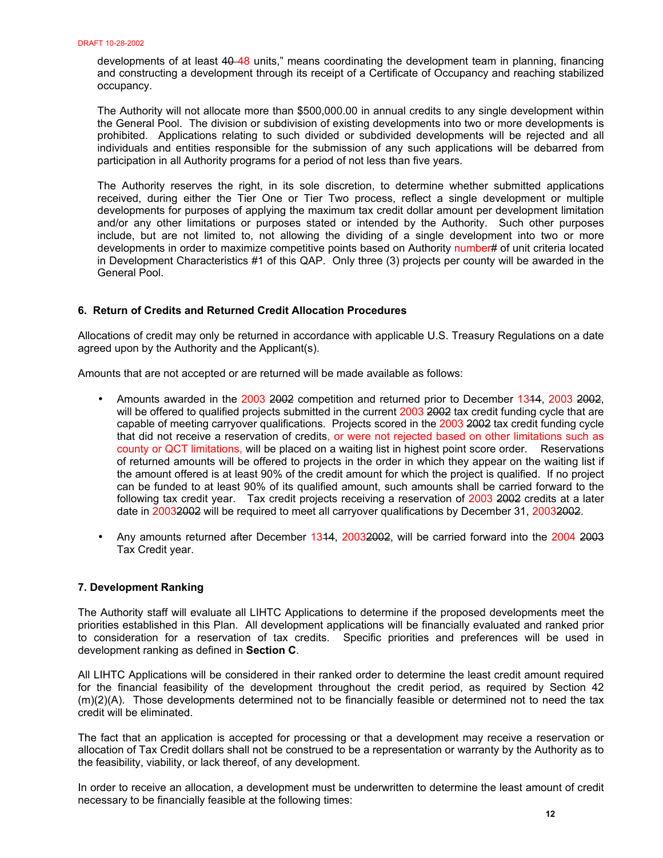developments of at least 40-48 units," means coordinating the development team in planning, financing and constructing a development through its receipt of a Certificate of Occupancy and reaching stabilized occupancy.

The Authority will not allocate more than \$500,000.00 in annual credits to any single development within the General Pool. The division or subdivision of existing developments into two or more developments is prohibited. Applications relating to such divided or subdivided developments will be rejected and all individuals and entities responsible for the submission of any such applications will be debarred from participation in all Authority programs for a period of not less than five years.

The Authority reserves the right, in its sole discretion, to determine whether submitted applications received, during either the Tier One or Tier Two process, reflect a single development or multiple developments for purposes of applying the maximum tax credit dollar amount per development limitation and/or any other limitations or purposes stated or intended by the Authority. Such other purposes include, but are not limited to, not allowing the dividing of a single development into two or more developments in order to maximize competitive points based on Authority number# of unit criteria located in Development Characteristics #1 of this QAP. Only three (3) projects per county will be awarded in the General Pool.

# **6. Return of Credits and Returned Credit Allocation Procedures**

Allocations of credit may only be returned in accordance with applicable U.S. Treasury Regulations on a date agreed upon by the Authority and the Applicant(s).

Amounts that are not accepted or are returned will be made available as follows:

- Amounts awarded in the 2003 2002 competition and returned prior to December 1314, 2003 2002, will be offered to qualified projects submitted in the current 2003 2002 tax credit funding cycle that are capable of meeting carryover qualifications. Projects scored in the 2003 2002 tax credit funding cycle that did not receive a reservation of credits, or were not rejected based on other limitations such as county or QCT limitations, will be placed on a waiting list in highest point score order. Reservations of returned amounts will be offered to projects in the order in which they appear on the waiting list if the amount offered is at least 90% of the credit amount for which the project is qualified. If no project can be funded to at least 90% of its qualified amount, such amounts shall be carried forward to the following tax credit year. Tax credit projects receiving a reservation of 2003 2002 credits at a later date in 20032002 will be required to meet all carryover qualifications by December 31, 20032002.
- Any amounts returned after December 1344, 20032002, will be carried forward into the 2004 2003 Tax Credit year.

## **7. Development Ranking**

The Authority staff will evaluate all LIHTC Applications to determine if the proposed developments meet the priorities established in this Plan. All development applications will be financially evaluated and ranked prior to consideration for a reservation of tax credits. Specific priorities and preferences will be used in development ranking as defined in **Section C**.

All LIHTC Applications will be considered in their ranked order to determine the least credit amount required for the financial feasibility of the development throughout the credit period, as required by Section 42 (m)(2)(A). Those developments determined not to be financially feasible or determined not to need the tax credit will be eliminated.

The fact that an application is accepted for processing or that a development may receive a reservation or allocation of Tax Credit dollars shall not be construed to be a representation or warranty by the Authority as to the feasibility, viability, or lack thereof, of any development.

In order to receive an allocation, a development must be underwritten to determine the least amount of credit necessary to be financially feasible at the following times: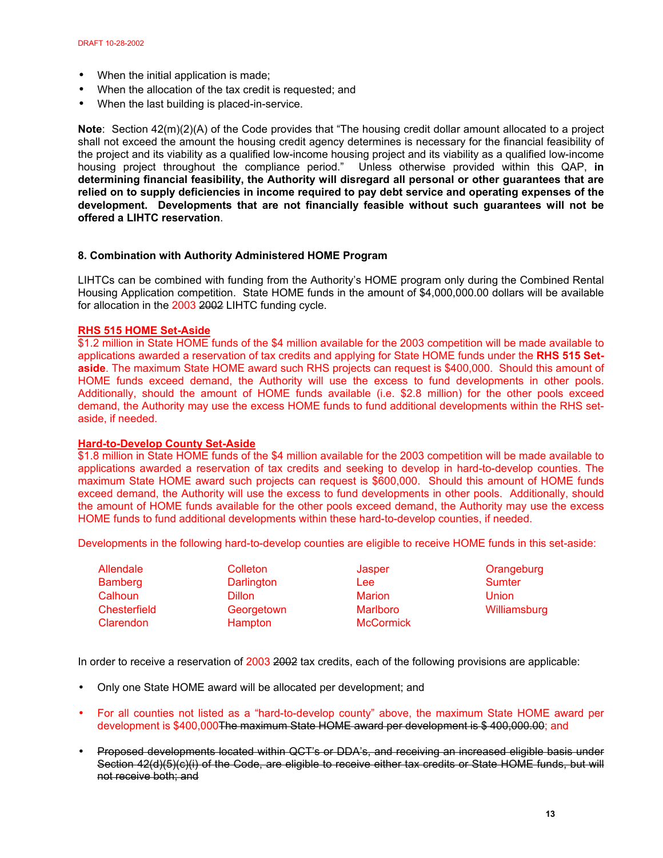- When the initial application is made;
- When the allocation of the tax credit is requested; and
- When the last building is placed-in-service.

**Note**: Section 42(m)(2)(A) of the Code provides that "The housing credit dollar amount allocated to a project shall not exceed the amount the housing credit agency determines is necessary for the financial feasibility of the project and its viability as a qualified low-income housing project and its viability as a qualified low-income housing project throughout the compliance period." Unless otherwise provided within this QAP, **in determining financial feasibility, the Authority will disregard all personal or other guarantees that are relied on to supply deficiencies in income required to pay debt service and operating expenses of the development. Developments that are not financially feasible without such guarantees will not be offered a LIHTC reservation**.

## **8. Combination with Authority Administered HOME Program**

LIHTCs can be combined with funding from the Authority's HOME program only during the Combined Rental Housing Application competition. State HOME funds in the amount of \$4,000,000.00 dollars will be available for allocation in the 2003 2002 LIHTC funding cycle.

## **RHS 515 HOME Set-Aside**

\$1.2 million in State HOME funds of the \$4 million available for the 2003 competition will be made available to applications awarded a reservation of tax credits and applying for State HOME funds under the **RHS 515 Setaside**. The maximum State HOME award such RHS projects can request is \$400,000. Should this amount of HOME funds exceed demand, the Authority will use the excess to fund developments in other pools. Additionally, should the amount of HOME funds available (i.e. \$2.8 million) for the other pools exceed demand, the Authority may use the excess HOME funds to fund additional developments within the RHS setaside, if needed.

## **Hard-to-Develop County Set-Aside**

\$1.8 million in State HOME funds of the \$4 million available for the 2003 competition will be made available to applications awarded a reservation of tax credits and seeking to develop in hard-to-develop counties. The maximum State HOME award such projects can request is \$600,000. Should this amount of HOME funds exceed demand, the Authority will use the excess to fund developments in other pools. Additionally, should the amount of HOME funds available for the other pools exceed demand, the Authority may use the excess HOME funds to fund additional developments within these hard-to-develop counties, if needed.

Developments in the following hard-to-develop counties are eligible to receive HOME funds in this set-aside:

| Allendale      | Colleton      | Jasper           | Orangeburg    |
|----------------|---------------|------------------|---------------|
| <b>Bamberg</b> | Darlington    | Lee:             | <b>Sumter</b> |
| Calhoun        | <b>Dillon</b> | <b>Marion</b>    | <b>Union</b>  |
| Chesterfield   | Georgetown    | <b>Marlboro</b>  | Williamsburg  |
| Clarendon      | Hampton       | <b>McCormick</b> |               |

In order to receive a reservation of 2003 2002 tax credits, each of the following provisions are applicable:

- Only one State HOME award will be allocated per development; and
- For all counties not listed as a "hard-to-develop county" above, the maximum State HOME award per development is \$400,000The maximum State HOME award per development is \$400,000.00; and
- Proposed developments located within QCT's or DDA's, and receiving an increased eligible basis under Section 42(d)(5)(c)(i) of the Code, are eligible to receive either tax credits or State HOME funds, but will not receive both; and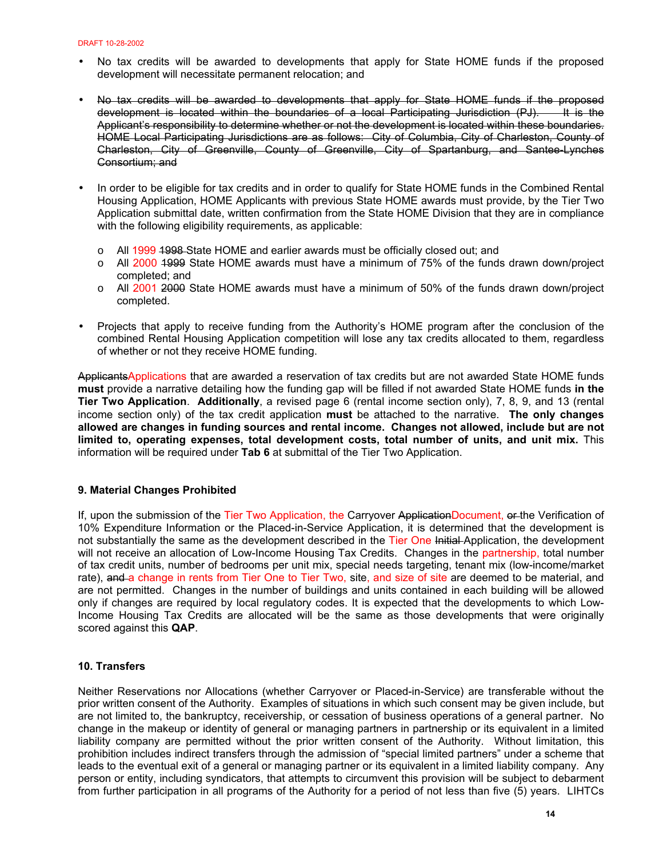- No tax credits will be awarded to developments that apply for State HOME funds if the proposed development will necessitate permanent relocation; and
- No tax credits will be awarded to developments that apply for State HOME funds if the proposed development is located within the boundaries of a local Participating Jurisdiction (PJ). It is the Applicant's responsibility to determine whether or not the development is located within these boundaries. HOME Local Participating Jurisdictions are as follows: City of Columbia, City of Charleston, County of Charleston, City of Greenville, County of Greenville, City of Spartanburg, and Santee-Lynches Consortium; and
- In order to be eligible for tax credits and in order to qualify for State HOME funds in the Combined Rental Housing Application, HOME Applicants with previous State HOME awards must provide, by the Tier Two Application submittal date, written confirmation from the State HOME Division that they are in compliance with the following eligibility requirements, as applicable:
	- $\circ$  All 1999 1998-State HOME and earlier awards must be officially closed out; and
	- $\circ$  All 2000 1999 State HOME awards must have a minimum of 75% of the funds drawn down/project completed; and
	- $\circ$  All 2001 2000 State HOME awards must have a minimum of 50% of the funds drawn down/project completed.
- Projects that apply to receive funding from the Authority's HOME program after the conclusion of the combined Rental Housing Application competition will lose any tax credits allocated to them, regardless of whether or not they receive HOME funding.

ApplicantsApplications that are awarded a reservation of tax credits but are not awarded State HOME funds **must** provide a narrative detailing how the funding gap will be filled if not awarded State HOME funds **in the Tier Two Application**. **Additionally**, a revised page 6 (rental income section only), 7, 8, 9, and 13 (rental income section only) of the tax credit application **must** be attached to the narrative. **The only changes allowed are changes in funding sources and rental income. Changes not allowed, include but are not limited to, operating expenses, total development costs, total number of units, and unit mix.** This information will be required under **Tab 6** at submittal of the Tier Two Application.

## **9. Material Changes Prohibited**

If, upon the submission of the Tier Two Application, the Carryover ApplicationDocument, or the Verification of 10% Expenditure Information or the Placed-in-Service Application, it is determined that the development is not substantially the same as the development described in the Tier One Initial Application, the development will not receive an allocation of Low-Income Housing Tax Credits. Changes in the partnership, total number of tax credit units, number of bedrooms per unit mix, special needs targeting, tenant mix (low-income/market rate), and a change in rents from Tier One to Tier Two, site, and size of site are deemed to be material, and are not permitted. Changes in the number of buildings and units contained in each building will be allowed only if changes are required by local regulatory codes. It is expected that the developments to which Low-Income Housing Tax Credits are allocated will be the same as those developments that were originally scored against this **QAP**.

## **10. Transfers**

Neither Reservations nor Allocations (whether Carryover or Placed-in-Service) are transferable without the prior written consent of the Authority. Examples of situations in which such consent may be given include, but are not limited to, the bankruptcy, receivership, or cessation of business operations of a general partner. No change in the makeup or identity of general or managing partners in partnership or its equivalent in a limited liability company are permitted without the prior written consent of the Authority. Without limitation, this prohibition includes indirect transfers through the admission of "special limited partners" under a scheme that leads to the eventual exit of a general or managing partner or its equivalent in a limited liability company. Any person or entity, including syndicators, that attempts to circumvent this provision will be subject to debarment from further participation in all programs of the Authority for a period of not less than five (5) years. LIHTCs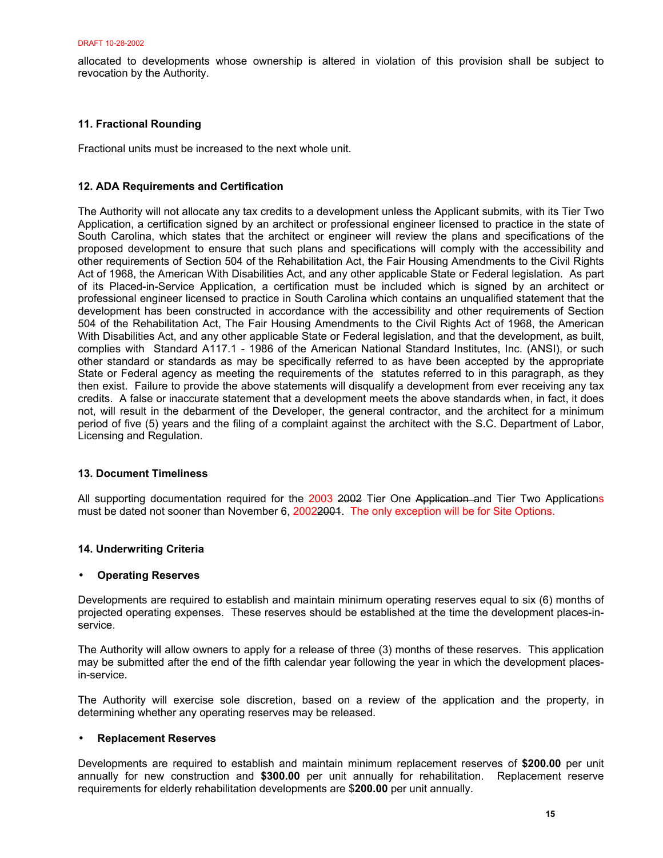allocated to developments whose ownership is altered in violation of this provision shall be subject to revocation by the Authority.

## **11. Fractional Rounding**

Fractional units must be increased to the next whole unit.

## **12. ADA Requirements and Certification**

The Authority will not allocate any tax credits to a development unless the Applicant submits, with its Tier Two Application, a certification signed by an architect or professional engineer licensed to practice in the state of South Carolina, which states that the architect or engineer will review the plans and specifications of the proposed development to ensure that such plans and specifications will comply with the accessibility and other requirements of Section 504 of the Rehabilitation Act, the Fair Housing Amendments to the Civil Rights Act of 1968, the American With Disabilities Act, and any other applicable State or Federal legislation. As part of its Placed-in-Service Application, a certification must be included which is signed by an architect or professional engineer licensed to practice in South Carolina which contains an unqualified statement that the development has been constructed in accordance with the accessibility and other requirements of Section 504 of the Rehabilitation Act, The Fair Housing Amendments to the Civil Rights Act of 1968, the American With Disabilities Act, and any other applicable State or Federal legislation, and that the development, as built, complies with Standard A117.1 - 1986 of the American National Standard Institutes, Inc. (ANSI), or such other standard or standards as may be specifically referred to as have been accepted by the appropriate State or Federal agency as meeting the requirements of the statutes referred to in this paragraph, as they then exist. Failure to provide the above statements will disqualify a development from ever receiving any tax credits. A false or inaccurate statement that a development meets the above standards when, in fact, it does not, will result in the debarment of the Developer, the general contractor, and the architect for a minimum period of five (5) years and the filing of a complaint against the architect with the S.C. Department of Labor, Licensing and Regulation.

## **13. Document Timeliness**

All supporting documentation required for the 2003 2002 Tier One Application and Tier Two Applications must be dated not sooner than November 6, 20022001. The only exception will be for Site Options.

## **14. Underwriting Criteria**

## • **Operating Reserves**

Developments are required to establish and maintain minimum operating reserves equal to six (6) months of projected operating expenses. These reserves should be established at the time the development places-inservice.

The Authority will allow owners to apply for a release of three (3) months of these reserves. This application may be submitted after the end of the fifth calendar year following the year in which the development placesin-service.

The Authority will exercise sole discretion, based on a review of the application and the property, in determining whether any operating reserves may be released.

## • **Replacement Reserves**

Developments are required to establish and maintain minimum replacement reserves of **\$200.00** per unit annually for new construction and **\$300.00** per unit annually for rehabilitation. Replacement reserve requirements for elderly rehabilitation developments are \$**200.00** per unit annually.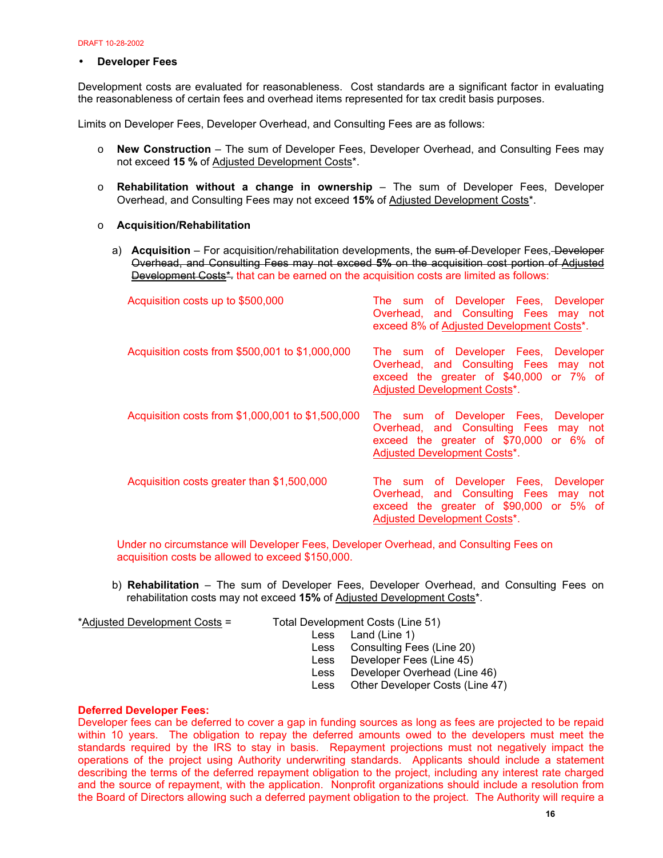## • **Developer Fees**

Development costs are evaluated for reasonableness. Cost standards are a significant factor in evaluating the reasonableness of certain fees and overhead items represented for tax credit basis purposes.

Limits on Developer Fees, Developer Overhead, and Consulting Fees are as follows:

- o **New Construction** The sum of Developer Fees, Developer Overhead, and Consulting Fees may not exceed **15 %** of Adjusted Development Costs\*.
- o **Rehabilitation without a change in ownership** The sum of Developer Fees, Developer Overhead, and Consulting Fees may not exceed **15%** of Adjusted Development Costs\*.
- o **Acquisition/Rehabilitation** 
	- a) **Acquisition** For acquisition/rehabilitation developments, the sum of Developer Fees, Developer Overhead, and Consulting Fees may not exceed **5%** on the acquisition cost portion of Adjusted Development Costs<sup>\*</sup>, that can be earned on the acquisition costs are limited as follows:

| Acquisition costs up to \$500,000                 | The sum of Developer Fees, Developer<br>Overhead, and Consulting Fees may not<br>exceed 8% of Adjusted Development Costs*.                                      |
|---------------------------------------------------|-----------------------------------------------------------------------------------------------------------------------------------------------------------------|
| Acquisition costs from \$500,001 to \$1,000,000   | The sum of Developer Fees, Developer<br>Overhead, and Consulting Fees may not<br>exceed the greater of \$40,000 or 7% of<br><b>Adjusted Development Costs*.</b> |
| Acquisition costs from \$1,000,001 to \$1,500,000 | The sum of Developer Fees, Developer<br>Overhead, and Consulting Fees may not<br>exceed the greater of \$70,000 or 6% of<br><b>Adjusted Development Costs*.</b> |
| Acquisition costs greater than \$1,500,000        | The sum of Developer Fees, Developer<br>Overhead, and Consulting Fees may not<br>exceed the greater of \$90,000 or 5% of<br><b>Adjusted Development Costs*.</b> |

Under no circumstance will Developer Fees, Developer Overhead, and Consulting Fees on acquisition costs be allowed to exceed \$150,000.

b) **Rehabilitation** – The sum of Developer Fees, Developer Overhead, and Consulting Fees on rehabilitation costs may not exceed **15%** of Adjusted Development Costs\*.

\*Adjusted Development Costs = Total Development Costs (Line 51)

 Less Land (Line 1) Less Consulting Fees (Line 20) Less Developer Fees (Line 45) Less Developer Overhead (Line 46) Less Other Developer Costs (Line 47)

## **Deferred Developer Fees:**

Developer fees can be deferred to cover a gap in funding sources as long as fees are projected to be repaid within 10 years. The obligation to repay the deferred amounts owed to the developers must meet the standards required by the IRS to stay in basis. Repayment projections must not negatively impact the operations of the project using Authority underwriting standards. Applicants should include a statement describing the terms of the deferred repayment obligation to the project, including any interest rate charged and the source of repayment, with the application. Nonprofit organizations should include a resolution from the Board of Directors allowing such a deferred payment obligation to the project. The Authority will require a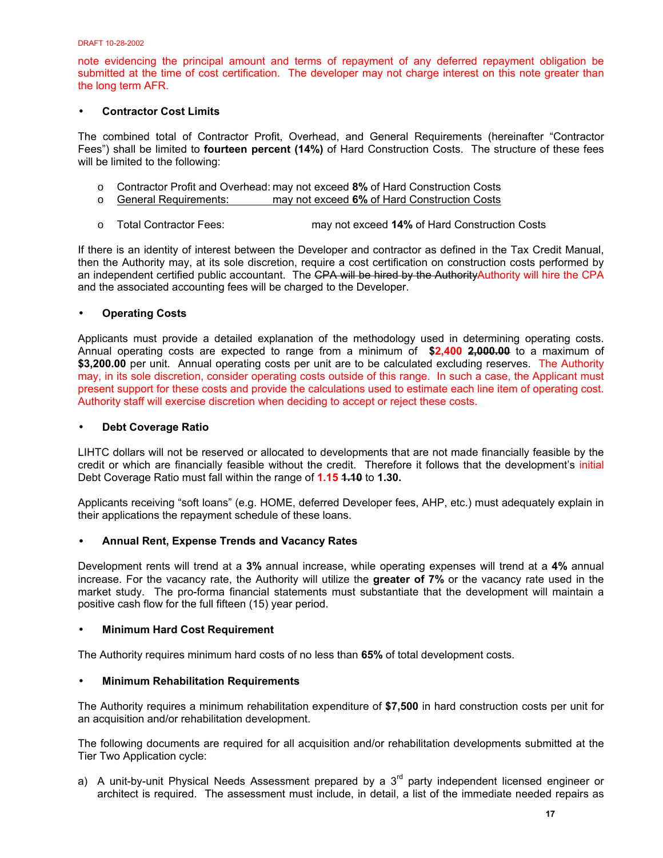note evidencing the principal amount and terms of repayment of any deferred repayment obligation be submitted at the time of cost certification. The developer may not charge interest on this note greater than the long term AFR.

## • **Contractor Cost Limits**

The combined total of Contractor Profit, Overhead, and General Requirements (hereinafter "Contractor Fees") shall be limited to **fourteen percent (14%)** of Hard Construction Costs. The structure of these fees will be limited to the following:

- o Contractor Profit and Overhead: may not exceed **8%** of Hard Construction Costs
- o General Requirements: may not exceed **6%** of Hard Construction Costs
- o Total Contractor Fees: may not exceed **14%** of Hard Construction Costs

If there is an identity of interest between the Developer and contractor as defined in the Tax Credit Manual, then the Authority may, at its sole discretion, require a cost certification on construction costs performed by an independent certified public accountant. The CPA will be hired by the AuthorityAuthority will hire the CPA and the associated accounting fees will be charged to the Developer.

## • **Operating Costs**

Applicants must provide a detailed explanation of the methodology used in determining operating costs. Annual operating costs are expected to range from a minimum of **\$2,400 2,000.00** to a maximum of **\$3,200.00** per unit. Annual operating costs per unit are to be calculated excluding reserves. The Authority may, in its sole discretion, consider operating costs outside of this range. In such a case, the Applicant must present support for these costs and provide the calculations used to estimate each line item of operating cost. Authority staff will exercise discretion when deciding to accept or reject these costs.

## • **Debt Coverage Ratio**

LIHTC dollars will not be reserved or allocated to developments that are not made financially feasible by the credit or which are financially feasible without the credit. Therefore it follows that the development's initial Debt Coverage Ratio must fall within the range of **1.15 1.10** to **1.30.**

Applicants receiving "soft loans" (e.g. HOME, deferred Developer fees, AHP, etc.) must adequately explain in their applications the repayment schedule of these loans.

## • **Annual Rent, Expense Trends and Vacancy Rates**

Development rents will trend at a **3%** annual increase, while operating expenses will trend at a **4%** annual increase. For the vacancy rate, the Authority will utilize the **greater of 7%** or the vacancy rate used in the market study. The pro-forma financial statements must substantiate that the development will maintain a positive cash flow for the full fifteen (15) year period.

## • **Minimum Hard Cost Requirement**

The Authority requires minimum hard costs of no less than **65%** of total development costs.

## • **Minimum Rehabilitation Requirements**

The Authority requires a minimum rehabilitation expenditure of **\$7,500** in hard construction costs per unit for an acquisition and/or rehabilitation development.

The following documents are required for all acquisition and/or rehabilitation developments submitted at the Tier Two Application cycle:

a) A unit-by-unit Physical Needs Assessment prepared by a  $3<sup>rd</sup>$  party independent licensed engineer or architect is required. The assessment must include, in detail, a list of the immediate needed repairs as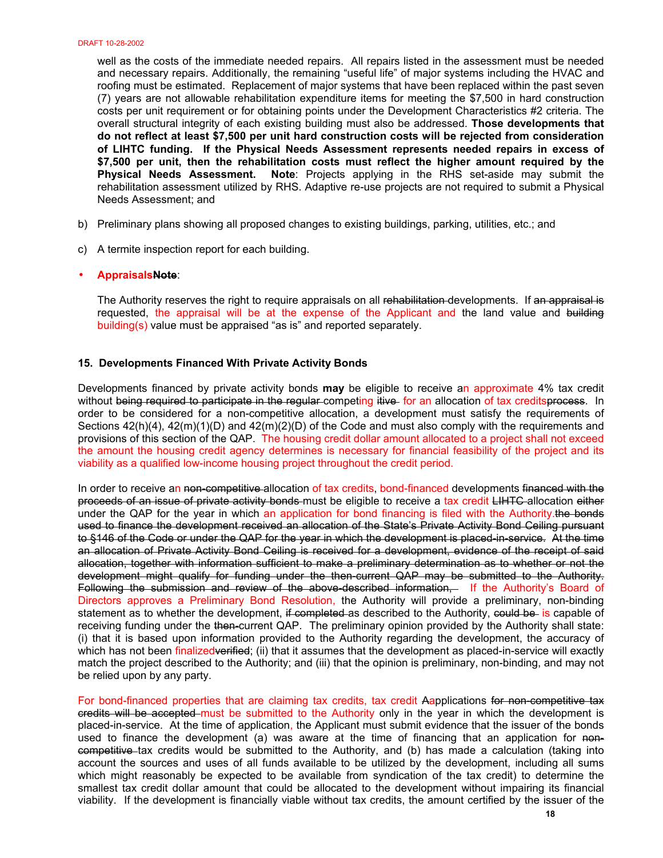well as the costs of the immediate needed repairs. All repairs listed in the assessment must be needed and necessary repairs. Additionally, the remaining "useful life" of major systems including the HVAC and roofing must be estimated. Replacement of major systems that have been replaced within the past seven (7) years are not allowable rehabilitation expenditure items for meeting the \$7,500 in hard construction costs per unit requirement or for obtaining points under the Development Characteristics #2 criteria. The overall structural integrity of each existing building must also be addressed. **Those developments that do not reflect at least \$7,500 per unit hard construction costs will be rejected from consideration of LIHTC funding. If the Physical Needs Assessment represents needed repairs in excess of \$7,500 per unit, then the rehabilitation costs must reflect the higher amount required by the Physical Needs Assessment. Note**: Projects applying in the RHS set-aside may submit the rehabilitation assessment utilized by RHS. Adaptive re-use projects are not required to submit a Physical Needs Assessment; and

- b) Preliminary plans showing all proposed changes to existing buildings, parking, utilities, etc.; and
- c) A termite inspection report for each building.

#### • **AppraisalsNote**:

The Authority reserves the right to require appraisals on all rehabilitation developments. If an appraisal is requested, the appraisal will be at the expense of the Applicant and the land value and building building(s) value must be appraised "as is" and reported separately.

## **15. Developments Financed With Private Activity Bonds**

Developments financed by private activity bonds **may** be eligible to receive an approximate 4% tax credit without being required to participate in the reqular competing itive for an allocation of tax creditsprocess. In order to be considered for a non-competitive allocation, a development must satisfy the requirements of Sections 42(h)(4), 42(m)(1)(D) and 42(m)(2)(D) of the Code and must also comply with the requirements and provisions of this section of the QAP. The housing credit dollar amount allocated to a project shall not exceed the amount the housing credit agency determines is necessary for financial feasibility of the project and its viability as a qualified low-income housing project throughout the credit period.

In order to receive an non-competitive allocation of tax credits, bond-financed developments financed with the proceeds of an issue of private activity bonds must be eligible to receive a tax credit LIHTC allocation either under the QAP for the year in which an application for bond financing is filed with the Authority. the bonds used to finance the development received an allocation of the State's Private Activity Bond Ceiling pursuant to §146 of the Code or under the QAP for the year in which the development is placed-in-service. At the time an allocation of Private Activity Bond Ceiling is received for a development, evidence of the receipt of said allocation, together with information sufficient to make a preliminary determination as to whether or not the development might qualify for funding under the then-current QAP may be submitted to the Authority. Following the submission and review of the above-described information, If the Authority's Board of Directors approves a Preliminary Bond Resolution, the Authority will provide a preliminary, non-binding statement as to whether the development, if completed as described to the Authority, could be is capable of receiving funding under the then-current QAP. The preliminary opinion provided by the Authority shall state: (i) that it is based upon information provided to the Authority regarding the development, the accuracy of which has not been finalizedverified; (ii) that it assumes that the development as placed-in-service will exactly match the project described to the Authority; and (iii) that the opinion is preliminary, non-binding, and may not be relied upon by any party.

For bond-financed properties that are claiming tax credits, tax credit Aapplications for non-competitive tax credits will be accepted must be submitted to the Authority only in the year in which the development is placed-in-service. At the time of application, the Applicant must submit evidence that the issuer of the bonds used to finance the development (a) was aware at the time of financing that an application for noncompetitive tax credits would be submitted to the Authority, and (b) has made a calculation (taking into account the sources and uses of all funds available to be utilized by the development, including all sums which might reasonably be expected to be available from syndication of the tax credit) to determine the smallest tax credit dollar amount that could be allocated to the development without impairing its financial viability. If the development is financially viable without tax credits, the amount certified by the issuer of the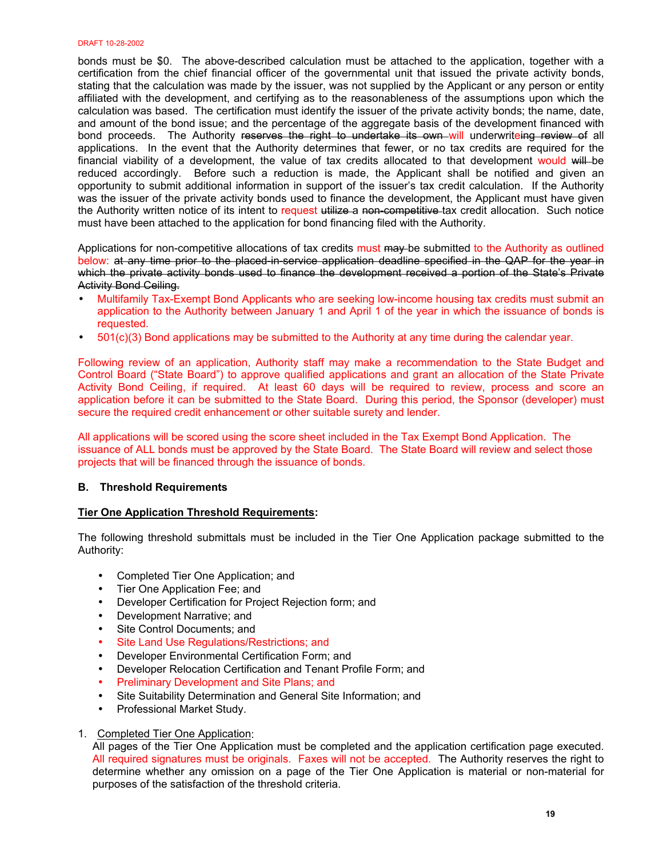bonds must be \$0. The above-described calculation must be attached to the application, together with a certification from the chief financial officer of the governmental unit that issued the private activity bonds, stating that the calculation was made by the issuer, was not supplied by the Applicant or any person or entity affiliated with the development, and certifying as to the reasonableness of the assumptions upon which the calculation was based. The certification must identify the issuer of the private activity bonds; the name, date, and amount of the bond issue; and the percentage of the aggregate basis of the development financed with bond proceeds. The Authority reserves the right to undertake its own will underwriteing review of all applications. In the event that the Authority determines that fewer, or no tax credits are required for the financial viability of a development, the value of tax credits allocated to that development would will be reduced accordingly. Before such a reduction is made, the Applicant shall be notified and given an opportunity to submit additional information in support of the issuer's tax credit calculation. If the Authority was the issuer of the private activity bonds used to finance the development, the Applicant must have given the Authority written notice of its intent to request utilize a non-competitive tax credit allocation. Such notice must have been attached to the application for bond financing filed with the Authority.

Applications for non-competitive allocations of tax credits must may be submitted to the Authority as outlined below: at any time prior to the placed in service application deadline specified in the QAP for the year in which the private activity bonds used to finance the development received a portion of the State's Private Activity Bond Ceiling.

- Multifamily Tax-Exempt Bond Applicants who are seeking low-income housing tax credits must submit an application to the Authority between January 1 and April 1 of the year in which the issuance of bonds is requested.
- 501(c)(3) Bond applications may be submitted to the Authority at any time during the calendar year.

Following review of an application, Authority staff may make a recommendation to the State Budget and Control Board ("State Board") to approve qualified applications and grant an allocation of the State Private Activity Bond Ceiling, if required. At least 60 days will be required to review, process and score an application before it can be submitted to the State Board. During this period, the Sponsor (developer) must secure the required credit enhancement or other suitable surety and lender.

All applications will be scored using the score sheet included in the Tax Exempt Bond Application. The issuance of ALL bonds must be approved by the State Board. The State Board will review and select those projects that will be financed through the issuance of bonds.

## **B. Threshold Requirements**

## **Tier One Application Threshold Requirements:**

The following threshold submittals must be included in the Tier One Application package submitted to the Authority:

- Completed Tier One Application; and
- Tier One Application Fee; and
- Developer Certification for Project Rejection form; and
- Development Narrative; and
- Site Control Documents: and
- Site Land Use Regulations/Restrictions; and
- Developer Environmental Certification Form; and
- Developer Relocation Certification and Tenant Profile Form; and
- Preliminary Development and Site Plans; and
- Site Suitability Determination and General Site Information; and
- Professional Market Study.

## 1. Completed Tier One Application:

All pages of the Tier One Application must be completed and the application certification page executed. All required signatures must be originals. Faxes will not be accepted. The Authority reserves the right to determine whether any omission on a page of the Tier One Application is material or non-material for purposes of the satisfaction of the threshold criteria.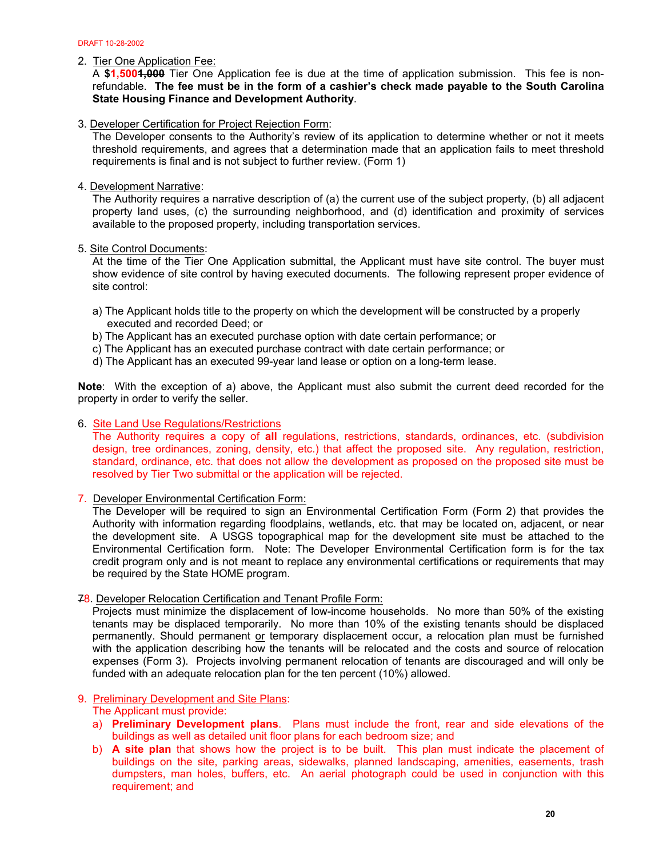2. Tier One Application Fee:

A **\$1,5001,000** Tier One Application fee is due at the time of application submission. This fee is nonrefundable. **The fee must be in the form of a cashier's check made payable to the South Carolina State Housing Finance and Development Authority**.

3. Developer Certification for Project Rejection Form:

The Developer consents to the Authority's review of its application to determine whether or not it meets threshold requirements, and agrees that a determination made that an application fails to meet threshold requirements is final and is not subject to further review. (Form 1)

## 4. Development Narrative:

The Authority requires a narrative description of (a) the current use of the subject property, (b) all adjacent property land uses, (c) the surrounding neighborhood, and (d) identification and proximity of services available to the proposed property, including transportation services.

5. Site Control Documents:

At the time of the Tier One Application submittal, the Applicant must have site control. The buyer must show evidence of site control by having executed documents. The following represent proper evidence of site control:

- a) The Applicant holds title to the property on which the development will be constructed by a properly executed and recorded Deed; or
- b) The Applicant has an executed purchase option with date certain performance; or
- c) The Applicant has an executed purchase contract with date certain performance; or
- d) The Applicant has an executed 99-year land lease or option on a long-term lease.

**Note**: With the exception of a) above, the Applicant must also submit the current deed recorded for the property in order to verify the seller.

## 6. Site Land Use Regulations/Restrictions

 The Authority requires a copy of **all** regulations, restrictions, standards, ordinances, etc. (subdivision design, tree ordinances, zoning, density, etc.) that affect the proposed site. Any regulation, restriction, standard, ordinance, etc. that does not allow the development as proposed on the proposed site must be resolved by Tier Two submittal or the application will be rejected.

7. Developer Environmental Certification Form:

The Developer will be required to sign an Environmental Certification Form (Form 2) that provides the Authority with information regarding floodplains, wetlands, etc. that may be located on, adjacent, or near the development site. A USGS topographical map for the development site must be attached to the Environmental Certification form. Note: The Developer Environmental Certification form is for the tax credit program only and is not meant to replace any environmental certifications or requirements that may be required by the State HOME program.

78. Developer Relocation Certification and Tenant Profile Form:

Projects must minimize the displacement of low-income households. No more than 50% of the existing tenants may be displaced temporarily. No more than 10% of the existing tenants should be displaced permanently. Should permanent or temporary displacement occur, a relocation plan must be furnished with the application describing how the tenants will be relocated and the costs and source of relocation expenses (Form 3). Projects involving permanent relocation of tenants are discouraged and will only be funded with an adequate relocation plan for the ten percent (10%) allowed.

# 9. Preliminary Development and Site Plans:

- The Applicant must provide:
- a) **Preliminary Development plans**. Plans must include the front, rear and side elevations of the buildings as well as detailed unit floor plans for each bedroom size; and
- b) **A site plan** that shows how the project is to be built. This plan must indicate the placement of buildings on the site, parking areas, sidewalks, planned landscaping, amenities, easements, trash dumpsters, man holes, buffers, etc. An aerial photograph could be used in conjunction with this requirement; and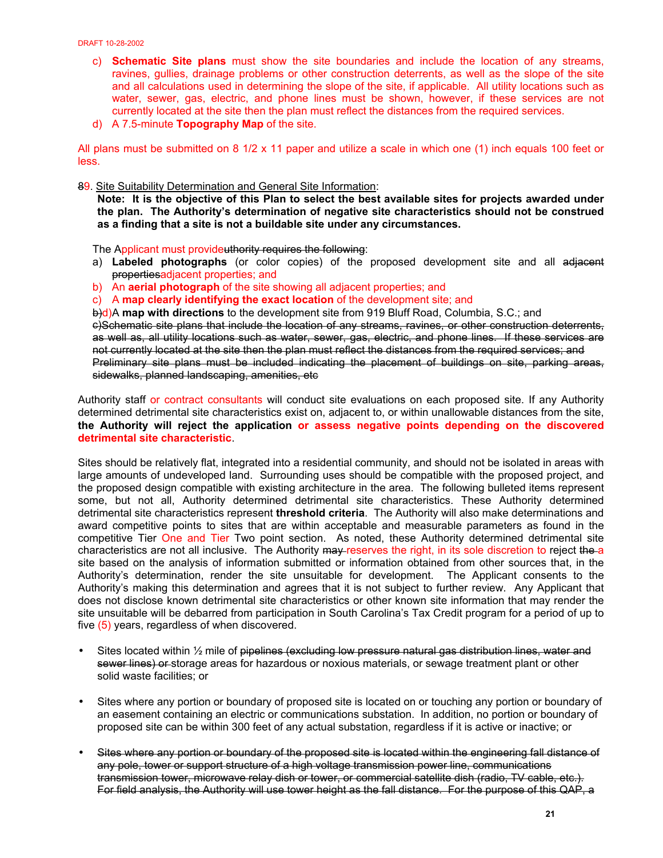- c) **Schematic Site plans** must show the site boundaries and include the location of any streams, ravines, gullies, drainage problems or other construction deterrents, as well as the slope of the site and all calculations used in determining the slope of the site, if applicable. All utility locations such as water, sewer, gas, electric, and phone lines must be shown, however, if these services are not currently located at the site then the plan must reflect the distances from the required services.
- d) A 7.5-minute **Topography Map** of the site.

All plans must be submitted on 8 1/2 x 11 paper and utilize a scale in which one (1) inch equals 100 feet or less.

89. Site Suitability Determination and General Site Information:

**Note: It is the objective of this Plan to select the best available sites for projects awarded under the plan. The Authority's determination of negative site characteristics should not be construed as a finding that a site is not a buildable site under any circumstances.** 

The Applicant must provideuthority requires the following:

- a) **Labeled photographs** (or color copies) of the proposed development site and all adjacent propertiesadjacent properties; and
- b) An **aerial photograph** of the site showing all adjacent properties; and
- c) A **map clearly identifying the exact location** of the development site; and

b)d) A **map with directions** to the development site from 919 Bluff Road, Columbia, S.C.; and c)Schematic site plans that include the location of any streams, ravines, or other construction deterrents, as well as, all utility locations such as water, sewer, gas, electric, and phone lines. If these services are not currently located at the site then the plan must reflect the distances from the required services; and Preliminary site plans must be included indicating the placement of buildings on site, parking areas, sidewalks, planned landscaping, amenities, etc

Authority staff or contract consultants will conduct site evaluations on each proposed site. If any Authority determined detrimental site characteristics exist on, adjacent to, or within unallowable distances from the site, **the Authority will reject the application or assess negative points depending on the discovered detrimental site characteristic**.

Sites should be relatively flat, integrated into a residential community, and should not be isolated in areas with large amounts of undeveloped land. Surrounding uses should be compatible with the proposed project, and the proposed design compatible with existing architecture in the area. The following bulleted items represent some, but not all, Authority determined detrimental site characteristics. These Authority determined detrimental site characteristics represent **threshold criteria**. The Authority will also make determinations and award competitive points to sites that are within acceptable and measurable parameters as found in the competitive Tier One and Tier Two point section. As noted, these Authority determined detrimental site characteristics are not all inclusive. The Authority may reserves the right, in its sole discretion to reject the a site based on the analysis of information submitted or information obtained from other sources that, in the Authority's determination, render the site unsuitable for development. The Applicant consents to the Authority's making this determination and agrees that it is not subject to further review. Any Applicant that does not disclose known detrimental site characteristics or other known site information that may render the site unsuitable will be debarred from participation in South Carolina's Tax Credit program for a period of up to five (5) years, regardless of when discovered.

- Sites located within 1/2 mile of pipelines (excluding low pressure natural gas distribution lines, water and sewer lines) or storage areas for hazardous or noxious materials, or sewage treatment plant or other solid waste facilities; or
- Sites where any portion or boundary of proposed site is located on or touching any portion or boundary of an easement containing an electric or communications substation. In addition, no portion or boundary of proposed site can be within 300 feet of any actual substation, regardless if it is active or inactive; or
- Sites where any portion or boundary of the proposed site is located within the engineering fall distance of any pole, tower or support structure of a high voltage transmission power line, communications transmission tower, microwave relay dish or tower, or commercial satellite dish (radio, TV cable, etc.). For field analysis, the Authority will use tower height as the fall distance. For the purpose of this QAP, a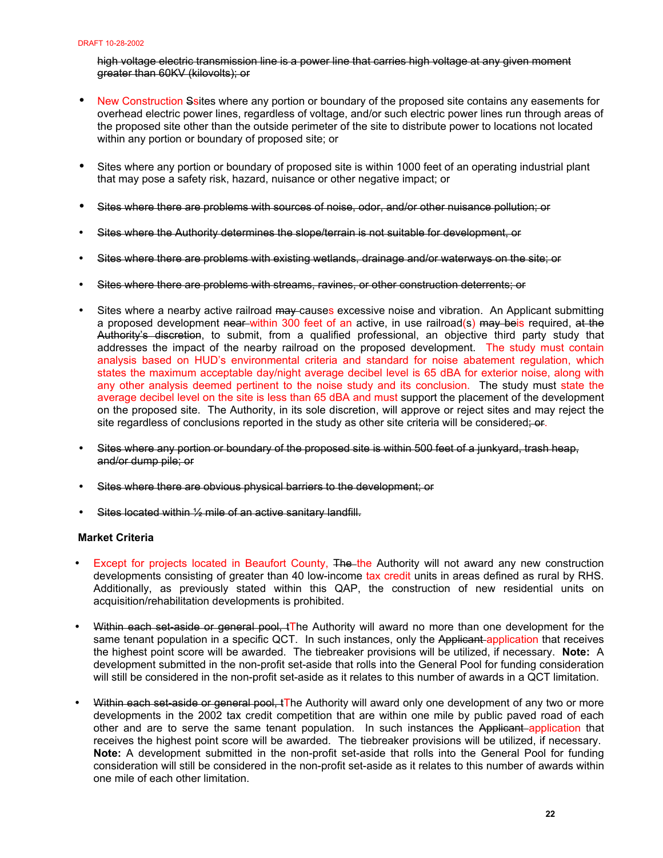high voltage electric transmission line is a power line that carries high voltage at any given moment greater than 60KV (kilovolts); or

- New Construction Ssites where any portion or boundary of the proposed site contains any easements for overhead electric power lines, regardless of voltage, and/or such electric power lines run through areas of the proposed site other than the outside perimeter of the site to distribute power to locations not located within any portion or boundary of proposed site; or
- Sites where any portion or boundary of proposed site is within 1000 feet of an operating industrial plant that may pose a safety risk, hazard, nuisance or other negative impact; or
- Sites where there are problems with sources of noise, odor, and/or other nuisance pollution; or
- Sites where the Authority determines the slope/terrain is not suitable for development, or
- Sites where there are problems with existing wetlands, drainage and/or waterways on the site; or
- Sites where there are problems with streams, ravines, or other construction deterrents; or
- Sites where a nearby active railroad may causes excessive noise and vibration. An Applicant submitting a proposed development near within 300 feet of an active, in use railroad(s) may beis required, at the Authority's discretion, to submit, from a qualified professional, an objective third party study that addresses the impact of the nearby railroad on the proposed development. The study must contain analysis based on HUD's environmental criteria and standard for noise abatement regulation, which states the maximum acceptable day/night average decibel level is 65 dBA for exterior noise, along with any other analysis deemed pertinent to the noise study and its conclusion. The study must state the average decibel level on the site is less than 65 dBA and must support the placement of the development on the proposed site. The Authority, in its sole discretion, will approve or reject sites and may reject the site regardless of conclusions reported in the study as other site criteria will be considered; or.
- Sites where any portion or boundary of the proposed site is within 500 feet of a junkyard, trash heap, and/or dump pile; or
- Sites where there are obvious physical barriers to the development; or
- Sites located within 1/2 mile of an active sanitary landfill.

## **Market Criteria**

- Except for projects located in Beaufort County, The the Authority will not award any new construction developments consisting of greater than 40 low-income tax credit units in areas defined as rural by RHS. Additionally, as previously stated within this QAP, the construction of new residential units on acquisition/rehabilitation developments is prohibited.
- Within each set-aside or general pool, tThe Authority will award no more than one development for the same tenant population in a specific QCT. In such instances, only the Applicant-application that receives the highest point score will be awarded. The tiebreaker provisions will be utilized, if necessary. **Note:** A development submitted in the non-profit set-aside that rolls into the General Pool for funding consideration will still be considered in the non-profit set-aside as it relates to this number of awards in a QCT limitation.
- Within each set aside or general pool, tThe Authority will award only one development of any two or more developments in the 2002 tax credit competition that are within one mile by public paved road of each other and are to serve the same tenant population. In such instances the Applicant application that receives the highest point score will be awarded. The tiebreaker provisions will be utilized, if necessary. **Note:** A development submitted in the non-profit set-aside that rolls into the General Pool for funding consideration will still be considered in the non-profit set-aside as it relates to this number of awards within one mile of each other limitation.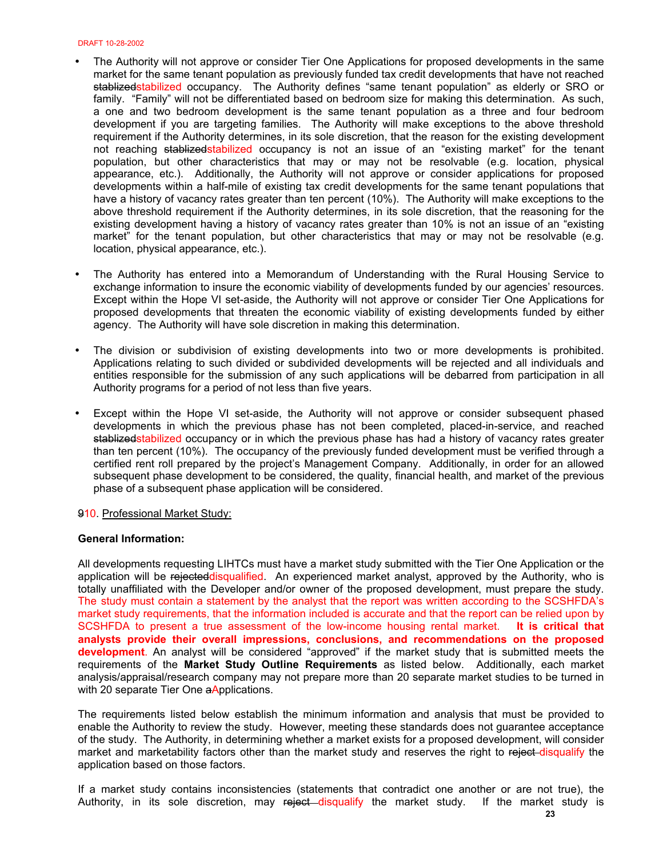- The Authority will not approve or consider Tier One Applications for proposed developments in the same market for the same tenant population as previously funded tax credit developments that have not reached stablized stabilized occupancy. The Authority defines "same tenant population" as elderly or SRO or family. "Family" will not be differentiated based on bedroom size for making this determination. As such, a one and two bedroom development is the same tenant population as a three and four bedroom development if you are targeting families. The Authority will make exceptions to the above threshold requirement if the Authority determines, in its sole discretion, that the reason for the existing development not reaching stablizedstabilized occupancy is not an issue of an "existing market" for the tenant population, but other characteristics that may or may not be resolvable (e.g. location, physical appearance, etc.). Additionally, the Authority will not approve or consider applications for proposed developments within a half-mile of existing tax credit developments for the same tenant populations that have a history of vacancy rates greater than ten percent (10%). The Authority will make exceptions to the above threshold requirement if the Authority determines, in its sole discretion, that the reasoning for the existing development having a history of vacancy rates greater than 10% is not an issue of an "existing market" for the tenant population, but other characteristics that may or may not be resolvable (e.g. location, physical appearance, etc.).
- The Authority has entered into a Memorandum of Understanding with the Rural Housing Service to exchange information to insure the economic viability of developments funded by our agencies' resources. Except within the Hope VI set-aside, the Authority will not approve or consider Tier One Applications for proposed developments that threaten the economic viability of existing developments funded by either agency. The Authority will have sole discretion in making this determination.
- The division or subdivision of existing developments into two or more developments is prohibited. Applications relating to such divided or subdivided developments will be rejected and all individuals and entities responsible for the submission of any such applications will be debarred from participation in all Authority programs for a period of not less than five years.
- Except within the Hope VI set-aside, the Authority will not approve or consider subsequent phased developments in which the previous phase has not been completed, placed-in-service, and reached stablized stabilized occupancy or in which the previous phase has had a history of vacancy rates greater than ten percent (10%). The occupancy of the previously funded development must be verified through a certified rent roll prepared by the project's Management Company. Additionally, in order for an allowed subsequent phase development to be considered, the quality, financial health, and market of the previous phase of a subsequent phase application will be considered.

## 910. Professional Market Study:

## **General Information:**

All developments requesting LIHTCs must have a market study submitted with the Tier One Application or the application will be rejecteddisqualified. An experienced market analyst, approved by the Authority, who is totally unaffiliated with the Developer and/or owner of the proposed development, must prepare the study. The study must contain a statement by the analyst that the report was written according to the SCSHFDA's market study requirements, that the information included is accurate and that the report can be relied upon by SCSHFDA to present a true assessment of the low-income housing rental market. **It is critical that analysts provide their overall impressions, conclusions, and recommendations on the proposed development**. An analyst will be considered "approved" if the market study that is submitted meets the requirements of the **Market Study Outline Requirements** as listed below. Additionally, each market analysis/appraisal/research company may not prepare more than 20 separate market studies to be turned in with 20 separate Tier One aApplications.

The requirements listed below establish the minimum information and analysis that must be provided to enable the Authority to review the study. However, meeting these standards does not guarantee acceptance of the study. The Authority, in determining whether a market exists for a proposed development, will consider market and marketability factors other than the market study and reserves the right to reject-disqualify the application based on those factors.

If a market study contains inconsistencies (statements that contradict one another or are not true), the Authority, in its sole discretion, may reject—disqualify the market study. If the market study is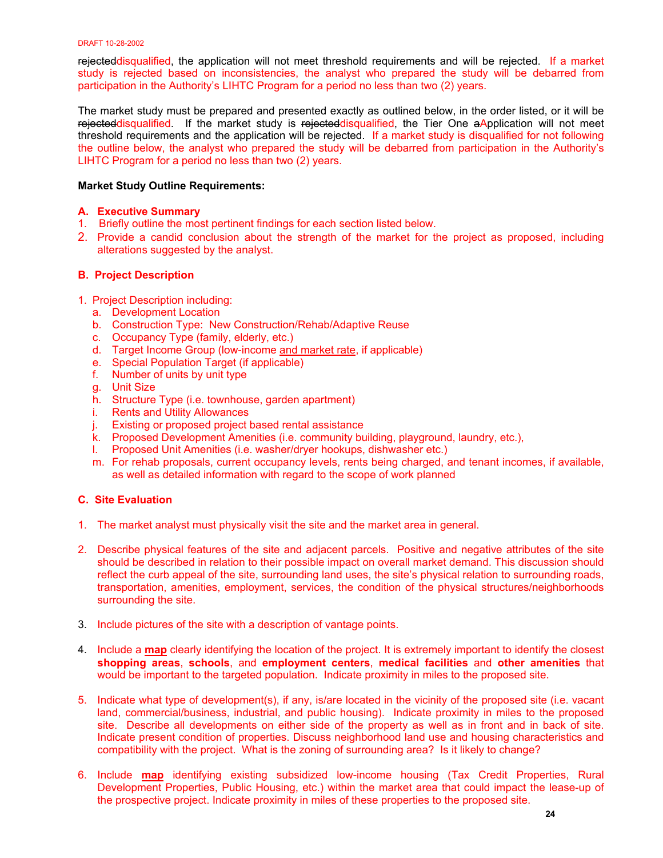rejecteddisqualified, the application will not meet threshold requirements and will be rejected. If a market study is rejected based on inconsistencies, the analyst who prepared the study will be debarred from participation in the Authority's LIHTC Program for a period no less than two (2) years.

The market study must be prepared and presented exactly as outlined below, in the order listed, or it will be rejecteddisqualified. If the market study is rejecteddisqualified, the Tier One aApplication will not meet threshold requirements and the application will be rejected. If a market study is disqualified for not following the outline below, the analyst who prepared the study will be debarred from participation in the Authority's LIHTC Program for a period no less than two (2) years.

# **Market Study Outline Requirements:**

# **A. Executive Summary**

- 1. Briefly outline the most pertinent findings for each section listed below.
- 2. Provide a candid conclusion about the strength of the market for the project as proposed, including alterations suggested by the analyst.

# **B. Project Description**

- 1. Project Description including:
	- a. Development Location
	- b. Construction Type: New Construction/Rehab/Adaptive Reuse
	- c. Occupancy Type (family, elderly, etc.)
	- d. Target Income Group (low-income and market rate, if applicable)
	- e. Special Population Target (if applicable)
	- f. Number of units by unit type
	- g. Unit Size
	- h. Structure Type (i.e. townhouse, garden apartment)
	- i. Rents and Utility Allowances
	- j. Existing or proposed project based rental assistance
	- k. Proposed Development Amenities (i.e. community building, playground, laundry, etc.),
	- l. Proposed Unit Amenities (i.e. washer/dryer hookups, dishwasher etc.)
	- m. For rehab proposals, current occupancy levels, rents being charged, and tenant incomes, if available, as well as detailed information with regard to the scope of work planned

## **C. Site Evaluation**

- 1. The market analyst must physically visit the site and the market area in general.
- 2. Describe physical features of the site and adjacent parcels. Positive and negative attributes of the site should be described in relation to their possible impact on overall market demand. This discussion should reflect the curb appeal of the site, surrounding land uses, the site's physical relation to surrounding roads, transportation, amenities, employment, services, the condition of the physical structures/neighborhoods surrounding the site.
- 3. Include pictures of the site with a description of vantage points.
- 4. Include a **map** clearly identifying the location of the project. It is extremely important to identify the closest **shopping areas**, **schools**, and **employment centers**, **medical facilities** and **other amenities** that would be important to the targeted population. Indicate proximity in miles to the proposed site.
- 5. Indicate what type of development(s), if any, is/are located in the vicinity of the proposed site (i.e. vacant land, commercial/business, industrial, and public housing). Indicate proximity in miles to the proposed site. Describe all developments on either side of the property as well as in front and in back of site. Indicate present condition of properties. Discuss neighborhood land use and housing characteristics and compatibility with the project. What is the zoning of surrounding area? Is it likely to change?
- 6. Include **map** identifying existing subsidized low-income housing (Tax Credit Properties, Rural Development Properties, Public Housing, etc.) within the market area that could impact the lease-up of the prospective project. Indicate proximity in miles of these properties to the proposed site.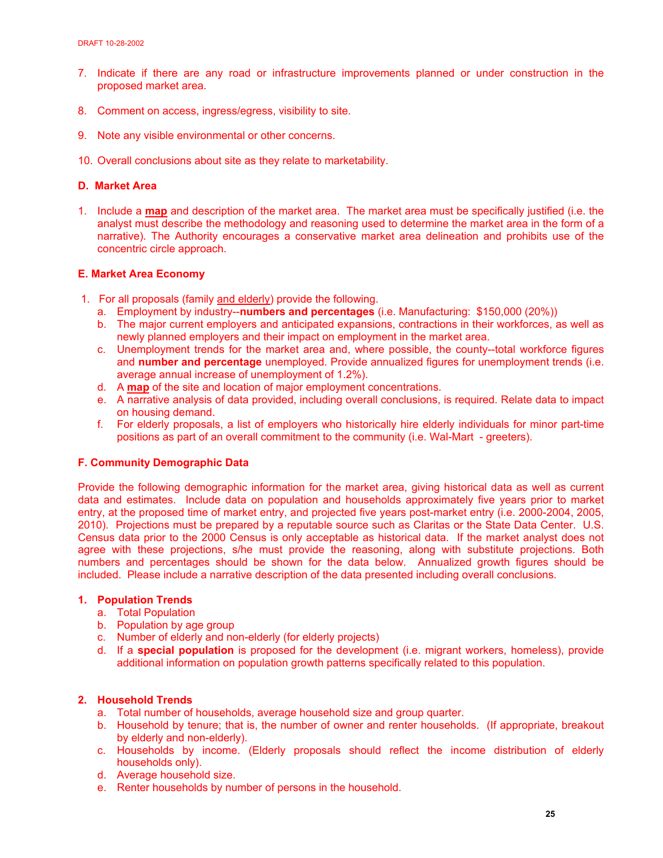- 7. Indicate if there are any r[oad or infrastructure improvements planned or under construction in](http://www.sha.state.sc.us/Programs/Rental/Tax_Credit/tax_credit.html) the proposed market area.
- 8. Comment on access, ingress/egress, visibility to site.
- 9. Note any visible environmental or other concerns.
- 10. Overall conclusions about site as they relate to marketability.

## **D. Market Area**

1. Include a **map** and description of the market area. The market area must be specifically justified (i.e. the analyst must describe the methodology and reasoning used to determine the market area in the form of a narrative). The Authority encourages a conservative market area delineation and prohibits use of the concentric circle approach.

## **E. Market Area Economy**

- 1. For all proposals (family and elderly) provide the following.
	- a. Employment by industry--**numbers and percentages** (i.e. Manufacturing: \$150,000 (20%))
	- b. The major current employers and anticipated expansions, contractions in their workforces, as well as newly planned employers and their impact on employment in the market area.
	- c. Unemployment trends for the market area and, where possible, the county--total workforce figures and **number and percentage** unemployed. Provide annualized figures for unemployment trends (i.e. average annual increase of unemployment of 1.2%).
	- d. A **map** of the site and location of major employment concentrations.
	- e. A narrative analysis of data provided, including overall conclusions, is required. Relate data to impact on housing demand.
	- f. For elderly proposals, a list of employers who historically hire elderly individuals for minor part-time positions as part of an overall commitment to the community (i.e. Wal-Mart - greeters).

## **F. Community Demographic Data**

Provide the following demographic information for the market area, giving historical data as well as current data and estimates. Include data on population and households approximately five years prior to market entry, at the proposed time of market entry, and projected five years post-market entry (i.e. 2000-2004, 2005, 2010). Projections must be prepared by a reputable source such as Claritas or the State Data Center. U.S. Census data prior to the 2000 Census is only acceptable as historical data. If the market analyst does not agree with these projections, s/he must provide the reasoning, along with substitute projections. Both numbers and percentages should be shown for the data below. Annualized growth figures should be included. Please include a narrative description of the data presented including overall conclusions.

# **1. Population Trends**

- a. Total Population
- b. Population by age group
- c. Number of elderly and non-elderly (for elderly projects)
- d. If a **special population** is proposed for the development (i.e. migrant workers, homeless), provide additional information on population growth patterns specifically related to this population.

## **2. Household Trends**

- a. Total number of households, average household size and group quarter.
- b. Household by tenure; that is, the number of owner and renter households. (If appropriate, breakout by elderly and non-elderly).
- c. Households by income. (Elderly proposals should reflect the income distribution of elderly households only).
- d. Average household size.
- e. Renter households by number of persons in the household.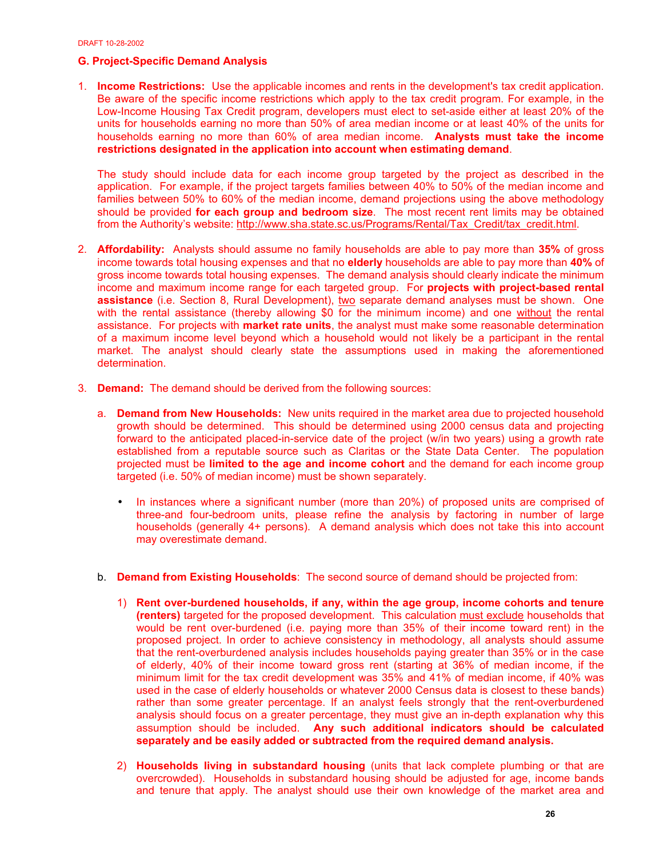# **G. Project-Specific Demand Analysis**

1. **Income Restrictions:** Use the applicable incomes and rents in the development's tax credit application. Be aware of the specific income restrictions which apply to the tax credit program. For example, in the Low-Income Housing Tax Credit program, developers must elect to set-aside either at least 20% of the units for households earning no more than 50% of area median income or at least 40% of the units for households earning no more than 60% of area median income. **Analysts must take the income restrictions designated in the application into account when estimating demand**.

The study should include data for each income group targeted by the project as described in the application. For example, if the project targets families between 40% to 50% of the median income and families between 50% to 60% of the median income, demand projections using the above methodology should be provided **for each group and bedroom size**. The most recent rent limits may be obtained from the Authority's website: http://www.sha.state.sc.us/Programs/Rental/Tax\_Credit/tax\_credit.html.

- 2. **Affordability:** Analysts should assume no family households are able to pay more than **35%** of gross income towards total housing expenses and that no **elderly** households are able to pay more than **40%** of gross income towards total housing expenses. The demand analysis should clearly indicate the minimum income and maximum income range for each targeted group. For **projects with project-based rental assistance** (i.e. Section 8, Rural Development), two separate demand analyses must be shown. One with the rental assistance (thereby allowing \$0 for the minimum income) and one without the rental assistance. For projects with **market rate units**, the analyst must make some reasonable determination of a maximum income level beyond which a household would not likely be a participant in the rental market. The analyst should clearly state the assumptions used in making the aforementioned determination.
- 3. **Demand:** The demand should be derived from the following sources:
	- a. **Demand from New Households:** New units required in the market area due to projected household growth should be determined. This should be determined using 2000 census data and projecting forward to the anticipated placed-in-service date of the project (w/in two years) using a growth rate established from a reputable source such as Claritas or the State Data Center. The population projected must be **limited to the age and income cohort** and the demand for each income group targeted (i.e. 50% of median income) must be shown separately.
		- In instances where a significant number (more than 20%) of proposed units are comprised of three-and four-bedroom units, please refine the analysis by factoring in number of large households (generally 4+ persons). A demand analysis which does not take this into account may overestimate demand.
	- b. **Demand from Existing Households**: The second source of demand should be projected from:
		- 1) **Rent over-burdened households, if any, within the age group, income cohorts and tenure (renters)** targeted for the proposed development. This calculation must exclude households that would be rent over-burdened (i.e. paying more than 35% of their income toward rent) in the proposed project. In order to achieve consistency in methodology, all analysts should assume that the rent-overburdened analysis includes households paying greater than 35% or in the case of elderly, 40% of their income toward gross rent (starting at 36% of median income, if the minimum limit for the tax credit development was 35% and 41% of median income, if 40% was used in the case of elderly households or whatever 2000 Census data is closest to these bands) rather than some greater percentage. If an analyst feels strongly that the rent-overburdened analysis should focus on a greater percentage, they must give an in-depth explanation why this assumption should be included. **Any such additional indicators should be calculated separately and be easily added or subtracted from the required demand analysis.**
		- 2) **Households living in substandard housing** (units that lack complete plumbing or that are overcrowded). Households in substandard housing should be adjusted for age, income bands and tenure that apply. The analyst should use their own knowledge of the market area and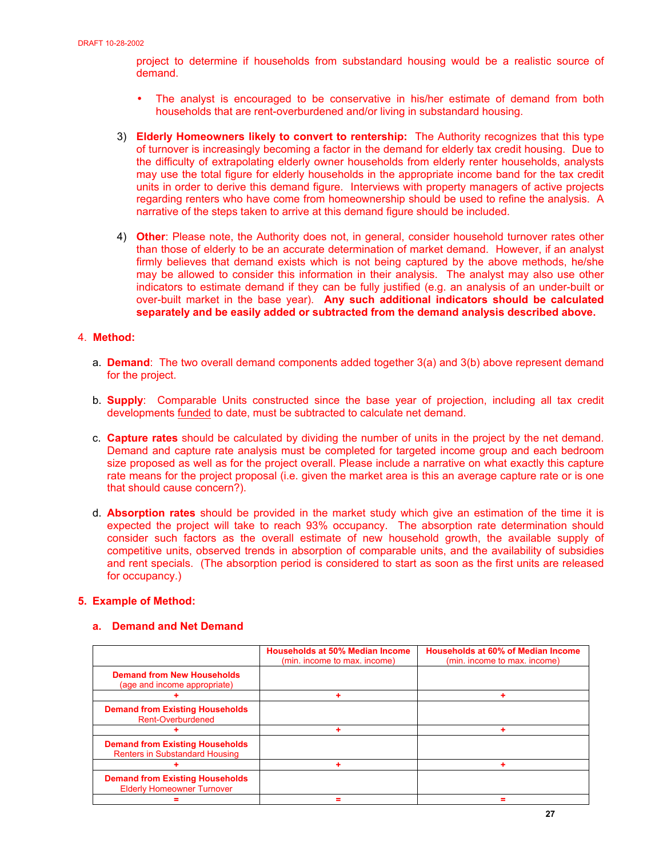project to determine if households from substandard housing would be a realistic source of demand.

- The analyst is encouraged to be conservative in his/her estimate of demand from both households that are rent-overburdened and/or living in substandard housing.
- 3) **Elderly Homeowners likely to convert to rentership:** The Authority recognizes that this type of turnover is increasingly becoming a factor in the demand for elderly tax credit housing. Due to the difficulty of extrapolating elderly owner households from elderly renter households, analysts may use the total figure for elderly households in the appropriate income band for the tax credit units in order to derive this demand figure. Interviews with property managers of active projects regarding renters who have come from homeownership should be used to refine the analysis. A narrative of the steps taken to arrive at this demand figure should be included.
- 4) **Other**: Please note, the Authority does not, in general, consider household turnover rates other than those of elderly to be an accurate determination of market demand. However, if an analyst firmly believes that demand exists which is not being captured by the above methods, he/she may be allowed to consider this information in their analysis. The analyst may also use other indicators to estimate demand if they can be fully justified (e.g. an analysis of an under-built or over-built market in the base year). **Any such additional indicators should be calculated separately and be easily added or subtracted from the demand analysis described above.**

## 4. **Method:**

- a. **Demand**: The two overall demand components added together 3(a) and 3(b) above represent demand for the project.
- b. **Supply**: Comparable Units constructed since the base year of projection, including all tax credit developments funded to date, must be subtracted to calculate net demand.
- c. **Capture rates** should be calculated by dividing the number of units in the project by the net demand. Demand and capture rate analysis must be completed for targeted income group and each bedroom size proposed as well as for the project overall. Please include a narrative on what exactly this capture rate means for the project proposal (i.e. given the market area is this an average capture rate or is one that should cause concern?).
- d. **Absorption rates** should be provided in the market study which give an estimation of the time it is expected the project will take to reach 93% occupancy. The absorption rate determination should consider such factors as the overall estimate of new household growth, the available supply of competitive units, observed trends in absorption of comparable units, and the availability of subsidies and rent specials. (The absorption period is considered to start as soon as the first units are released for occupancy.)

## **5. Example of Method:**

## **a. Demand and Net Demand**

|                                                                                 | <b>Households at 50% Median Income</b><br>(min. income to max. income) | <b>Households at 60% of Median Income</b><br>(min. income to max. income) |
|---------------------------------------------------------------------------------|------------------------------------------------------------------------|---------------------------------------------------------------------------|
| <b>Demand from New Households</b><br>(age and income appropriate)               |                                                                        |                                                                           |
|                                                                                 |                                                                        |                                                                           |
| <b>Demand from Existing Households</b><br>Rent-Overburdened                     |                                                                        |                                                                           |
|                                                                                 |                                                                        |                                                                           |
| <b>Demand from Existing Households</b><br><b>Renters in Substandard Housing</b> |                                                                        |                                                                           |
|                                                                                 |                                                                        |                                                                           |
| <b>Demand from Existing Households</b><br><b>Elderly Homeowner Turnover</b>     |                                                                        |                                                                           |
|                                                                                 |                                                                        |                                                                           |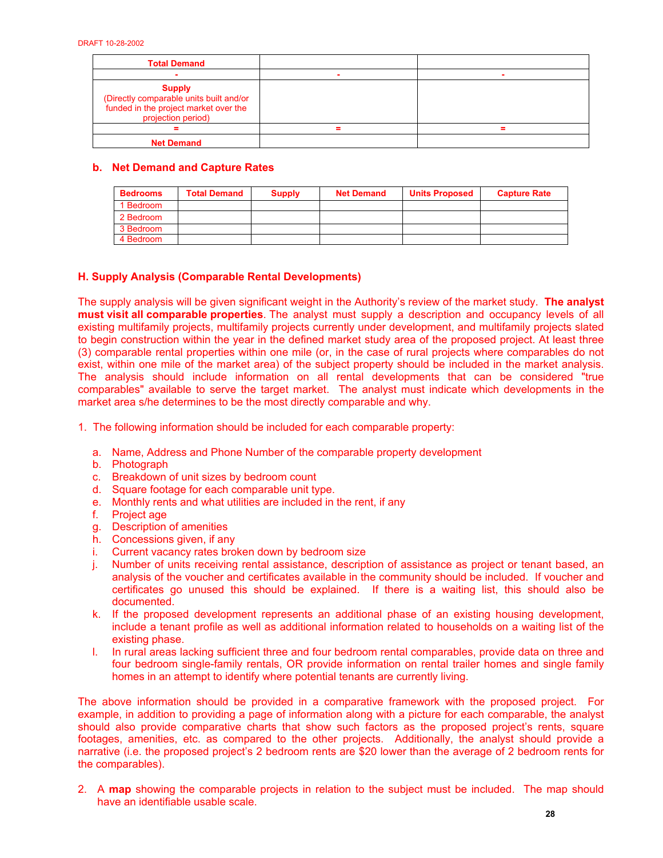| <b>Total Demand</b>                                                                                                     |  |
|-------------------------------------------------------------------------------------------------------------------------|--|
|                                                                                                                         |  |
| <b>Supply</b><br>(Directly comparable units built and/or<br>funded in the project market over the<br>projection period) |  |
|                                                                                                                         |  |
| <b>Net Demand</b>                                                                                                       |  |

# **b. Net Demand and Capture Rates**

| <b>Bedrooms</b> | <b>Total Demand</b> | <b>Supply</b> | <b>Net Demand</b> | <b>Units Proposed</b> | <b>Capture Rate</b> |
|-----------------|---------------------|---------------|-------------------|-----------------------|---------------------|
| 1 Bedroom       |                     |               |                   |                       |                     |
| 2 Bedroom       |                     |               |                   |                       |                     |
| 3 Bedroom       |                     |               |                   |                       |                     |
| 4 Bedroom       |                     |               |                   |                       |                     |

# **H. Supply Analysis (Comparable Rental Developments)**

The supply analysis will be given significant weight in the Authority's review of the market study. **The analyst must visit all comparable properties**. The analyst must supply a description and occupancy levels of all existing multifamily projects, multifamily projects currently under development, and multifamily projects slated to begin construction within the year in the defined market study area of the proposed project. At least three (3) comparable rental properties within one mile (or, in the case of rural projects where comparables do not exist, within one mile of the market area) of the subject property should be included in the market analysis. The analysis should include information on all rental developments that can be considered "true comparables" available to serve the target market. The analyst must indicate which developments in the market area s/he determines to be the most directly comparable and why.

1. The following information should be included for each comparable property:

- a. Name, Address and Phone Number of the comparable property development
- b. Photograph
- c. Breakdown of unit sizes by bedroom count
- d. Square footage for each comparable unit type.
- e. Monthly rents and what utilities are included in the rent, if any
- f. Project age
- g. Description of amenities
- h. Concessions given, if any
- i. Current vacancy rates broken down by bedroom size
- j. Number of units receiving rental assistance, description of assistance as project or tenant based, an analysis of the voucher and certificates available in the community should be included. If voucher and certificates go unused this should be explained. If there is a waiting list, this should also be documented.
- k. If the proposed development represents an additional phase of an existing housing development, include a tenant profile as well as additional information related to households on a waiting list of the existing phase.
- l. In rural areas lacking sufficient three and four bedroom rental comparables, provide data on three and four bedroom single-family rentals, OR provide information on rental trailer homes and single family homes in an attempt to identify where potential tenants are currently living.

The above information should be provided in a comparative framework with the proposed project. For example, in addition to providing a page of information along with a picture for each comparable, the analyst should also provide comparative charts that show such factors as the proposed project's rents, square footages, amenities, etc. as compared to the other projects. Additionally, the analyst should provide a narrative (i.e. the proposed project's 2 bedroom rents are \$20 lower than the average of 2 bedroom rents for the comparables).

2. A **map** showing the comparable projects in relation to the subject must be included. The map should have an identifiable usable scale.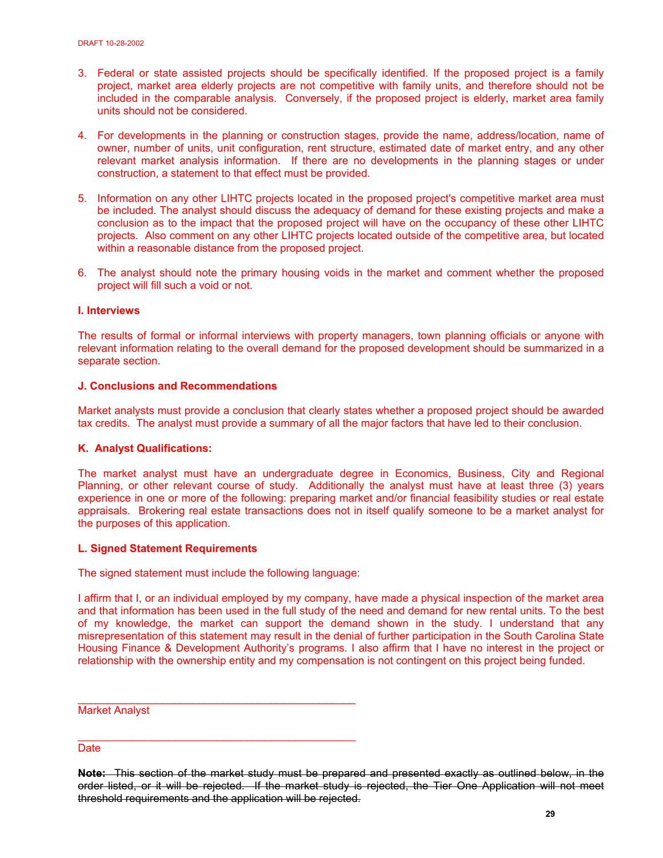- 3. Federal or state assisted projects should be specifically identified. If the proposed project is a family project, market area elderly projects are not competitive with family units, and therefore should not be included in the comparable analysis. Conversely, if the proposed project is elderly, market area family units should not be considered.
- 4. For developments in the planning or construction stages, provide the name, address/location, name of owner, number of units, unit configuration, rent structure, estimated date of market entry, and any other relevant market analysis information. If there are no developments in the planning stages or under construction, a statement to that effect must be provided.
- 5. Information on any other LIHTC projects located in the proposed project's competitive market area must be included. The analyst should discuss the adequacy of demand for these existing projects and make a conclusion as to the impact that the proposed project will have on the occupancy of these other LIHTC projects. Also comment on any other LIHTC projects located outside of the competitive area, but located within a reasonable distance from the proposed project.
- 6. The analyst should note the primary housing voids in the market and comment whether the proposed project will fill such a void or not.

# **I. Interviews**

The results of formal or informal interviews with property managers, town planning officials or anyone with relevant information relating to the overall demand for the proposed development should be summarized in a separate section.

## **J. Conclusions and Recommendations**

Market analysts must provide a conclusion that clearly states whether a proposed project should be awarded tax credits. The analyst must provide a summary of all the major factors that have led to their conclusion.

## **K. Analyst Qualifications:**

The market analyst must have an undergraduate degree in Economics, Business, City and Regional Planning, or other relevant course of study. Additionally the analyst must have at least three (3) years experience in one or more of the following: preparing market and/or financial feasibility studies or real estate appraisals. Brokering real estate transactions does not in itself qualify someone to be a market analyst for the purposes of this application.

## **L. Signed Statement Requirements**

The signed statement must include the following language:

\_\_\_\_\_\_\_\_\_\_\_\_\_\_\_\_\_\_\_\_\_\_\_\_\_\_\_\_\_\_\_\_\_\_\_\_\_\_\_\_\_\_\_\_\_\_

I affirm that I, or an individual employed by my company, have made a physical inspection of the market area and that information has been used in the full study of the need and demand for new rental units. To the best of my knowledge, the market can support the demand shown in the study. I understand that any misrepresentation of this statement may result in the denial of further participation in the South Carolina State Housing Finance & Development Authority's programs. I also affirm that I have no interest in the project or relationship with the ownership entity and my compensation is not contingent on this project being funded.

Market Analyst

\_\_\_\_\_\_\_\_\_\_\_\_\_\_\_\_\_\_\_\_\_\_\_\_\_\_\_\_\_\_\_\_\_\_\_\_\_\_\_\_\_\_\_\_\_\_ Date

**Note:** This section of the market study must be prepared and presented exactly as outlined below, in the order listed, or it will be rejected. If the market study is rejected, the Tier One Application will not meet threshold requirements and the application will be rejected.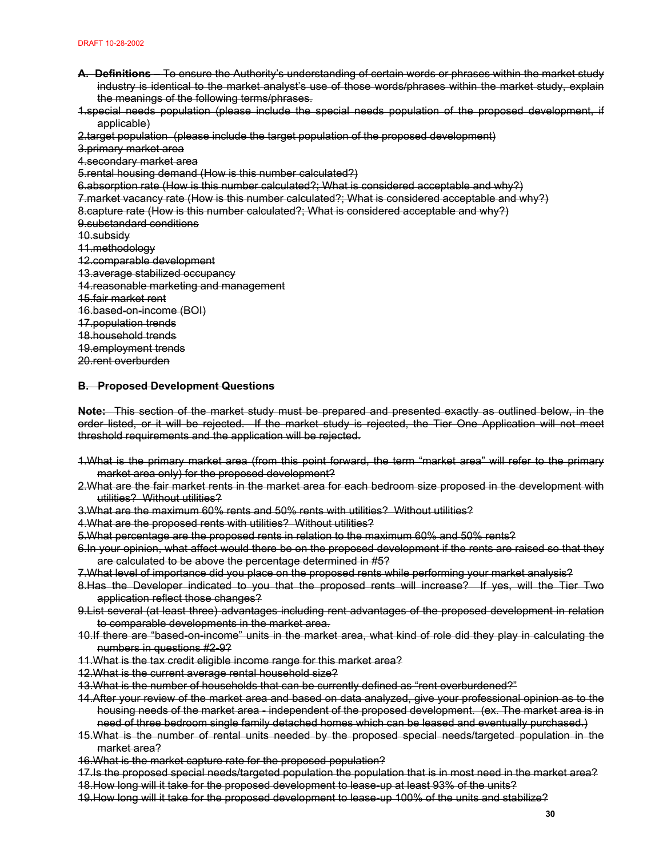- **A. Definitions** To ensure the Authority's understanding of certain words or phrases within the market study industry is identical to the market analyst's use of those words/phrases within the market study, explain the meanings of the following terms/phrases.
- 1.special needs population (please include the special needs population of the proposed development, if applicable)

2.target population (please include the target population of the proposed development)

3.primary market area

4.secondary market area

5.rental housing demand (How is this number calculated?)

6.absorption rate (How is this number calculated?; What is considered acceptable and why?)

7.market vacancy rate (How is this number calculated?; What is considered acceptable and why?)

8.capture rate (How is this number calculated?; What is considered acceptable and why?)

9.substandard conditions

10.subsidy

11.methodology

12.comparable development

13.average stabilized occupancy

- 14.reasonable marketing and management
- 15.fair market rent

16.based-on-income (BOI)

17.population trends

18.household trends

19.employment trends

20.rent overburden

## **B. Proposed Development Questions**

**Note:** This section of the market study must be prepared and presented exactly as outlined below, in the order listed, or it will be rejected. If the market study is rejected, the Tier One Application will not meet threshold requirements and the application will be rejected.

- 1.What is the primary market area (from this point forward, the term "market area" will refer to the primary market area only) for the proposed development?
- 2.What are the fair market rents in the market area for each bedroom size proposed in the development with utilities? Without utilities?
- 3.What are the maximum 60% rents and 50% rents with utilities? Without utilities?
- 4. What are the proposed rents with utilities? Without utilities?
- 5.What percentage are the proposed rents in relation to the maximum 60% and 50% rents?
- 6.In your opinion, what affect would there be on the proposed development if the rents are raised so that they are calculated to be above the percentage determined in #5?
- 7.What level of importance did you place on the proposed rents while performing your market analysis?
- 8. Has the Developer indicated to you that the proposed rents will increase? If yes, will the Tier Two application reflect those changes?
- 9.List several (at least three) advantages including rent advantages of the proposed development in relation to comparable developments in the market area.
- 10.If there are "based-on-income" units in the market area, what kind of role did they play in calculating the numbers in questions #2-9?
- 11.What is the tax credit eligible income range for this market area?
- 12.What is the current average rental household size?
- 13.What is the number of households that can be currently defined as "rent overburdened?"
- 14.After your review of the market area and based on data analyzed, give your professional opinion as to the housing needs of the market area - independent of the proposed development. (ex. The market area is in need of three bedroom single family detached homes which can be leased and eventually purchased.)
- 15.What is the number of rental units needed by the proposed special needs/targeted population in the market area?
- 16.What is the market capture rate for the proposed population?
- 17.Is the proposed special needs/targeted population the population that is in most need in the market area? 18. How long will it take for the proposed development to lease up at least 93% of the units?
- 19.How long will it take for the proposed development to lease-up 100% of the units and stabilize?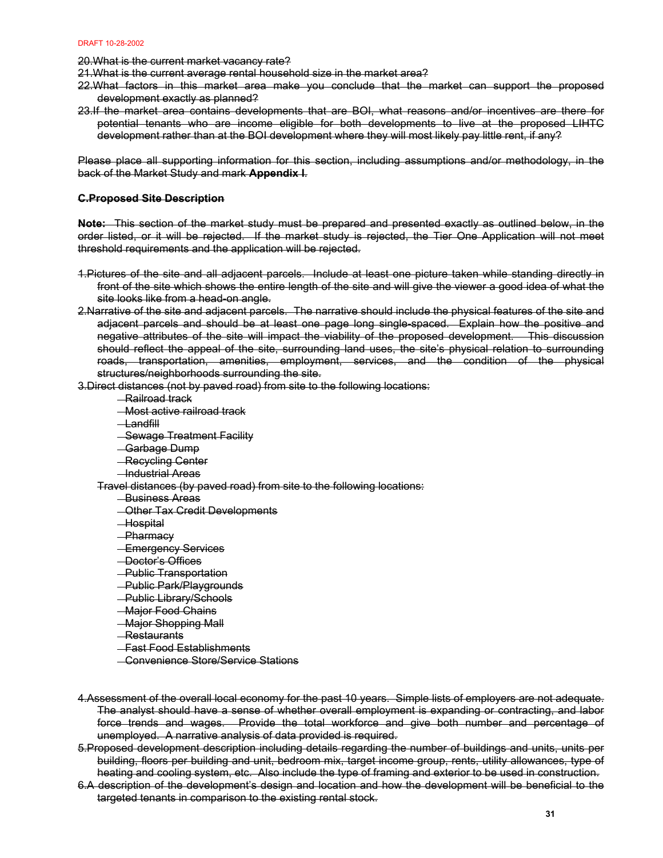20.What is the current market vacancy rate?

21.What is the current average rental household size in the market area?

- 22.What factors in this market area make you conclude that the market can support the proposed development exactly as planned?
- 23.If the market area contains developments that are BOI, what reasons and/or incentives are there for potential tenants who are income eligible for both developments to live at the proposed LIHTC development rather than at the BOI development where they will most likely pay little rent, if any?

Please place all supporting information for this section, including assumptions and/or methodology, in the back of the Market Study and mark **Appendix I**.

## **C.Proposed Site Description**

**Note:** This section of the market study must be prepared and presented exactly as outlined below, in the order listed, or it will be rejected. If the market study is rejected, the Tier One Application will not meet threshold requirements and the application will be rejected.

- 1.Pictures of the site and all adjacent parcels. Include at least one picture taken while standing directly in front of the site which shows the entire length of the site and will give the viewer a good idea of what the site looks like from a head-on angle.
- 2.Narrative of the site and adjacent parcels. The narrative should include the physical features of the site and adjacent parcels and should be at least one page long single-spaced. Explain how the positive and negative attributes of the site will impact the viability of the proposed development. This discussion should reflect the appeal of the site, surrounding land uses, the site's physical relation to surrounding roads, transportation, amenities, employment, services, and the condition of the physical structures/neighborhoods surrounding the site.

3.Direct distances (not by paved road) from site to the following locations:

- Railroad track
- **Most active railroad track**
- $\Box$  and fill
- **Sewage Treatment Facility**
- Garbage Dump
- **Recycling Center**
- **-Industrial Areas**

Travel distances (by paved road) from site to the following locations:

- **Business Areas**
- **Other Tax Credit Developments**
- **Hospital**
- **Pharmacy**
- **Emergency Services**
- Doctor's Offices
- Public Transportation
- **Public Park/Playgrounds**
- Public Library/Schools
- **-Major Food Chains**
- Major Shopping Mall
- **Restaurants**
- **Fast Food Establishments**
- **Convenience Store/Service Stations**
- 4.Assessment of the overall local economy for the past 10 years. Simple lists of employers are not adequate. The analyst should have a sense of whether overall employment is expanding or contracting, and labor force trends and wages. Provide the total workforce and give both number and percentage of unemployed. A narrative analysis of data provided is required.
- 5.Proposed development description including details regarding the number of buildings and units, units per building, floors per building and unit, bedroom mix, target income group, rents, utility allowances, type of heating and cooling system, etc. Also include the type of framing and exterior to be used in construction.
- 6.A description of the development's design and location and how the development will be beneficial to the targeted tenants in comparison to the existing rental stock.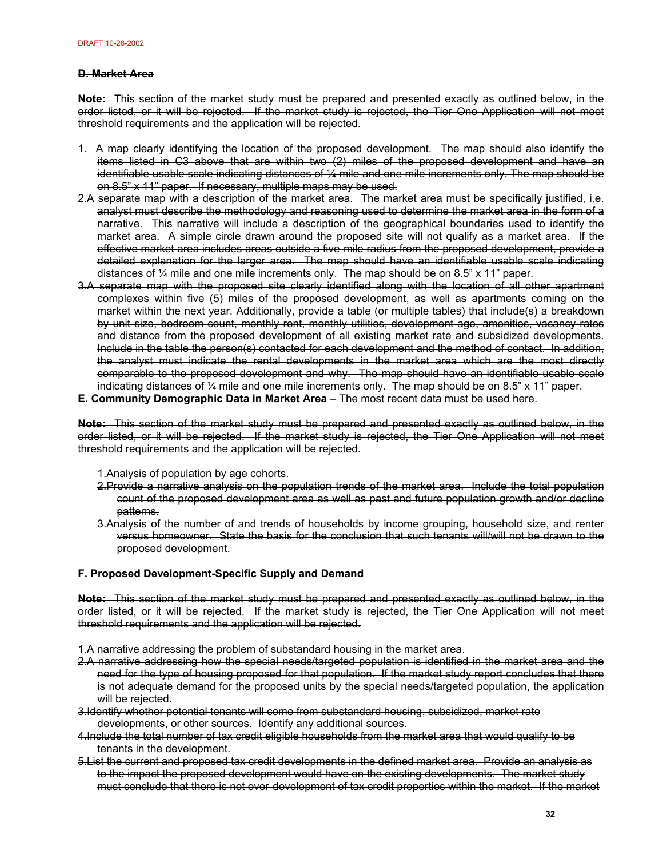## **D. Market Area**

**Note:** This section of the market study must be prepared and presented exactly as outlined below, in the order listed, or it will be rejected. If the market study is rejected, the Tier One Application will not meet threshold requirements and the application will be rejected.

- 1. A map clearly identifying the location of the proposed development. The map should also identify the items listed in C3 above that are within two (2) miles of the proposed development and have an identifiable usable scale indicating distances of ¼ mile and one mile increments only. The map should be on 8.5" x 11" paper. If necessary, multiple maps may be used.
- 2.A separate map with a description of the market area. The market area must be specifically justified, i.e. analyst must describe the methodology and reasoning used to determine the market area in the form of a narrative. This narrative will include a description of the geographical boundaries used to identify the market area. A simple circle drawn around the proposed site will not qualify as a market area. If the effective market area includes areas outside a five-mile radius from the proposed development, provide a detailed explanation for the larger area. The map should have an identifiable usable scale indicating distances of ¼ mile and one mile increments only. The map should be on 8.5" x 11" paper.
- 3.A separate map with the proposed site clearly identified along with the location of all other apartment complexes within five (5) miles of the proposed development, as well as apartments coming on the market within the next year. Additionally, provide a table (or multiple tables) that include(s) a breakdown by unit size, bedroom count, monthly rent, monthly utilities, development age, amenities, vacancy rates and distance from the proposed development of all existing market rate and subsidized developments. Include in the table the person(s) contacted for each development and the method of contact. In addition, the analyst must indicate the rental developments in the market area which are the most directly comparable to the proposed development and why. The map should have an identifiable usable scale indicating distances of ¼ mile and one mile increments only. The map should be on 8.5" x 11" paper.

## **E. Community Demographic Data in Market Area** – The most recent data must be used here.

**Note:** This section of the market study must be prepared and presented exactly as outlined below, in the order listed, or it will be rejected. If the market study is rejected, the Tier One Application will not meet threshold requirements and the application will be rejected.

- 1.Analysis of population by age cohorts.
- 2.Provide a narrative analysis on the population trends of the market area. Include the total population count of the proposed development area as well as past and future population growth and/or decline patterns.
- 3.Analysis of the number of and trends of households by income grouping, household size, and renter versus homeowner. State the basis for the conclusion that such tenants will/will not be drawn to the proposed development.

## **F. Proposed Development-Specific Supply and Demand**

**Note:** This section of the market study must be prepared and presented exactly as outlined below, in the order listed, or it will be rejected. If the market study is rejected, the Tier One Application will not meet threshold requirements and the application will be rejected.

1.A narrative addressing the problem of substandard housing in the market area.

- 2.A narrative addressing how the special needs/targeted population is identified in the market area and the need for the type of housing proposed for that population. If the market study report concludes that there is not adequate demand for the proposed units by the special needs/targeted population, the application will be rejected.
- 3.Identify whether potential tenants will come from substandard housing, subsidized, market rate developments, or other sources. Identify any additional sources.
- 4.Include the total number of tax credit eligible households from the market area that would qualify to be tenants in the development.
- 5.List the current and proposed tax credit developments in the defined market area. Provide an analysis as to the impact the proposed development would have on the existing developments. The market study must conclude that there is not over-development of tax credit properties within the market. If the market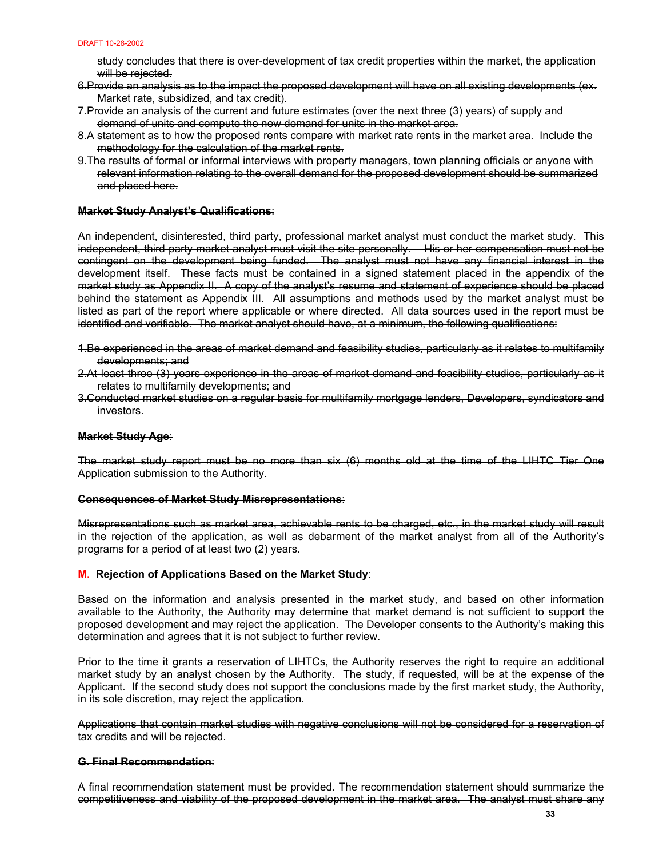study concludes that there is over-development of tax credit properties within the market, the application will be rejected.

- 6.Provide an analysis as to the impact the proposed development will have on all existing developments (ex. Market rate, subsidized, and tax credit).
- 7.Provide an analysis of the current and future estimates (over the next three (3) years) of supply and demand of units and compute the new demand for units in the market area.
- 8.A statement as to how the proposed rents compare with market rate rents in the market area. Include the methodology for the calculation of the market rents.
- 9.The results of formal or informal interviews with property managers, town planning officials or anyone with relevant information relating to the overall demand for the proposed development should be summarized and placed here.

## **Market Study Analyst's Qualifications**:

An independent, disinterested, third party, professional market analyst must conduct the market study. This independent, third party market analyst must visit the site personally. His or her compensation must not be contingent on the development being funded. The analyst must not have any financial interest in the development itself. These facts must be contained in a signed statement placed in the appendix of the market study as Appendix II. A copy of the analyst's resume and statement of experience should be placed behind the statement as Appendix III. All assumptions and methods used by the market analyst must be listed as part of the report where applicable or where directed. All data sources used in the report must be identified and verifiable. The market analyst should have, at a minimum, the following qualifications:

- 1.Be experienced in the areas of market demand and feasibility studies, particularly as it relates to multifamily developments; and
- 2.At least three (3) years experience in the areas of market demand and feasibility studies, particularly as it relates to multifamily developments; and
- 3.Conducted market studies on a regular basis for multifamily mortgage lenders, Developers, syndicators and investors.

## **Market Study Age**:

The market study report must be no more than six (6) months old at the time of the LIHTC Tier One Application submission to the Authority.

## **Consequences of Market Study Misrepresentations**:

Misrepresentations such as market area, achievable rents to be charged, etc., in the market study will result in the rejection of the application, as well as debarment of the market analyst from all of the Authority's programs for a period of at least two (2) years.

## **M. Rejection of Applications Based on the Market Study**:

Based on the information and analysis presented in the market study, and based on other information available to the Authority, the Authority may determine that market demand is not sufficient to support the proposed development and may reject the application. The Developer consents to the Authority's making this determination and agrees that it is not subject to further review.

Prior to the time it grants a reservation of LIHTCs, the Authority reserves the right to require an additional market study by an analyst chosen by the Authority. The study, if requested, will be at the expense of the Applicant. If the second study does not support the conclusions made by the first market study, the Authority, in its sole discretion, may reject the application.

Applications that contain market studies with negative conclusions will not be considered for a reservation of tax credits and will be rejected.

#### **G. Final Recommendation**:

A final recommendation statement must be provided. The recommendation statement should summarize the competitiveness and viability of the proposed development in the market area. The analyst must share any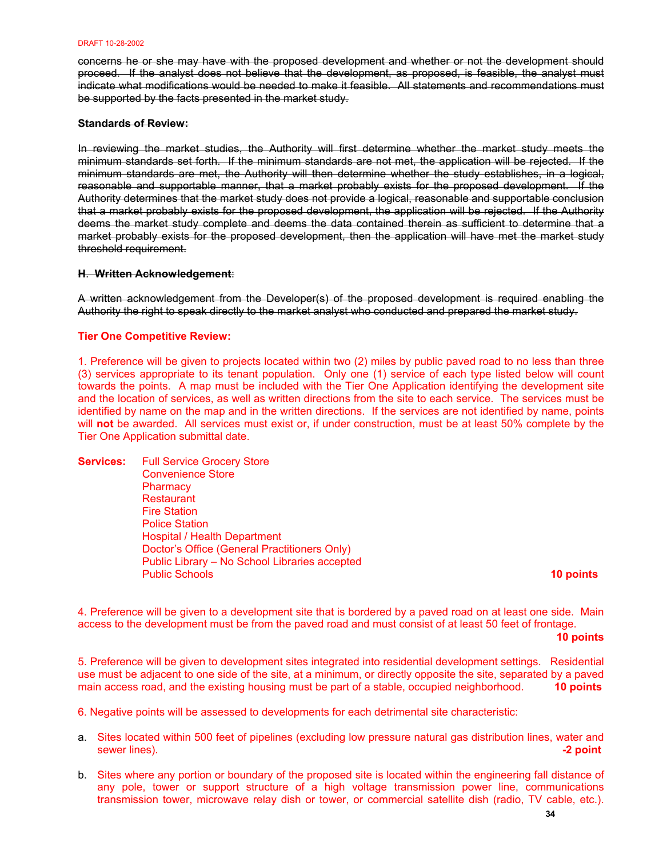concerns he or she may have with the proposed development and whether or not the development should proceed. If the analyst does not believe that the development, as proposed, is feasible, the analyst must indicate what modifications would be needed to make it feasible. All statements and recommendations must be supported by the facts presented in the market study.

## **Standards of Review:**

In reviewing the market studies, the Authority will first determine whether the market study meets the minimum standards set forth. If the minimum standards are not met, the application will be rejected. If the minimum standards are met, the Authority will then determine whether the study establishes, in a logical, reasonable and supportable manner, that a market probably exists for the proposed development. If the Authority determines that the market study does not provide a logical, reasonable and supportable conclusion that a market probably exists for the proposed development, the application will be rejected. If the Authority deems the market study complete and deems the data contained therein as sufficient to determine that a market probably exists for the proposed development, then the application will have met the market study threshold requirement.

## **H**. **Written Acknowledgement**:

A written acknowledgement from the Developer(s) of the proposed development is required enabling the Authority the right to speak directly to the market analyst who conducted and prepared the market study.

## **Tier One Competitive Review:**

1. Preference will be given to projects located within two (2) miles by public paved road to no less than three (3) services appropriate to its tenant population. Only one (1) service of each type listed below will count towards the points. A map must be included with the Tier One Application identifying the development site and the location of services, as well as written directions from the site to each service. The services must be identified by name on the map and in the written directions. If the services are not identified by name, points will **not** be awarded. All services must exist or, if under construction, must be at least 50% complete by the Tier One Application submittal date.

**Services:** Full Service Grocery Store Convenience Store **Pharmacy Restaurant**  Fire Station Police Station Hospital / Health Department Doctor's Office (General Practitioners Only) Public Library – No School Libraries accepted Public Schools **10 points**

4. Preference will be given to a development site that is bordered by a paved road on at least one side. Main access to the development must be from the paved road and must consist of at least 50 feet of frontage.

**10 points** 

5. Preference will be given to development sites integrated into residential development settings. Residential use must be adjacent to one side of the site, at a minimum, or directly opposite the site, separated by a paved main access road, and the existing housing must be part of a stable, occupied neighborhood. **10 points** 

6. Negative points will be assessed to developments for each detrimental site characteristic:

- a. Sites located within 500 feet of pipelines (excluding low pressure natural gas distribution lines, water and sewer lines). **-2 point**
- b. Sites where any portion or boundary of the proposed site is located within the engineering fall distance of any pole, tower or support structure of a high voltage transmission power line, communications transmission tower, microwave relay dish or tower, or commercial satellite dish (radio, TV cable, etc.).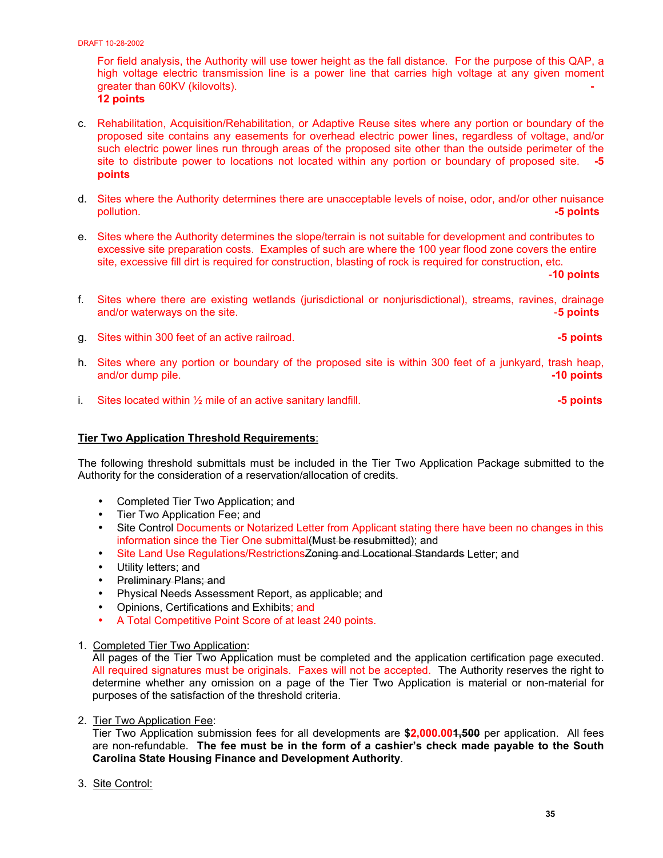For field analysis, the Authority will use tower height as the fall distance. For the purpose of this QAP, a high voltage electric transmission line is a power line that carries high voltage at any given moment greater than 60KV (kilovolts). **- 12 points**

- c. Rehabilitation, Acquisition/Rehabilitation, or Adaptive Reuse sites where any portion or boundary of the proposed site contains any easements for overhead electric power lines, regardless of voltage, and/or such electric power lines run through areas of the proposed site other than the outside perimeter of the site to distribute power to locations not located within any portion or boundary of proposed site. **-5 points**
- d. Sites where the Authority determines there are unacceptable levels of noise, odor, and/or other nuisance pollution. **-5 points**
- e. Sites where the Authority determines the slope/terrain is not suitable for development and contributes to excessive site preparation costs. Examples of such are where the 100 year flood zone covers the entire site, excessive fill dirt is required for construction, blasting of rock is required for construction, etc.

-**10 points**

- f. Sites where there are existing wetlands (jurisdictional or nonjurisdictional), streams, ravines, drainage and/or waterways on the site. -**5 points**
- g. Sites within 300 feet of an active railroad. **-5 points**
- h. Sites where any portion or boundary of the proposed site is within 300 feet of a junkyard, trash heap, and/or dump pile. **-10 points**
- i. Sites located within  $\frac{1}{2}$  mile of an active sanitary landfill.  $\blacksquare$

## **Tier Two Application Threshold Requirements**:

The following threshold submittals must be included in the Tier Two Application Package submitted to the Authority for the consideration of a reservation/allocation of credits.

- Completed Tier Two Application; and
- Tier Two Application Fee; and
- Site Control Documents or Notarized Letter from Applicant stating there have been no changes in this information since the Tier One submittal(Must be resubmitted); and
- Site Land Use Regulations/Restrictions Zoning and Locational Standards Letter; and
- Utility letters; and
- Preliminary Plans; and
- Physical Needs Assessment Report, as applicable; and
- Opinions, Certifications and Exhibits; and
- A Total Competitive Point Score of at least 240 points.
- 1. Completed Tier Two Application:

All pages of the Tier Two Application must be completed and the application certification page executed. All required signatures must be originals. Faxes will not be accepted. The Authority reserves the right to determine whether any omission on a page of the Tier Two Application is material or non-material for purposes of the satisfaction of the threshold criteria.

2. Tier Two Application Fee:

Tier Two Application submission fees for all developments are **\$2,000.001,500** per application. All fees are non-refundable. **The fee must be in the form of a cashier's check made payable to the South Carolina State Housing Finance and Development Authority**.

3. Site Control: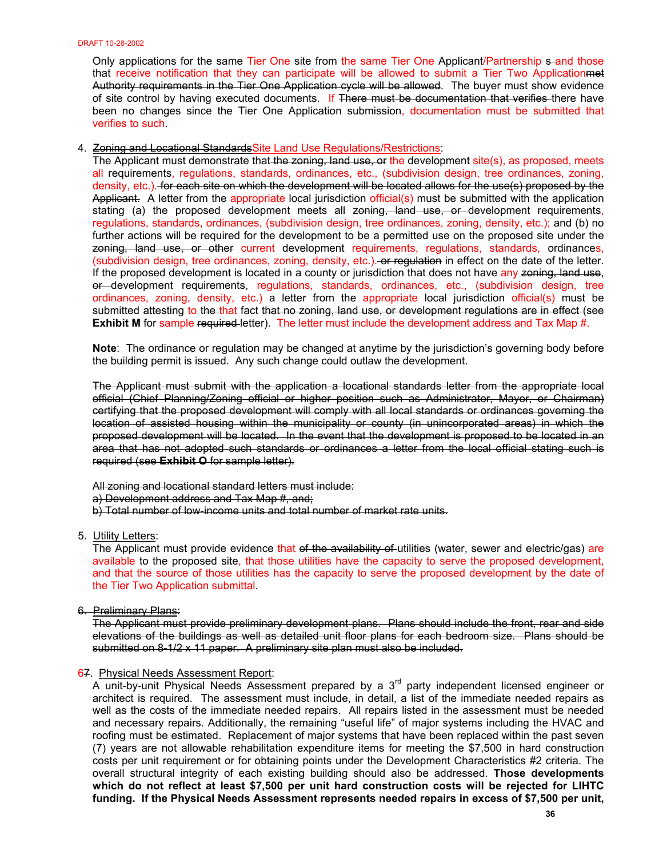Only applications for the same Tier One site from the same Tier One Applicant/Partnership sand those that receive notification that they can participate will be allowed to submit a Tier Two Applicationmet Authority requirements in the Tier One Application cycle will be allowed. The buyer must show evidence of site control by having executed documents. If There must be documentation that verifies there have been no changes since the Tier One Application submission, documentation must be submitted that verifies to such.

#### 4. Zoning and Locational StandardsSite Land Use Regulations/Restrictions:

The Applicant must demonstrate that the zoning, land use, or the development site(s), as proposed, meets all requirements, regulations, standards, ordinances, etc., (subdivision design, tree ordinances, zoning, density, etc.). for each site on which the development will be located allows for the use(s) proposed by the Applicant. A letter from the appropriate local jurisdiction official(s) must be submitted with the application stating (a) the proposed development meets all zoning, land use, or development requirements, regulations, standards, ordinances, (subdivision design, tree ordinances, zoning, density, etc.); and (b) no further actions will be required for the development to be a permitted use on the proposed site under the zoning, land use, or other current development requirements, regulations, standards, ordinances, (subdivision design, tree ordinances, zoning, density, etc.). or regulation in effect on the date of the letter. If the proposed development is located in a county or jurisdiction that does not have any zoning, land use, or development requirements, regulations, standards, ordinances, etc., (subdivision design, tree ordinances, zoning, density, etc.) a letter from the appropriate local jurisdiction official(s) must be submitted attesting to the that fact that no zoning, land use, or development regulations are in effect (see **Exhibit M** for sample required letter). The letter must include the development address and Tax Map #.

**Note**: The ordinance or regulation may be changed at anytime by the jurisdiction's governing body before the building permit is issued. Any such change could outlaw the development.

The Applicant must submit with the application a locational standards letter from the appropriate local official (Chief Planning/Zoning official or higher position such as Administrator, Mayor, or Chairman) certifying that the proposed development will comply with all local standards or ordinances governing the location of assisted housing within the municipality or county (in unincorporated areas) in which the proposed development will be located. In the event that the development is proposed to be located in an area that has not adopted such standards or ordinances a letter from the local official stating such is required (see **Exhibit O** for sample letter).

All zoning and locational standard letters must include: a) Development address and Tax Map #, and; b) Total number of low-income units and total number of market rate units.

5. Utility Letters:

The Applicant must provide evidence that of the availability of utilities (water, sewer and electric/gas) are available to the proposed site, that those utilities have the capacity to serve the proposed development, and that the source of those utilities has the capacity to serve the proposed development by the date of the Tier Two Application submittal.

6. Preliminary Plans:

The Applicant must provide preliminary development plans. Plans should include the front, rear and side elevations of the buildings as well as detailed unit floor plans for each bedroom size. Plans should be submitted on 8-1/2 x 11 paper. A preliminary site plan must also be included.

## 67. Physical Needs Assessment Report:

A unit-by-unit Physical Needs Assessment prepared by a 3<sup>rd</sup> party independent licensed engineer or architect is required. The assessment must include, in detail, a list of the immediate needed repairs as well as the costs of the immediate needed repairs. All repairs listed in the assessment must be needed and necessary repairs. Additionally, the remaining "useful life" of major systems including the HVAC and roofing must be estimated. Replacement of major systems that have been replaced within the past seven (7) years are not allowable rehabilitation expenditure items for meeting the \$7,500 in hard construction costs per unit requirement or for obtaining points under the Development Characteristics #2 criteria. The overall structural integrity of each existing building should also be addressed. **Those developments which do not reflect at least \$7,500 per unit hard construction costs will be rejected for LIHTC funding. If the Physical Needs Assessment represents needed repairs in excess of \$7,500 per unit,**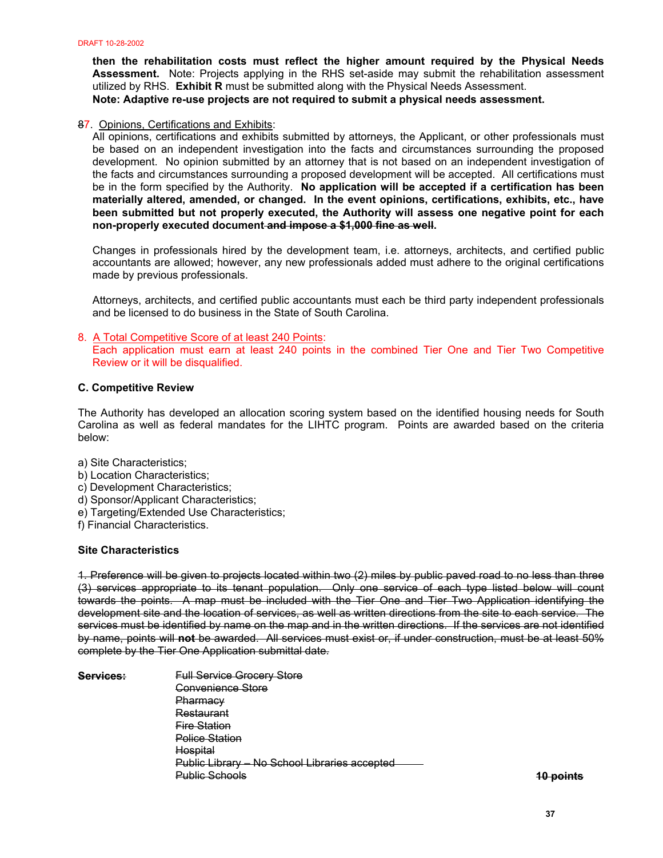**then the rehabilitation costs must reflect the higher amount required by the Physical Needs Assessment.** Note: Projects applying in the RHS set-aside may submit the rehabilitation assessment utilized by RHS. **Exhibit R** must be submitted along with the Physical Needs Assessment. **Note: Adaptive re-use projects are not required to submit a physical needs assessment.** 

# 87. Opinions, Certifications and Exhibits:

All opinions, certifications and exhibits submitted by attorneys, the Applicant, or other professionals must be based on an independent investigation into the facts and circumstances surrounding the proposed development. No opinion submitted by an attorney that is not based on an independent investigation of the facts and circumstances surrounding a proposed development will be accepted. All certifications must be in the form specified by the Authority. **No application will be accepted if a certification has been materially altered, amended, or changed. In the event opinions, certifications, exhibits, etc., have been submitted but not properly executed, the Authority will assess one negative point for each non-properly executed document and impose a \$1,000 fine as well.** 

Changes in professionals hired by the development team, i.e. attorneys, architects, and certified public accountants are allowed; however, any new professionals added must adhere to the original certifications made by previous professionals.

Attorneys, architects, and certified public accountants must each be third party independent professionals and be licensed to do business in the State of South Carolina.

#### 8. A Total Competitive Score of at least 240 Points:

Each application must earn at least 240 points in the combined Tier One and Tier Two Competitive Review or it will be disqualified.

## **C. Competitive Review**

The Authority has developed an allocation scoring system based on the identified housing needs for South Carolina as well as federal mandates for the LIHTC program. Points are awarded based on the criteria below:

- a) Site Characteristics;
- b) Location Characteristics;
- c) Development Characteristics;
- d) Sponsor/Applicant Characteristics;
- e) Targeting/Extended Use Characteristics;
- f) Financial Characteristics.

#### **Site Characteristics**

1. Preference will be given to projects located within two (2) miles by public paved road to no less than three (3) services appropriate to its tenant population. Only one service of each type listed below will count towards the points. A map must be included with the Tier One and Tier Two Application identifying the development site and the location of services, as well as written directions from the site to each service. The services must be identified by name on the map and in the written directions. If the services are not identified by name, points will **not** be awarded. All services must exist or, if under construction, must be at least 50% complete by the Tier One Application submittal date.

**Services:** Full Service Grocery Store Convenience Store **Pharmacy**  Restaurant Fire Station Police Station **Hospital**  Public Library – No School Libraries accepted Public Schools **10 points**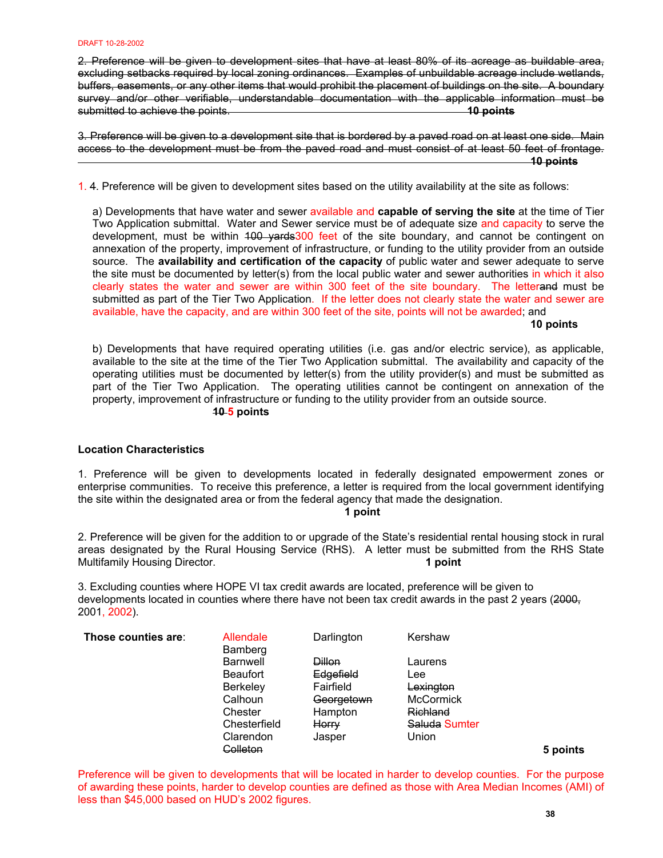2. Preference will be given to development sites that have at least 80% of its acreage as buildable area, excluding setbacks required by local zoning ordinances. Examples of unbuildable acreage include wetlands, buffers, easements, or any other items that would prohibit the placement of buildings on the site. A boundary survey and/or other verifiable, understandable documentation with the applicable information must be submitted to achieve the points. **10 points**

3. Preference will be given to a development site that is bordered by a paved road on at least one side. Main access to the development must be from the paved road and must consist of at least 50 feet of frontage.  **10 points**

1. 4. Preference will be given to development sites based on the utility availability at the site as follows:

a) Developments that have water and sewer available and **capable of serving the site** at the time of Tier Two Application submittal. Water and Sewer service must be of adequate size and capacity to serve the development, must be within 400 yards 300 feet of the site boundary, and cannot be contingent on annexation of the property, improvement of infrastructure, or funding to the utility provider from an outside source. The **availability and certification of the capacity** of public water and sewer adequate to serve the site must be documented by letter(s) from the local public water and sewer authorities in which it also clearly states the water and sewer are within 300 feet of the site boundary. The letterand must be submitted as part of the Tier Two Application. If the letter does not clearly state the water and sewer are available, have the capacity, and are within 300 feet of the site, points will not be awarded; and

 **10 points**

b) Developments that have required operating utilities (i.e. gas and/or electric service), as applicable, available to the site at the time of the Tier Two Application submittal. The availability and capacity of the operating utilities must be documented by letter(s) from the utility provider(s) and must be submitted as part of the Tier Two Application. The operating utilities cannot be contingent on annexation of the property, improvement of infrastructure or funding to the utility provider from an outside source. **10 5 points**

## **Location Characteristics**

1. Preference will be given to developments located in federally designated empowerment zones or enterprise communities. To receive this preference, a letter is required from the local government identifying the site within the designated area or from the federal agency that made the designation.

**1 point** 

2. Preference will be given for the addition to or upgrade of the State's residential rental housing stock in rural areas designated by the Rural Housing Service (RHS). A letter must be submitted from the RHS State Multifamily Housing Director. **1 point** 

3. Excluding counties where HOPE VI tax credit awards are located, preference will be given to developments located in counties where there have not been tax credit awards in the past 2 years (2000, 2001, 2002).

| Those counties are: | Allendale<br>Bamberg | Darlington    | Kershaw          |          |
|---------------------|----------------------|---------------|------------------|----------|
|                     | <b>Barnwell</b>      | <b>Dillon</b> | Laurens          |          |
|                     | <b>Beaufort</b>      | Edgefield     | Lee              |          |
|                     | <b>Berkeley</b>      | Fairfield     | Lexington        |          |
|                     | Calhoun              | Georgetown    | <b>McCormick</b> |          |
|                     | Chester              | Hampton       | <b>Richland</b>  |          |
|                     | Chesterfield         | Horry         | Saluda Sumter    |          |
|                     | Clarendon            | Jasper        | Union            |          |
|                     | Colleton             |               |                  | 5 points |

Preference will be given to developments that will be located in harder to develop counties. For the purpose of awarding these points, harder to develop counties are defined as those with Area Median Incomes (AMI) of less than \$45,000 based on HUD's 2002 figures.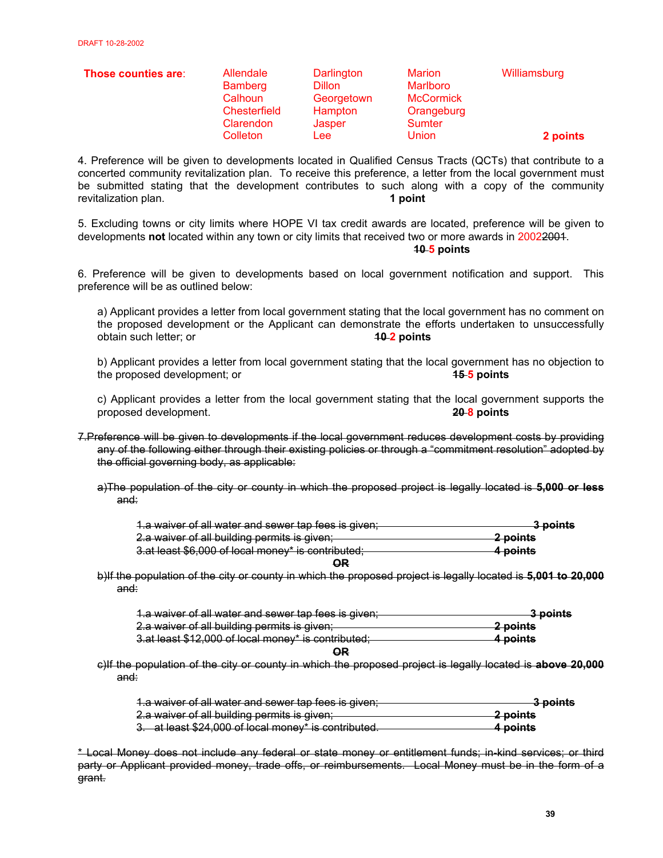| Those counties are: | <b>Allendale</b><br><b>Bamberg</b><br>Calhoun<br>Chesterfield<br>Clarendon | Darlington<br>Dillon<br>Georgetown<br>Hampton<br>Jasper | <b>Marion</b><br>Marlboro<br><b>McCormick</b><br>Orangeburg<br>Sumter | Williamsburg |
|---------------------|----------------------------------------------------------------------------|---------------------------------------------------------|-----------------------------------------------------------------------|--------------|
|                     | Colleton                                                                   | Lee:                                                    | <b>Union</b>                                                          | 2 points     |

4. Preference will be given to developments located in Qualified Census Tracts (QCTs) that contribute to a concerted community revitalization plan. To receive this preference, a letter from the local government must be submitted stating that the development contributes to such along with a copy of the community revitalization plan. **1 1 1 1 1 1 1 1** 

5. Excluding towns or city limits where HOPE VI tax credit awards are located, preference will be given to developments **not** located within any town or city limits that received two or more awards in 20022001. **10 5 points** 

6. Preference will be given to developments based on local government notification and support. This preference will be as outlined below:

a) Applicant provides a letter from local government stating that the local government has no comment on the proposed development or the Applicant can demonstrate the efforts undertaken to unsuccessfully obtain such letter; or **10 2 points**

b) Applicant provides a letter from local government stating that the local government has no objection to the proposed development; or **15 5 points**

c) Applicant provides a letter from the local government stating that the local government supports the proposed development. **20 8 points**

7.Preference will be given to developments if the local government reduces development costs by providing any of the following either through their existing policies or through a "commitment resolution" adopted by the official governing body, as applicable:

a)The population of the city or county in which the proposed project is legally located is **5,000 or less**  and:

| 1.a waiver of all water and sewer tap fees is given; | 3 nointe<br><del>o pomu</del> |
|------------------------------------------------------|-------------------------------|
| 2.a waiver of all building permits is given;         | 2 points                      |
| 3.at least \$6,000 of local money* is contributed;   | 4 points                      |
| OΡ                                                   |                               |

b)If the population of the city or county in which the proposed project is legally located is **5,001 to 20,000**  and:

| 1.a waiver of all water and sewer tap fees is given; | 3 nointe<br><del>o nomo</del> |
|------------------------------------------------------|-------------------------------|
| 2.a waiver of all building permits is given;         | 2 points                      |
| 3.at least \$12,000 of local money* is contributed;  | <del>4 points</del>           |
| OR                                                   |                               |

c)If the population of the city or county in which the proposed project is legally located is **above 20,000** and:

| 1.a waiver of all water and sewer tap fees is given; | 3 points |
|------------------------------------------------------|----------|
|                                                      |          |
| 2.a waiver of all building permits is given;         | 2 points |
| 3. at least \$24,000 of local money* is contributed. | 4 points |

\* Local Money does not include any federal or state money or entitlement funds; in-kind services; or third party or Applicant provided money, trade offs, or reimbursements. Local Money must be in the form of a grant.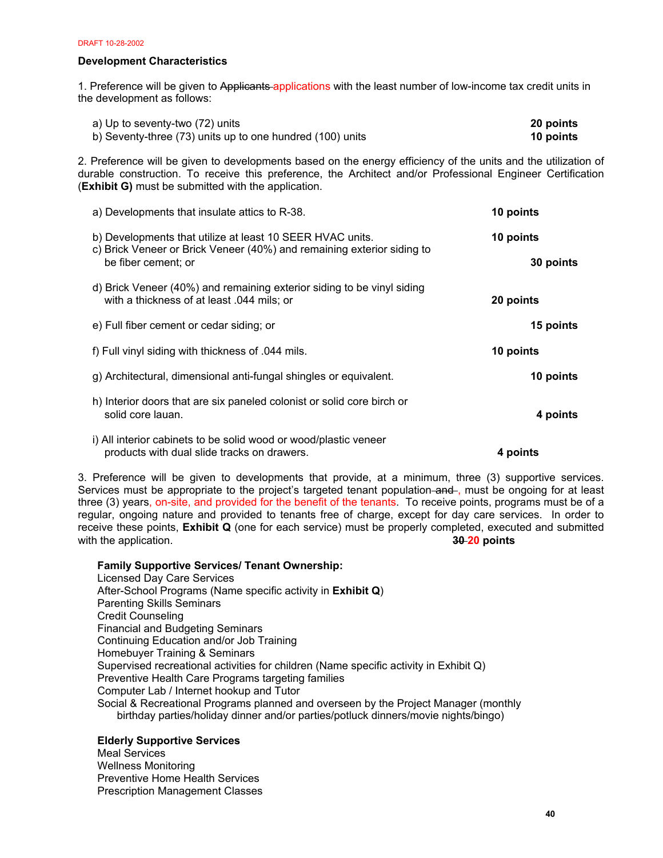## **Development Characteristics**

1. Preference will be given to Applicants applications with the least number of low-income tax credit units in the development as follows:

| a) Up to seventy-two (72) units                           | 20 points |
|-----------------------------------------------------------|-----------|
| b) Seventy-three (73) units up to one hundred (100) units | 10 points |

2. Preference will be given to developments based on the energy efficiency of the units and the utilization of durable construction. To receive this preference, the Architect and/or Professional Engineer Certification (**Exhibit G)** must be submitted with the application.

| a) Developments that insulate attics to R-38.                                                                                                              | 10 points              |
|------------------------------------------------------------------------------------------------------------------------------------------------------------|------------------------|
| b) Developments that utilize at least 10 SEER HVAC units.<br>c) Brick Veneer or Brick Veneer (40%) and remaining exterior siding to<br>be fiber cement; or | 10 points<br>30 points |
| d) Brick Veneer (40%) and remaining exterior siding to be vinyl siding<br>with a thickness of at least .044 mils; or                                       | 20 points              |
| e) Full fiber cement or cedar siding; or                                                                                                                   | 15 points              |
| f) Full vinyl siding with thickness of .044 mils.                                                                                                          | 10 points              |
| g) Architectural, dimensional anti-fungal shingles or equivalent.                                                                                          | 10 points              |
| h) Interior doors that are six paneled colonist or solid core birch or<br>solid core lauan.                                                                | 4 points               |
| i) All interior cabinets to be solid wood or wood/plastic veneer<br>products with dual slide tracks on drawers.                                            | 4 points               |

3. Preference will be given to developments that provide, at a minimum, three (3) supportive services. Services must be appropriate to the project's targeted tenant population and , must be ongoing for at least three (3) years, on-site, and provided for the benefit of the tenants. To receive points, programs must be of a regular, ongoing nature and provided to tenants free of charge, except for day care services. In order to receive these points, **Exhibit Q** (one for each service) must be properly completed, executed and submitted with the application. **30-20 points 30-20 points** 

**Family Supportive Services/ Tenant Ownership:** 

Licensed Day Care Services After-School Programs (Name specific activity in **Exhibit Q**) Parenting Skills Seminars Credit Counseling Financial and Budgeting Seminars Continuing Education and/or Job Training Homebuyer Training & Seminars Supervised recreational activities for children (Name specific activity in Exhibit Q) Preventive Health Care Programs targeting families Computer Lab / Internet hookup and Tutor Social & Recreational Programs planned and overseen by the Project Manager (monthly birthday parties/holiday dinner and/or parties/potluck dinners/movie nights/bingo)

# **Elderly Supportive Services**

Meal Services Wellness Monitoring Preventive Home Health Services Prescription Management Classes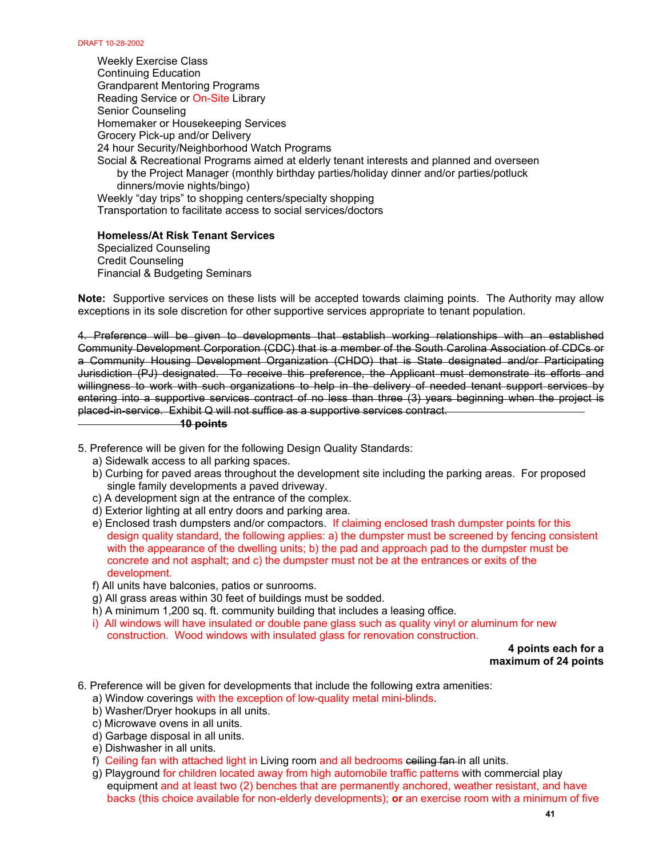Weekly Exercise Class Continuing Education Grandparent Mentoring Programs Reading Service or On-Site Library Senior Counseling Homemaker or Housekeeping Services Grocery Pick-up and/or Delivery 24 hour Security/Neighborhood Watch Programs Social & Recreational Programs aimed at elderly tenant interests and planned and overseen by the Project Manager (monthly birthday parties/holiday dinner and/or parties/potluck dinners/movie nights/bingo) Weekly "day trips" to shopping centers/specialty shopping Transportation to facilitate access to social services/doctors

## **Homeless/At Risk Tenant Services**

Specialized Counseling Credit Counseling Financial & Budgeting Seminars

**Note:** Supportive services on these lists will be accepted towards claiming points. The Authority may allow exceptions in its sole discretion for other supportive services appropriate to tenant population.

4. Preference will be given to developments that establish working relationships with an established Community Development Corporation (CDC) that is a member of the South Carolina Association of CDCs or a Community Housing Development Organization (CHDO) that is State designated and/or Participating Jurisdiction (PJ) designated. To receive this preference, the Applicant must demonstrate its efforts and willingness to work with such organizations to help in the delivery of needed tenant support services by entering into a supportive services contract of no less than three (3) years beginning when the project is placed-in-service. Exhibit Q will not suffice as a supportive services contract.

#### **10 points**

5. Preference will be given for the following Design Quality Standards:

- a) Sidewalk access to all parking spaces.
- b) Curbing for paved areas throughout the development site including the parking areas. For proposed single family developments a paved driveway.
- c) A development sign at the entrance of the complex.
- d) Exterior lighting at all entry doors and parking area.
- e) Enclosed trash dumpsters and/or compactors. If claiming enclosed trash dumpster points for this design quality standard, the following applies: a) the dumpster must be screened by fencing consistent with the appearance of the dwelling units; b) the pad and approach pad to the dumpster must be concrete and not asphalt; and c) the dumpster must not be at the entrances or exits of the development.
- f) All units have balconies, patios or sunrooms.
- g) All grass areas within 30 feet of buildings must be sodded.
- h) A minimum 1,200 sq. ft. community building that includes a leasing office.
- i) All windows will have insulated or double pane glass such as quality vinyl or aluminum for new construction. Wood windows with insulated glass for renovation construction.

 **4 points each for a maximum of 24 points**

- 6. Preference will be given for developments that include the following extra amenities:
	- a) Window coverings with the exception of low-quality metal mini-blinds.
	- b) Washer/Dryer hookups in all units.
	- c) Microwave ovens in all units.
	- d) Garbage disposal in all units.
	- e) Dishwasher in all units.
	- f) Ceiling fan with attached light in Living room and all bedrooms ceiling fan in all units.
	- g) Playground for children located away from high automobile traffic patterns with commercial play equipment and at least two (2) benches that are permanently anchored, weather resistant, and have backs (this choice available for non-elderly developments); **or** an exercise room with a minimum of five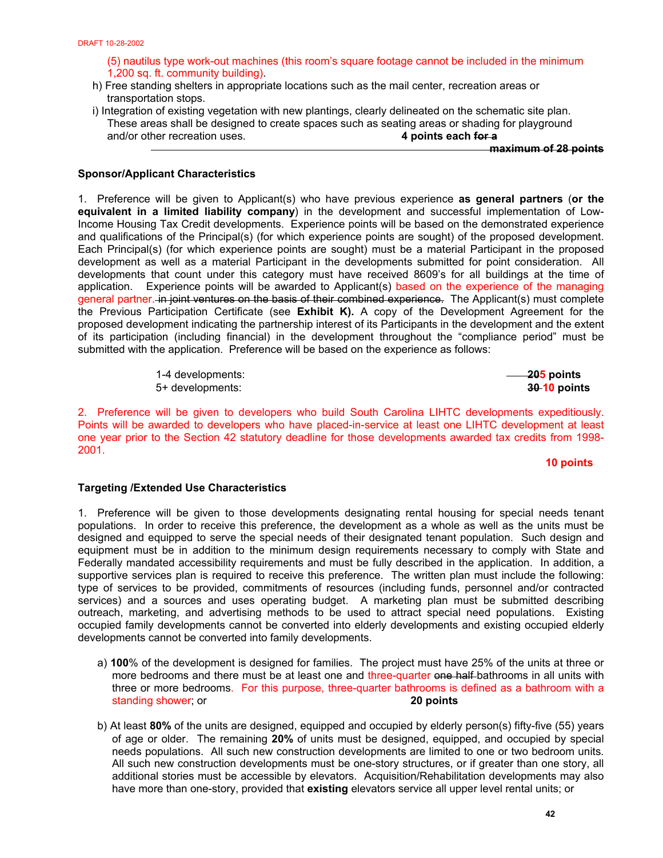(5) nautilus type work-out machines (this room's square footage cannot be included in the minimum 1,200 sq. ft. community building).

- h) Free standing shelters in appropriate locations such as the mail center, recreation areas or transportation stops.
- i) Integration of existing vegetation with new plantings, clearly delineated on the schematic site plan. These areas shall be designed to create spaces such as seating areas or shading for playground and/or other recreation uses. **4 points each for a**

**maximum of 28 points**

## **Sponsor/Applicant Characteristics**

1. Preference will be given to Applicant(s) who have previous experience **as general partners** (**or the equivalent in a limited liability company**) in the development and successful implementation of Low-Income Housing Tax Credit developments. Experience points will be based on the demonstrated experience and qualifications of the Principal(s) (for which experience points are sought) of the proposed development. Each Principal(s) (for which experience points are sought) must be a material Participant in the proposed development as well as a material Participant in the developments submitted for point consideration. All developments that count under this category must have received 8609's for all buildings at the time of application. Experience points will be awarded to Applicant(s) based on the experience of the managing general partner. in joint ventures on the basis of their combined experience. The Applicant(s) must complete the Previous Participation Certificate (see **Exhibit K).** A copy of the Development Agreement for the proposed development indicating the partnership interest of its Participants in the development and the extent of its participation (including financial) in the development throughout the "compliance period" must be submitted with the application. Preference will be based on the experience as follows:

> 1-4 developments: **205 points** 5+ developments: **30 10 points**

2. Preference will be given to developers who build South Carolina LIHTC developments expeditiously. Points will be awarded to developers who have placed-in-service at least one LIHTC development at least one year prior to the Section 42 statutory deadline for those developments awarded tax credits from 1998- 2001.

**10 points** 

## **Targeting /Extended Use Characteristics**

1. Preference will be given to those developments designating rental housing for special needs tenant populations. In order to receive this preference, the development as a whole as well as the units must be designed and equipped to serve the special needs of their designated tenant population. Such design and equipment must be in addition to the minimum design requirements necessary to comply with State and Federally mandated accessibility requirements and must be fully described in the application. In addition, a supportive services plan is required to receive this preference. The written plan must include the following: type of services to be provided, commitments of resources (including funds, personnel and/or contracted services) and a sources and uses operating budget. A marketing plan must be submitted describing outreach, marketing, and advertising methods to be used to attract special need populations. Existing occupied family developments cannot be converted into elderly developments and existing occupied elderly developments cannot be converted into family developments.

- a) **100**% of the development is designed for families. The project must have 25% of the units at three or more bedrooms and there must be at least one and three-quarter one half-bathrooms in all units with three or more bedrooms. For this purpose, three-quarter bathrooms is defined as a bathroom with a standing shower; or **20 points**
- b) At least **80%** of the units are designed, equipped and occupied by elderly person(s) fifty-five (55) years of age or older. The remaining **20%** of units must be designed, equipped, and occupied by special needs populations. All such new construction developments are limited to one or two bedroom units*.* All such new construction developments must be one-story structures, or if greater than one story, all additional stories must be accessible by elevators.Acquisition/Rehabilitation developments may also have more than one-story, provided that **existing** elevators service all upper level rental units; or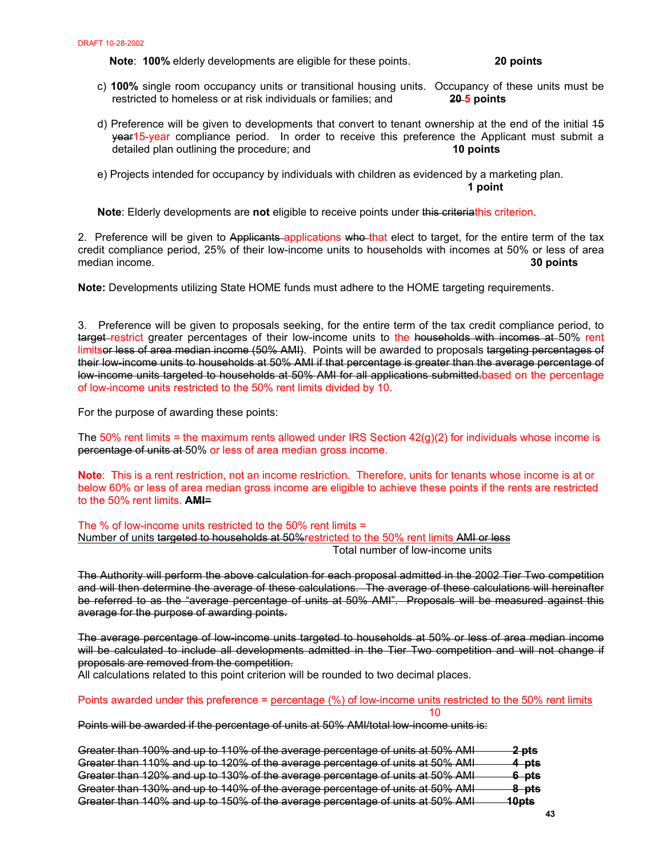**Note**: **100%** elderly developments are eligible for these points. **20 points** 

- c) **100%** single room occupancy units or transitional housing units. Occupancy of these units must be restricted to homeless or at risk individuals or families; and **20 5 points**
- d) Preference will be given to developments that convert to tenant ownership at the end of the initial 15 year15-year compliance period. In order to receive this preference the Applicant must submit a detailed plan outlining the procedure; and **10 points**
- e) Projects intended for occupancy by individuals with children as evidenced by a marketing plan. **1 point**

**Note**: Elderly developments are **not** eligible to receive points under this criteriathis criterion.

2. Preference will be given to Applicants applications who that elect to target, for the entire term of the tax credit compliance period, 25% of their low-income units to households with incomes at 50% or less of area median income. **30 points** 

**Note:** Developments utilizing State HOME funds must adhere to the HOME targeting requirements.

3. Preference will be given to proposals seeking, for the entire term of the tax credit compliance period, to target restrict greater percentages of their low-income units to the households with incomes at 50% rent limitsor less of area median income (50% AMI). Points will be awarded to proposals targeting percentages of their low-income units to households at 50% AMI if that percentage is greater than the average percentage of low income units targeted to households at 50% AMI for all applications submitted.based on the percentage of low-income units restricted to the 50% rent limits divided by 10.

For the purpose of awarding these points:

The  $50\%$  rent limits = the maximum rents allowed under IRS Section  $42(q)(2)$  for individuals whose income is percentage of units at 50% or less of area median gross income.

**Note**: This is a rent restriction, not an income restriction. Therefore, units for tenants whose income is at or below 60% or less of area median gross income are eligible to achieve these points if the rents are restricted to the 50% rent limits. **AMI**=

The % of low-income units restricted to the 50% rent limits = Number of units targeted to households at 50%restricted to the 50% rent limits AMI or less Total number of low-income units

The Authority will perform the above calculation for each proposal admitted in the 2002 Tier Two competition and will then determine the average of these calculations. The average of these calculations will hereinafter be referred to as the "average percentage of units at 50% AMI". Proposals will be measured against this average for the purpose of awarding points.

The average percentage of low-income units targeted to households at 50% or less of area median income will be calculated to include all developments admitted in the Tier Two competition and will not change if proposals are removed from the competition.

All calculations related to this point criterion will be rounded to two decimal places.

 $10<sub>10</sub>$ 

Points awarded under this preference = percentage (%) of low-income units restricted to the 50% rent limits

Points will be awarded if the percentage of units at 50% AMI/total low-income units is:

| Greater than 100% and up to 110% of the average percentage of units at 50% AMI | <del>2 pts</del> |
|--------------------------------------------------------------------------------|------------------|
|                                                                                |                  |
| Greater than 110% and up to 120% of the average percentage of units at 50% AMI | <del>4 pts</del> |
| Greater than 120% and up to 130% of the average percentage of units at 50% AMI | 6 pts            |
|                                                                                |                  |
| Greater than 130% and up to 140% of the average percentage of units at 50% AMI | 8 pts            |
| Greater than 140% and up to 150% of the average percentage of units at 50% AMI | 10nte            |
|                                                                                | <del>nupto</del> |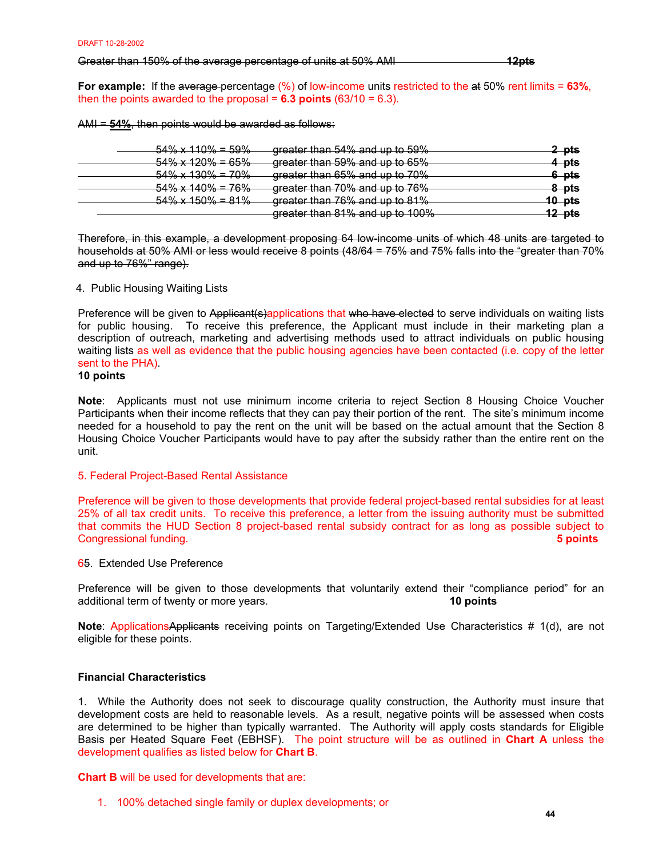Greater than 150% of the average percentage of units at 50% AMI **12pts**

**For example:** If the average percentage (%) of low-income units restricted to the at 50% rent limits = **63%**, then the points awarded to the proposal =  $6.3$  points  $(63/10 = 6.3)$ .

AMI = **54%**, then points would be awarded as follows:

| $54\% \times 110\% = 59\%$ | greater than 54% and up to 59%                                                  | 2 pts             |
|----------------------------|---------------------------------------------------------------------------------|-------------------|
|                            |                                                                                 |                   |
| $54\% \times 120\% = 65\%$ | greater than 59% and up to 65%                                                  | 4 pts             |
| $54\% \times 130\% = 70\%$ | areater than 65% and up to 70%                                                  | <del>6 pts</del>  |
|                            | <del>greater than op % and up to 70 %</del>                                     |                   |
| $54\% \times 140\% = 76\%$ | greater than 70% and up to 76%                                                  | <u>8 pts</u>      |
| $54\% \times 150\% = 81\%$ | greater than 76% and up to 81%                                                  | <u> 40 pts</u>    |
|                            |                                                                                 |                   |
|                            | areater than 81% and up to 100%<br><del>greater than o r% and up to Too %</del> | <del>12 pts</del> |

Therefore, in this example, a development proposing 64 low-income units of which 48 units are targeted to households at 50% AMI or less would receive 8 points (48/64 = 75% and 75% falls into the "greater than 70% and up to 76%" range).

## 4. Public Housing Waiting Lists

Preference will be given to Applicant(s)applications that who have elected to serve individuals on waiting lists for public housing. To receive this preference, the Applicant must include in their marketing plan a description of outreach, marketing and advertising methods used to attract individuals on public housing waiting lists as well as evidence that the public housing agencies have been contacted (i.e. copy of the letter sent to the PHA).

# **10 points**

**Note**: Applicants must not use minimum income criteria to reject Section 8 Housing Choice Voucher Participants when their income reflects that they can pay their portion of the rent. The site's minimum income needed for a household to pay the rent on the unit will be based on the actual amount that the Section 8 Housing Choice Voucher Participants would have to pay after the subsidy rather than the entire rent on the unit.

## 5. Federal Project-Based Rental Assistance

Preference will be given to those developments that provide federal project-based rental subsidies for at least 25% of all tax credit units. To receive this preference, a letter from the issuing authority must be submitted that commits the HUD Section 8 project-based rental subsidy contract for as long as possible subject to Congressional funding. **5 points** 

## 65. Extended Use Preference

Preference will be given to those developments that voluntarily extend their "compliance period" for an additional term of twenty or more years. **10 points**

**Note:** ApplicationsApplicants receiving points on Targeting/Extended Use Characteristics # 1(d), are not eligible for these points.

## **Financial Characteristics**

1. While the Authority does not seek to discourage quality construction, the Authority must insure that development costs are held to reasonable levels. As a result, negative points will be assessed when costs are determined to be higher than typically warranted. The Authority will apply costs standards for Eligible Basis per Heated Square Feet (EBHSF). The point structure will be as outlined in **Chart A** unless the development qualifies as listed below for **Chart B**.

**Chart B** will be used for developments that are:

1. 100% detached single family or duplex developments; or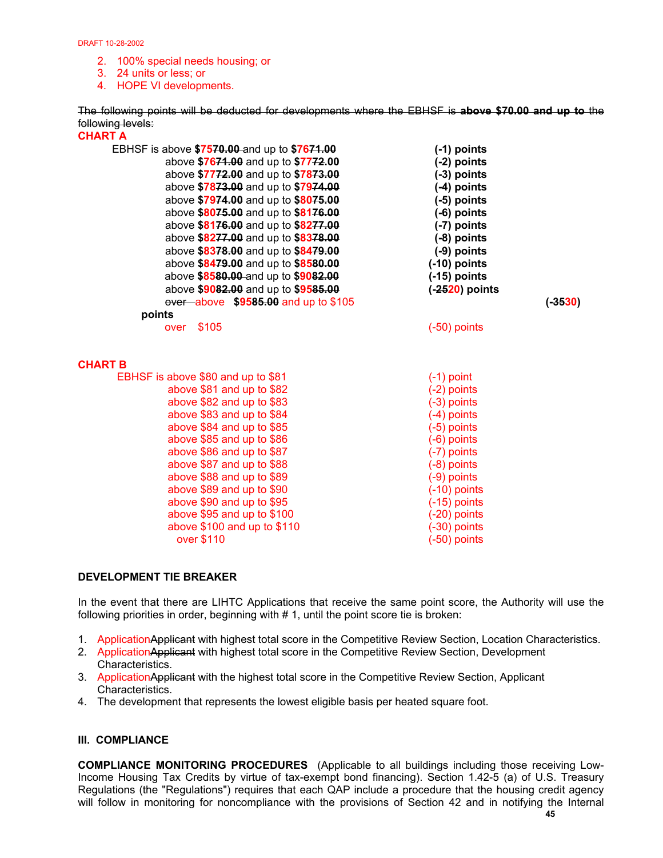- 2. 100% special needs housing; or
- 3. 24 units or less; or

4. HOPE VI developments.

The following points will be deducted for developments where the EBHSF is **above \$70.00 and up to** the following levels:

| <b>CHART A</b>                               |                  |           |
|----------------------------------------------|------------------|-----------|
| EBHSF is above \$7570.00-and up to \$7671.00 | $(-1)$ points    |           |
| above \$7671.00 and up to \$7772.00          | $(-2)$ points    |           |
| above \$7772.00 and up to \$7873.00          | $(-3)$ points    |           |
| above \$7873.00 and up to \$7974.00          | $(-4)$ points    |           |
| above \$7974.00 and up to \$8075.00          | $(-5)$ points    |           |
| above \$8075.00 and up to \$8176.00          | $(-6)$ points    |           |
| above \$8176.00 and up to \$8277.00          | (-7) points      |           |
| above \$8277.00 and up to \$8378.00          | $(-8)$ points    |           |
| above \$8378.00 and up to \$8479.00          | $(-9)$ points    |           |
| above \$8479.00 and up to \$8580.00          | $(-10)$ points   |           |
| above \$8580.00 and up to \$9082.00          | $(-15)$ points   |           |
| above \$9082.00 and up to \$9585.00          | $(-2520)$ points |           |
| over above \$9585.00 and up to \$105         |                  | $(-3530)$ |
| points                                       |                  |           |
| over \$105                                   | $(-50)$ points   |           |
|                                              |                  |           |
|                                              |                  |           |
| <b>CHART B</b>                               |                  |           |
| EBHSF is above \$80 and up to \$81           | $(-1)$ point     |           |
| above \$81 and up to \$82                    | $(-2)$ points    |           |
| above \$82 and up to \$83                    | $(-3)$ points    |           |
| above \$83 and up to \$84                    | $(-4)$ points    |           |
| above \$84 and up to \$85                    | $(-5)$ points    |           |
| above \$85 and up to \$86                    | $(-6)$ points    |           |
| above \$86 and up to \$87                    | (-7) points      |           |
| above \$87 and up to \$88                    | $(-8)$ points    |           |
| above \$88 and up to \$89                    | $(-9)$ points    |           |
| above \$89 and up to \$90                    | $(-10)$ points   |           |
| above \$90 and up to \$95                    | $(-15)$ points   |           |
| above \$95 and up to \$100                   | $(-20)$ points   |           |
| above \$100 and up to \$110                  | $(-30)$ points   |           |
| over \$110                                   | $(-50)$ points   |           |

## **DEVELOPMENT TIE BREAKER**

In the event that there are LIHTC Applications that receive the same point score, the Authority will use the following priorities in order, beginning with  $# 1$ , until the point score tie is broken:

- 1. ApplicationApplicant with highest total score in the Competitive Review Section, Location Characteristics.
- 2. ApplicationApplicant with highest total score in the Competitive Review Section, Development Characteristics.
- 3. ApplicationApplicant with the highest total score in the Competitive Review Section, Applicant Characteristics.
- 4. The development that represents the lowest eligible basis per heated square foot.

## **III. COMPLIANCE**

**COMPLIANCE MONITORING PROCEDURES**(Applicable to all buildings including those receiving Low-Income Housing Tax Credits by virtue of tax-exempt bond financing). Section 1.42-5 (a) of U.S. Treasury Regulations (the "Regulations") requires that each QAP include a procedure that the housing credit agency will follow in monitoring for noncompliance with the provisions of Section 42 and in notifying the Internal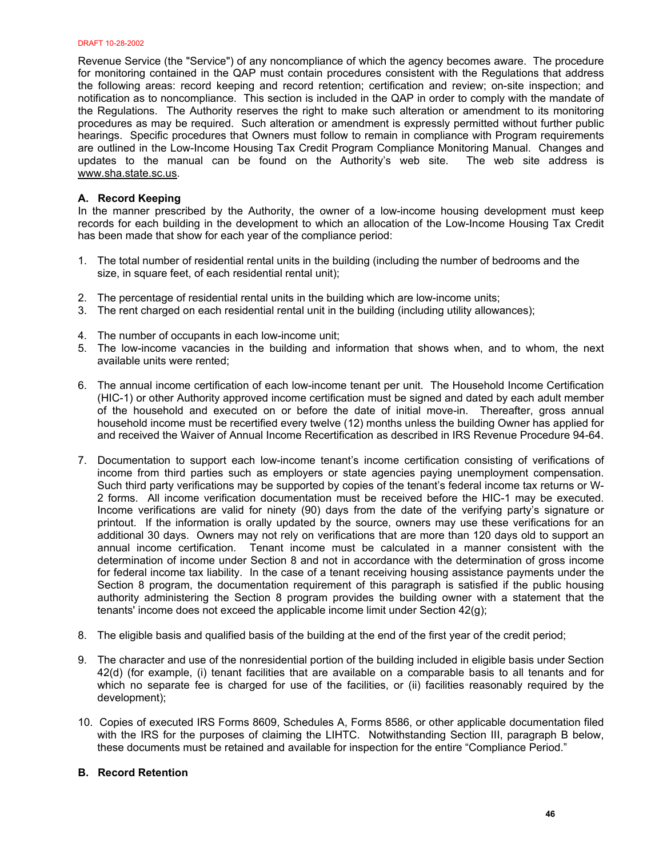Revenue Service (the "Service") of any noncompliance of which the agency becomes aware. The procedure for monitoring contained in the QAP must contain procedures consistent with the Regulations that address the following areas: record keeping and record retention; certification and review; on-site inspection; and notification as to noncompliance. This section is included in the QAP in order to comply with the mandate of the Regulations. The Authority reserves the right to make such alteration or amendment to its monitoring procedures as may be required. Such alteration or amendment is expressly permitted without further public hearings. Specific procedures that Owners must follow to remain in compliance with Program requirements are outlined in the Low-Income Housing Tax Credit Program Compliance Monitoring Manual. Changes and updates to the manual can be found on the Authority's web site. The web site address is www.sha.state.sc.us.

## **A. Record Keeping**

In the manner prescribed by the Authority, the owner of a low-income housing development must keep records for each building in the development to which an allocation of the Low-Income Housing Tax Credit has been made that show for each year of the compliance period:

- 1. The total number of residential rental units in the building (including the number of bedrooms and the size, in square feet, of each residential rental unit);
- 2. The percentage of residential rental units in the building which are low-income units;
- 3. The rent charged on each residential rental unit in the building (including utility allowances);
- 4. The number of occupants in each low-income unit;
- 5. The low-income vacancies in the building and information that shows when, and to whom, the next available units were rented;
- 6. The annual income certification of each low-income tenant per unit. The Household Income Certification (HIC-1) or other Authority approved income certification must be signed and dated by each adult member of the household and executed on or before the date of initial move-in. Thereafter, gross annual household income must be recertified every twelve (12) months unless the building Owner has applied for and received the Waiver of Annual Income Recertification as described in IRS Revenue Procedure 94-64.
- 7. Documentation to support each low-income tenant's income certification consisting of verifications of income from third parties such as employers or state agencies paying unemployment compensation. Such third party verifications may be supported by copies of the tenant's federal income tax returns or W-2 forms. All income verification documentation must be received before the HIC-1 may be executed. Income verifications are valid for ninety (90) days from the date of the verifying party's signature or printout. If the information is orally updated by the source, owners may use these verifications for an additional 30 days. Owners may not rely on verifications that are more than 120 days old to support an annual income certification. Tenant income must be calculated in a manner consistent with the determination of income under Section 8 and not in accordance with the determination of gross income for federal income tax liability. In the case of a tenant receiving housing assistance payments under the Section 8 program, the documentation requirement of this paragraph is satisfied if the public housing authority administering the Section 8 program provides the building owner with a statement that the tenants' income does not exceed the applicable income limit under Section 42(g);
- 8. The eligible basis and qualified basis of the building at the end of the first year of the credit period;
- 9. The character and use of the nonresidential portion of the building included in eligible basis under Section 42(d) (for example, (i) tenant facilities that are available on a comparable basis to all tenants and for which no separate fee is charged for use of the facilities, or (ii) facilities reasonably required by the development);
- 10. Copies of executed IRS Forms 8609, Schedules A, Forms 8586, or other applicable documentation filed with the IRS for the purposes of claiming the LIHTC. Notwithstanding Section III, paragraph B below, these documents must be retained and available for inspection for the entire "Compliance Period."

## **B. Record Retention**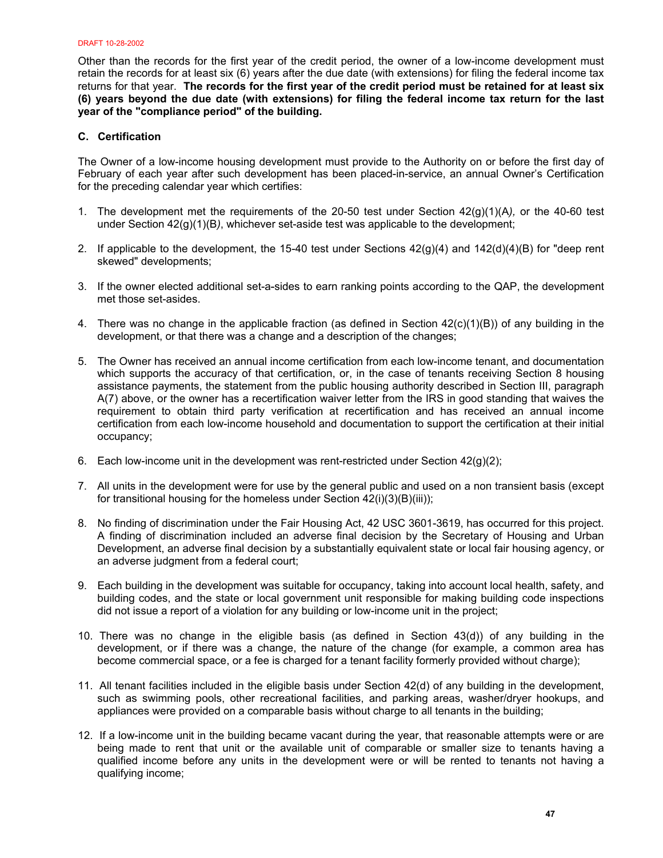Other than the records for the first year of the credit period, the owner of a low-income development must retain the records for at least six (6) years after the due date (with extensions) for filing the federal income tax returns for that year. **The records for the first year of the credit period must be retained for at least six (6) years beyond the due date (with extensions) for filing the federal income tax return for the last year of the "compliance period" of the building.** 

## **C. Certification**

The Owner of a low-income housing development must provide to the Authority on or before the first day of February of each year after such development has been placed-in-service, an annual Owner's Certification for the preceding calendar year which certifies:

- 1. The development met the requirements of the 20-50 test under Section 42(g)(1)(A*),* or the 40-60 test under Section 42(g)(1)(B*)*, whichever set-aside test was applicable to the development;
- 2. If applicable to the development, the 15-40 test under Sections  $42(q)(4)$  and  $142(d)(4)(B)$  for "deep rent skewed" developments;
- 3. If the owner elected additional set-a-sides to earn ranking points according to the QAP, the development met those set-asides.
- 4. There was no change in the applicable fraction (as defined in Section 42(c)(1)(B)) of any building in the development, or that there was a change and a description of the changes;
- 5. The Owner has received an annual income certification from each low-income tenant, and documentation which supports the accuracy of that certification, or, in the case of tenants receiving Section 8 housing assistance payments, the statement from the public housing authority described in Section III, paragraph A(7) above, or the owner has a recertification waiver letter from the IRS in good standing that waives the requirement to obtain third party verification at recertification and has received an annual income certification from each low-income household and documentation to support the certification at their initial occupancy;
- 6. Each low-income unit in the development was rent-restricted under Section  $42(q)(2)$ ;
- 7. All units in the development were for use by the general public and used on a non transient basis (except for transitional housing for the homeless under Section 42(i)(3)(B)(iii));
- 8. No finding of discrimination under the Fair Housing Act, 42 USC 3601-3619, has occurred for this project. A finding of discrimination included an adverse final decision by the Secretary of Housing and Urban Development, an adverse final decision by a substantially equivalent state or local fair housing agency, or an adverse judgment from a federal court;
- 9. Each building in the development was suitable for occupancy, taking into account local health, safety, and building codes, and the state or local government unit responsible for making building code inspections did not issue a report of a violation for any building or low-income unit in the project;
- 10. There was no change in the eligible basis (as defined in Section 43(d)) of any building in the development, or if there was a change, the nature of the change (for example, a common area has become commercial space, or a fee is charged for a tenant facility formerly provided without charge);
- 11. All tenant facilities included in the eligible basis under Section 42(d) of any building in the development, such as swimming pools, other recreational facilities, and parking areas, washer/dryer hookups, and appliances were provided on a comparable basis without charge to all tenants in the building;
- 12. If a low-income unit in the building became vacant during the year, that reasonable attempts were or are being made to rent that unit or the available unit of comparable or smaller size to tenants having a qualified income before any units in the development were or will be rented to tenants not having a qualifying income;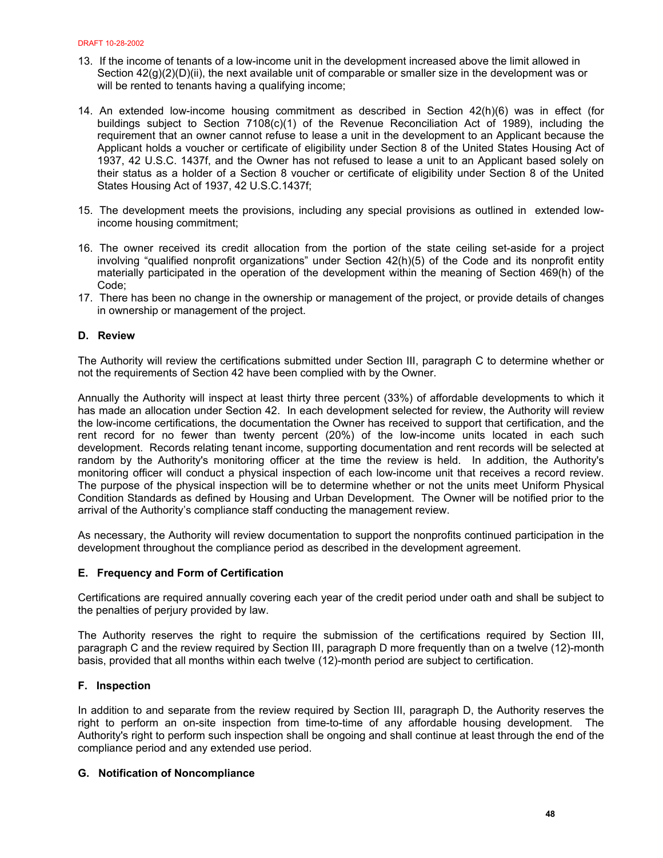- 13. If the income of tenants of a low-income unit in the development increased above the limit allowed in Section  $42(g)(2)(D)(ii)$ , the next available unit of comparable or smaller size in the development was or will be rented to tenants having a qualifying income;
- 14. An extended low-income housing commitment as described in Section 42(h)(6) was in effect (for buildings subject to Section 7108(c)(1) of the Revenue Reconciliation Act of 1989), including the requirement that an owner cannot refuse to lease a unit in the development to an Applicant because the Applicant holds a voucher or certificate of eligibility under Section 8 of the United States Housing Act of 1937, 42 U.S.C. 1437f, and the Owner has not refused to lease a unit to an Applicant based solely on their status as a holder of a Section 8 voucher or certificate of eligibility under Section 8 of the United States Housing Act of 1937, 42 U.S.C.1437f;
- 15. The development meets the provisions, including any special provisions as outlined in extended lowincome housing commitment;
- 16. The owner received its credit allocation from the portion of the state ceiling set-aside for a project involving "qualified nonprofit organizations" under Section 42(h)(5) of the Code and its nonprofit entity materially participated in the operation of the development within the meaning of Section 469(h) of the Code;
- 17. There has been no change in the ownership or management of the project, or provide details of changes in ownership or management of the project.

## **D. Review**

The Authority will review the certifications submitted under Section III, paragraph C to determine whether or not the requirements of Section 42 have been complied with by the Owner.

Annually the Authority will inspect at least thirty three percent (33%) of affordable developments to which it has made an allocation under Section 42. In each development selected for review, the Authority will review the low-income certifications, the documentation the Owner has received to support that certification, and the rent record for no fewer than twenty percent (20%) of the low-income units located in each such development. Records relating tenant income, supporting documentation and rent records will be selected at random by the Authority's monitoring officer at the time the review is held. In addition, the Authority's monitoring officer will conduct a physical inspection of each low-income unit that receives a record review. The purpose of the physical inspection will be to determine whether or not the units meet Uniform Physical Condition Standards as defined by Housing and Urban Development. The Owner will be notified prior to the arrival of the Authority's compliance staff conducting the management review.

As necessary, the Authority will review documentation to support the nonprofits continued participation in the development throughout the compliance period as described in the development agreement.

## **E. Frequency and Form of Certification**

Certifications are required annually covering each year of the credit period under oath and shall be subject to the penalties of perjury provided by law.

The Authority reserves the right to require the submission of the certifications required by Section III, paragraph C and the review required by Section III, paragraph D more frequently than on a twelve (12)-month basis, provided that all months within each twelve (12)-month period are subject to certification.

## **F. Inspection**

In addition to and separate from the review required by Section III, paragraph D, the Authority reserves the right to perform an on-site inspection from time-to-time of any affordable housing development. The Authority's right to perform such inspection shall be ongoing and shall continue at least through the end of the compliance period and any extended use period.

## **G. Notification of Noncompliance**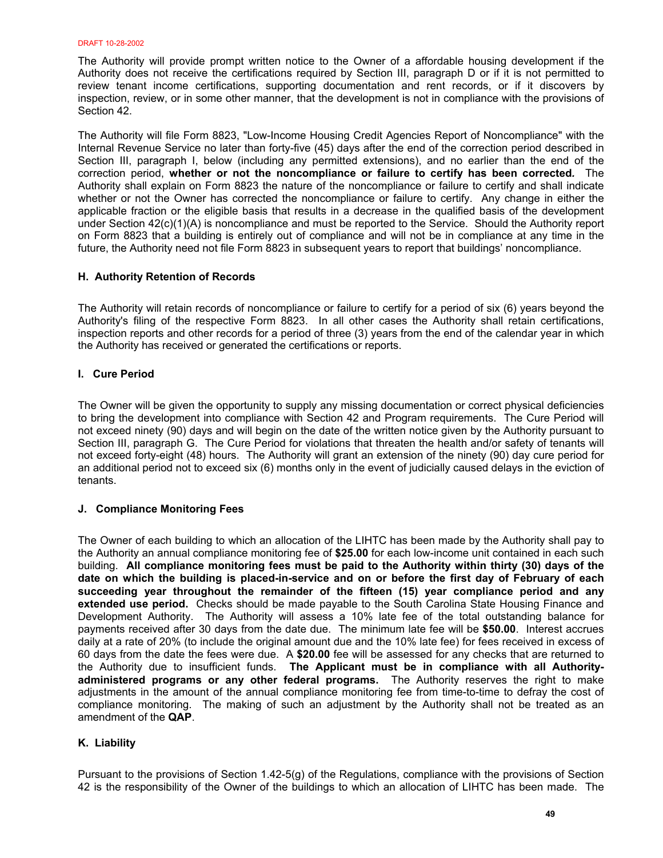The Authority will provide prompt written notice to the Owner of a affordable housing development if the Authority does not receive the certifications required by Section III, paragraph D or if it is not permitted to review tenant income certifications, supporting documentation and rent records, or if it discovers by inspection, review, or in some other manner, that the development is not in compliance with the provisions of Section 42.

The Authority will file Form 8823, "Low-Income Housing Credit Agencies Report of Noncompliance" with the Internal Revenue Service no later than forty-five (45) days after the end of the correction period described in Section III, paragraph I, below (including any permitted extensions), and no earlier than the end of the correction period, **whether or not the noncompliance or failure to certify has been corrected***.* The Authority shall explain on Form 8823 the nature of the noncompliance or failure to certify and shall indicate whether or not the Owner has corrected the noncompliance or failure to certify. Any change in either the applicable fraction or the eligible basis that results in a decrease in the qualified basis of the development under Section 42(c)(1)(A) is noncompliance and must be reported to the Service. Should the Authority report on Form 8823 that a building is entirely out of compliance and will not be in compliance at any time in the future, the Authority need not file Form 8823 in subsequent years to report that buildings' noncompliance.

## **H. Authority Retention of Records**

The Authority will retain records of noncompliance or failure to certify for a period of six (6) years beyond the Authority's filing of the respective Form 8823. In all other cases the Authority shall retain certifications, inspection reports and other records for a period of three (3) years from the end of the calendar year in which the Authority has received or generated the certifications or reports.

## **I. Cure Period**

The Owner will be given the opportunity to supply any missing documentation or correct physical deficiencies to bring the development into compliance with Section 42 and Program requirements. The Cure Period will not exceed ninety (90) days and will begin on the date of the written notice given by the Authority pursuant to Section III, paragraph G. The Cure Period for violations that threaten the health and/or safety of tenants will not exceed forty-eight (48) hours. The Authority will grant an extension of the ninety (90) day cure period for an additional period not to exceed six (6) months only in the event of judicially caused delays in the eviction of tenants.

## **J. Compliance Monitoring Fees**

The Owner of each building to which an allocation of the LIHTC has been made by the Authority shall pay to the Authority an annual compliance monitoring fee of **\$25.00** for each low-income unit contained in each such building. **All compliance monitoring fees must be paid to the Authority within thirty (30) days of the date on which the building is placed-in-service and on or before the first day of February of each succeeding year throughout the remainder of the fifteen (15) year compliance period and any extended use period.** Checks should be made payable to the South Carolina State Housing Finance and Development Authority. The Authority will assess a 10% late fee of the total outstanding balance for payments received after 30 days from the date due. The minimum late fee will be **\$50.00**. Interest accrues daily at a rate of 20% (to include the original amount due and the 10% late fee) for fees received in excess of 60 days from the date the fees were due. A **\$20.00** fee will be assessed for any checks that are returned to the Authority due to insufficient funds. **The Applicant must be in compliance with all Authorityadministered programs or any other federal programs.** The Authority reserves the right to make adjustments in the amount of the annual compliance monitoring fee from time-to-time to defray the cost of compliance monitoring. The making of such an adjustment by the Authority shall not be treated as an amendment of the **QAP**.

## **K. Liability**

Pursuant to the provisions of Section 1.42-5(g) of the Regulations, compliance with the provisions of Section 42 is the responsibility of the Owner of the buildings to which an allocation of LIHTC has been made. The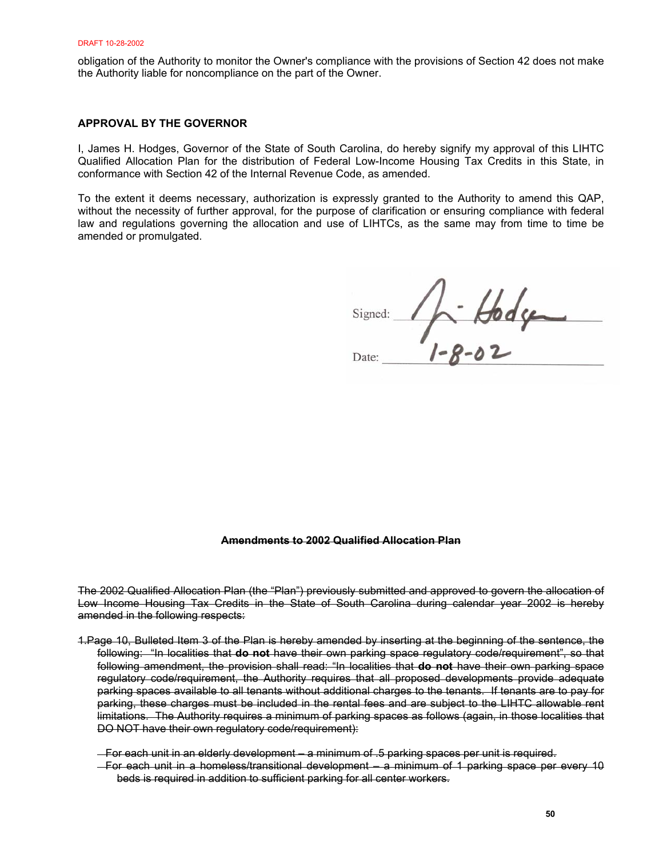obligation of the Authority to monitor the Owner's compliance with the provisions of Section 42 does not make the Authority liable for noncompliance on the part of the Owner.

## **APPROVAL BY THE GOVERNOR**

I, James H. Hodges, Governor of the State of South Carolina, do hereby signify my approval of this LIHTC Qualified Allocation Plan for the distribution of Federal Low-Income Housing Tax Credits in this State, in conformance with Section 42 of the Internal Revenue Code, as amended.

To the extent it deems necessary, authorization is expressly granted to the Authority to amend this QAP, without the necessity of further approval, for the purpose of clarification or ensuring compliance with federal law and regulations governing the allocation and use of LIHTCs, as the same may from time to time be amended or promulgated.

 $4.8044$ Signed:

Date:

#### **Amendments to 2002 Qualified Allocation Plan**

The 2002 Qualified Allocation Plan (the "Plan") previously submitted and approved to govern the allocation of Low Income Housing Tax Credits in the State of South Carolina during calendar year 2002 is hereby amended in the following respects:

- 1.Page 10, Bulleted Item 3 of the Plan is hereby amended by inserting at the beginning of the sentence, the following: "In localities that **do not** have their own parking space regulatory code/requirement", so that following amendment, the provision shall read: "In localities that **do not** have their own parking space regulatory code/requirement, the Authority requires that all proposed developments provide adequate parking spaces available to all tenants without additional charges to the tenants. If tenants are to pay for parking, these charges must be included in the rental fees and are subject to the LIHTC allowable rent limitations. The Authority requires a minimum of parking spaces as follows (again, in those localities that DO NOT have their own regulatory code/requirement):
	- For each unit in an elderly development a minimum of .5 parking spaces per unit is required.
	- For each unit in a homeless/transitional development a minimum of 1 parking space per every 10 beds is required in addition to sufficient parking for all center workers.